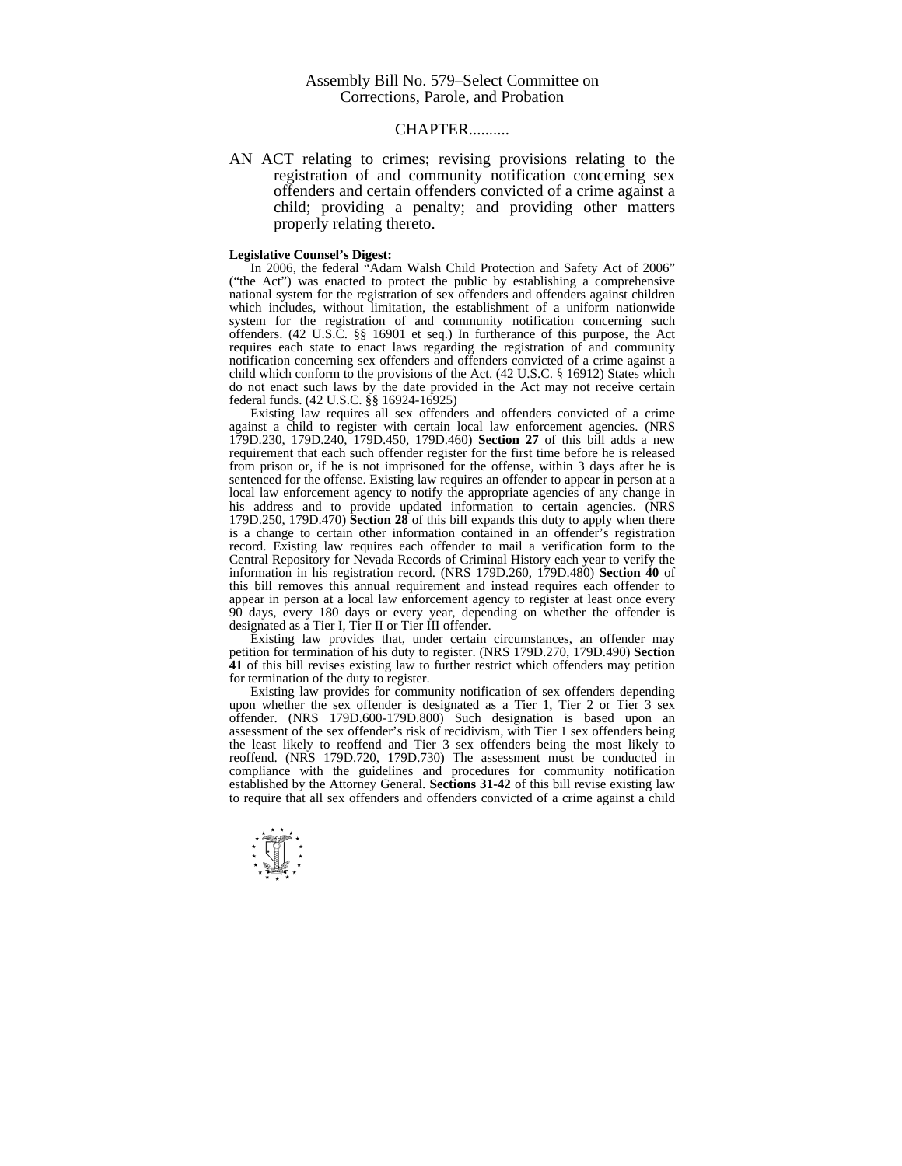## CHAPTER..........

AN ACT relating to crimes; revising provisions relating to the registration of and community notification concerning sex offenders and certain offenders convicted of a crime against a child; providing a penalty; and providing other matters properly relating thereto.

## **Legislative Counsel's Digest:**

In 2006, the federal "Adam Walsh Child Protection and Safety Act of 2006" ("the Act") was enacted to protect the public by establishing a comprehensive national system for the registration of sex offenders and offenders against children which includes, without limitation, the establishment of a uniform nationwide system for the registration of and community notification concerning such offenders. (42 U.S.C. §§ 16901 et seq.) In furtherance of this purpose, the Act requires each state to enact laws regarding the registration of and community notification concerning sex offenders and offenders convicted of a crime against a child which conform to the provisions of the Act. (42 U.S.C. § 16912) States which do not enact such laws by the date provided in the Act may not receive certain federal funds. (42 U.S.C. §§ 16924-16925)

 Existing law requires all sex offenders and offenders convicted of a crime against a child to register with certain local law enforcement agencies. (NRS 179D.230, 179D.240, 179D.450, 179D.460) **Section 27** of this bill adds a new requirement that each such offender register for the first time before he is released from prison or, if he is not imprisoned for the offense, within 3 days after he is sentenced for the offense. Existing law requires an offender to appear in person at a local law enforcement agency to notify the appropriate agencies of any change in his address and to provide updated information to certain agencies. (NRS 179D.250, 179D.470) **Section 28** of this bill expands this duty to apply when there is a change to certain other information contained in an offender's registration record. Existing law requires each offender to mail a verification form to the Central Repository for Nevada Records of Criminal History each year to verify the information in his registration record. (NRS 179D.260, 179D.480) **Section 40** of this bill removes this annual requirement and instead requires each offender to appear in person at a local law enforcement agency to register at least once every 90 days, every 180 days or every year, depending on whether the offender is designated as a Tier I, Tier II or Tier III offender.

 Existing law provides that, under certain circumstances, an offender may petition for termination of his duty to register. (NRS 179D.270, 179D.490) **Section 41** of this bill revises existing law to further restrict which offenders may petition for termination of the duty to register.

 Existing law provides for community notification of sex offenders depending upon whether the sex offender is designated as a Tier 1, Tier 2 or Tier 3 sex offender. (NRS 179D.600-179D.800) Such designation is based upon an assessment of the sex offender's risk of recidivism, with Tier 1 sex offenders being the least likely to reoffend and Tier 3 sex offenders being the most likely to reoffend. (NRS 179D.720, 179D.730) The assessment must be conducted in compliance with the guidelines and procedures for community notification established by the Attorney General. **Sections 31-42** of this bill revise existing law to require that all sex offenders and offenders convicted of a crime against a child

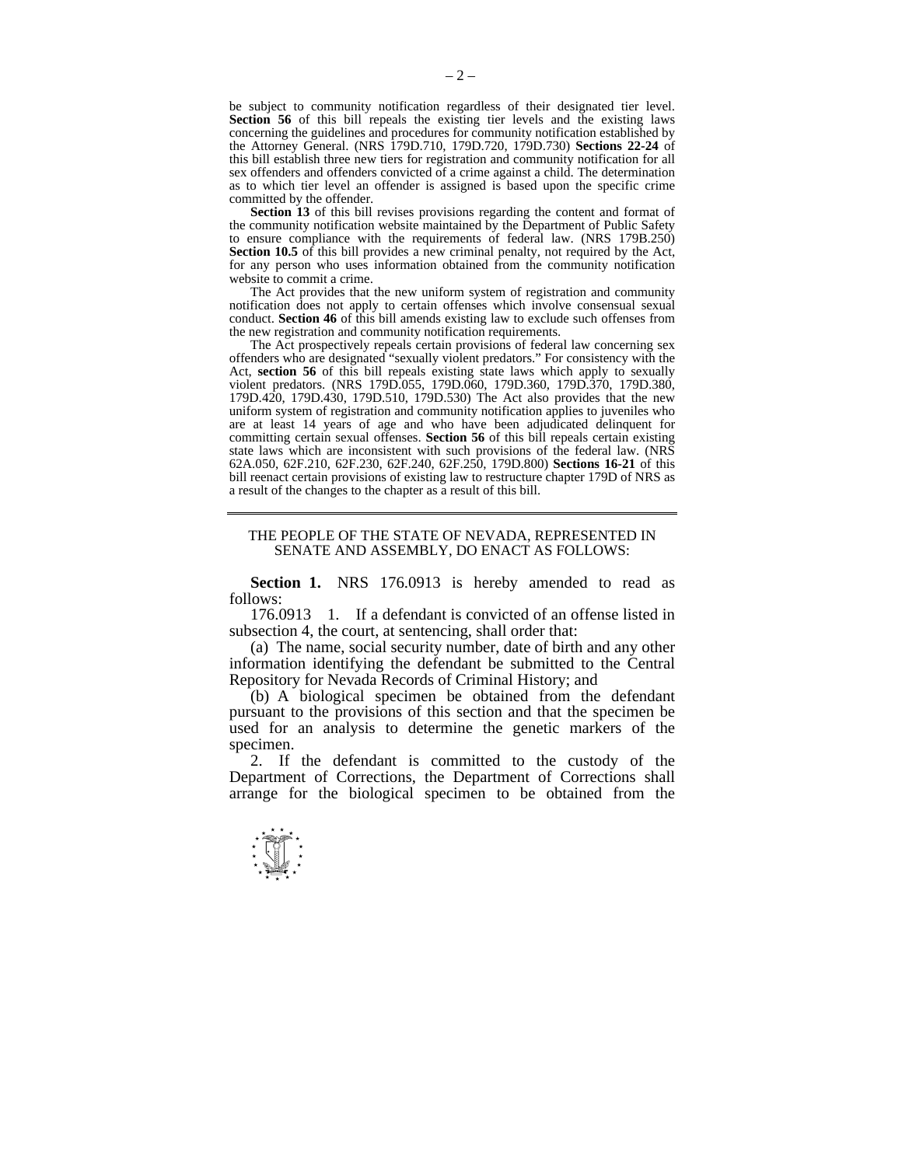be subject to community notification regardless of their designated tier level. **Section 56** of this bill repeals the existing tier levels and the existing laws concerning the guidelines and procedures for community notification established by the Attorney General. (NRS 179D.710, 179D.720, 179D.730) **Sections 22-24** of this bill establish three new tiers for registration and community notification for all sex offenders and offenders convicted of a crime against a child. The determination as to which tier level an offender is assigned is based upon the specific crime committed by the offender.

**Section 13** of this bill revises provisions regarding the content and format of the community notification website maintained by the Department of Public Safety to ensure compliance with the requirements of federal law. (NRS 179B.250) **Section 10.5** of this bill provides a new criminal penalty, not required by the Act, for any person who uses information obtained from the community notification website to commit a crime.

 The Act provides that the new uniform system of registration and community notification does not apply to certain offenses which involve consensual sexual conduct. **Section 46** of this bill amends existing law to exclude such offenses from the new registration and community notification requirements.

 The Act prospectively repeals certain provisions of federal law concerning sex offenders who are designated "sexually violent predators." For consistency with the Act, **section 56** of this bill repeals existing state laws which apply to sexually violent predators. (NRS 179D.055, 179D.060, 179D.360, 179D.370, 179D.380, 179D.420, 179D.430, 179D.510, 179D.530) The Act also provides that the new uniform system of registration and community notification applies to juveniles who are at least 14 years of age and who have been adjudicated delinquent for committing certain sexual offenses. **Section 56** of this bill repeals certain existing state laws which are inconsistent with such provisions of the federal law. (NRS 62A.050, 62F.210, 62F.230, 62F.240, 62F.250, 179D.800) **Sections 16-21** of this bill reenact certain provisions of existing law to restructure chapter 179D of NRS as a result of the changes to the chapter as a result of this bill.

## THE PEOPLE OF THE STATE OF NEVADA, REPRESENTED IN SENATE AND ASSEMBLY, DO ENACT AS FOLLOWS:

**Section 1.** NRS 176.0913 is hereby amended to read as follows:

 176.0913 1. If a defendant is convicted of an offense listed in subsection 4, the court, at sentencing, shall order that:

 (a) The name, social security number, date of birth and any other information identifying the defendant be submitted to the Central Repository for Nevada Records of Criminal History; and

 (b) A biological specimen be obtained from the defendant pursuant to the provisions of this section and that the specimen be used for an analysis to determine the genetic markers of the specimen.

 2. If the defendant is committed to the custody of the Department of Corrections, the Department of Corrections shall arrange for the biological specimen to be obtained from the

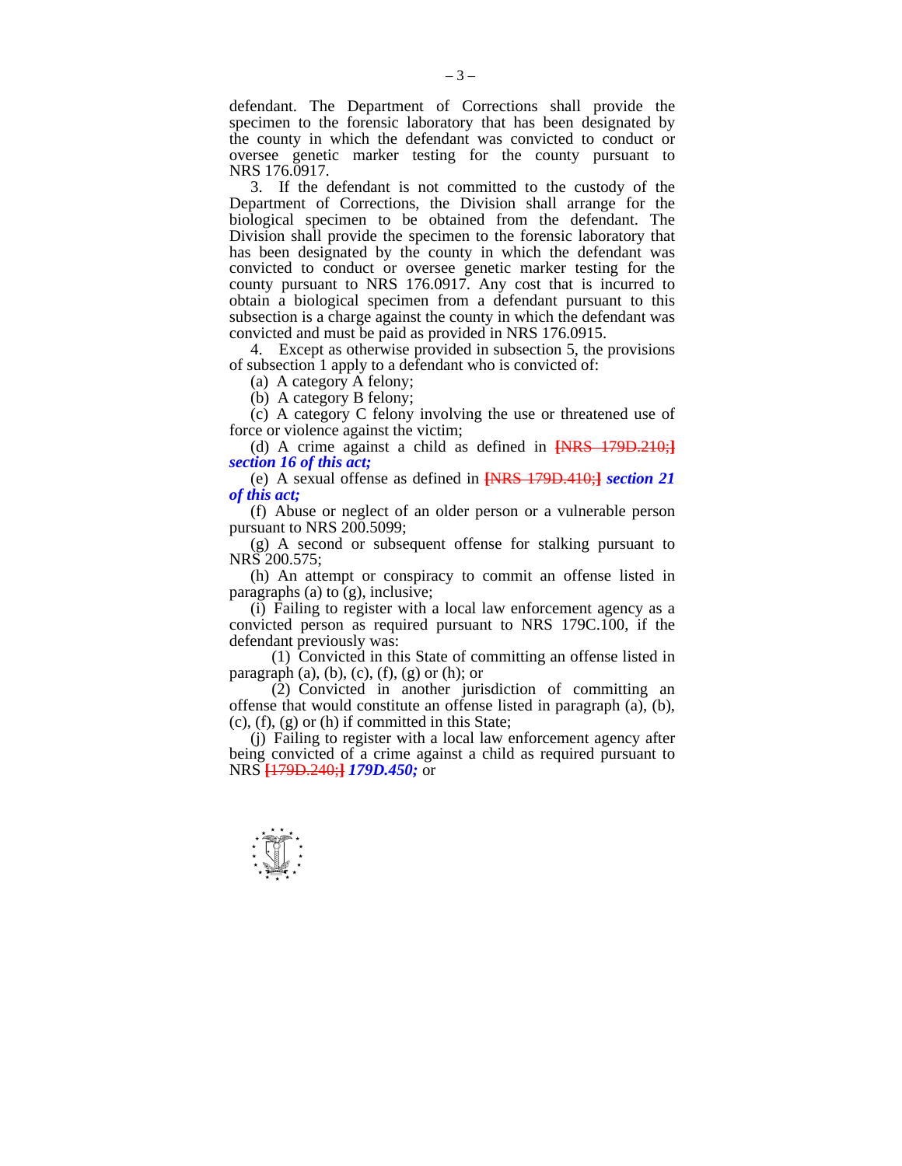defendant. The Department of Corrections shall provide the specimen to the forensic laboratory that has been designated by the county in which the defendant was convicted to conduct or oversee genetic marker testing for the county pursuant to NRS 176.0917.

 3. If the defendant is not committed to the custody of the Department of Corrections, the Division shall arrange for the biological specimen to be obtained from the defendant. The Division shall provide the specimen to the forensic laboratory that has been designated by the county in which the defendant was convicted to conduct or oversee genetic marker testing for the county pursuant to NRS 176.0917. Any cost that is incurred to obtain a biological specimen from a defendant pursuant to this subsection is a charge against the county in which the defendant was convicted and must be paid as provided in NRS 176.0915.

 4. Except as otherwise provided in subsection 5, the provisions of subsection 1 apply to a defendant who is convicted of:

(a) A category A felony;

(b) A category B felony;

 (c) A category C felony involving the use or threatened use of force or violence against the victim;

 (d) A crime against a child as defined in **[**NRS 179D.210;**]** *section 16 of this act;* 

 (e) A sexual offense as defined in **[**NRS 179D.410;**]** *section 21 of this act;* 

 (f) Abuse or neglect of an older person or a vulnerable person pursuant to NRS 200.5099;

 (g) A second or subsequent offense for stalking pursuant to NRS 200.575;

 (h) An attempt or conspiracy to commit an offense listed in paragraphs (a) to (g), inclusive;

 (i) Failing to register with a local law enforcement agency as a convicted person as required pursuant to NRS 179C.100, if the defendant previously was:

 (1) Convicted in this State of committing an offense listed in paragraph (a), (b), (c), (f), (g) or (h); or

 (2) Convicted in another jurisdiction of committing an offense that would constitute an offense listed in paragraph (a), (b),  $(c)$ ,  $(f)$ ,  $(g)$  or  $(h)$  if committed in this State;

 (j) Failing to register with a local law enforcement agency after being convicted of a crime against a child as required pursuant to NRS **[**179D.240;**]** *179D.450;* or

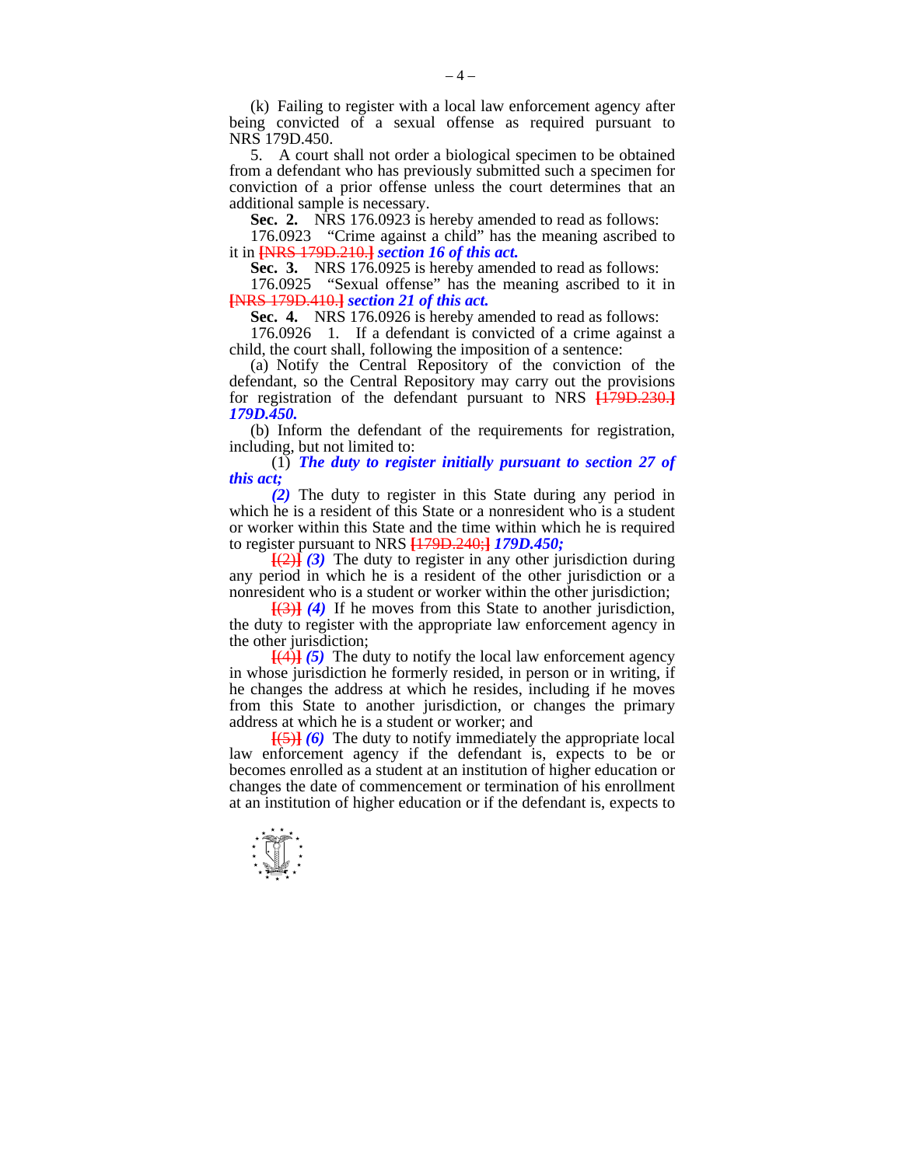(k) Failing to register with a local law enforcement agency after being convicted of a sexual offense as required pursuant to NRS 179D.450.

 5. A court shall not order a biological specimen to be obtained from a defendant who has previously submitted such a specimen for conviction of a prior offense unless the court determines that an additional sample is necessary.

**Sec. 2.** NRS 176.0923 is hereby amended to read as follows:

 176.0923 "Crime against a child" has the meaning ascribed to it in **[**NRS 179D.210.**]** *section 16 of this act.* 

Sec. 3. NRS 176.0925 is hereby amended to read as follows:

 176.0925 "Sexual offense" has the meaning ascribed to it in **[**NRS 179D.410.**]** *section 21 of this act.* 

**Sec. 4.** NRS 176.0926 is hereby amended to read as follows:

 176.0926 1. If a defendant is convicted of a crime against a child, the court shall, following the imposition of a sentence:

 (a) Notify the Central Repository of the conviction of the defendant, so the Central Repository may carry out the provisions for registration of the defendant pursuant to NRS **[**179D.230.**]** *179D.450.* 

 (b) Inform the defendant of the requirements for registration, including, but not limited to:

 (1) *The duty to register initially pursuant to section 27 of this act;* 

 *(2)* The duty to register in this State during any period in which he is a resident of this State or a nonresident who is a student or worker within this State and the time within which he is required to register pursuant to NRS **[**179D.240;**]** *179D.450;* 

 **[**(2)**]** *(3)* The duty to register in any other jurisdiction during any period in which he is a resident of the other jurisdiction or a nonresident who is a student or worker within the other jurisdiction;

 **[**(3)**]** *(4)* If he moves from this State to another jurisdiction, the duty to register with the appropriate law enforcement agency in the other jurisdiction;

 $\overline{[}(4)$  $\overline{[}(5)$  The duty to notify the local law enforcement agency in whose jurisdiction he formerly resided, in person or in writing, if he changes the address at which he resides, including if he moves from this State to another jurisdiction, or changes the primary address at which he is a student or worker; and

 **[**(5)**]** *(6)* The duty to notify immediately the appropriate local law enforcement agency if the defendant is, expects to be or becomes enrolled as a student at an institution of higher education or changes the date of commencement or termination of his enrollment at an institution of higher education or if the defendant is, expects to

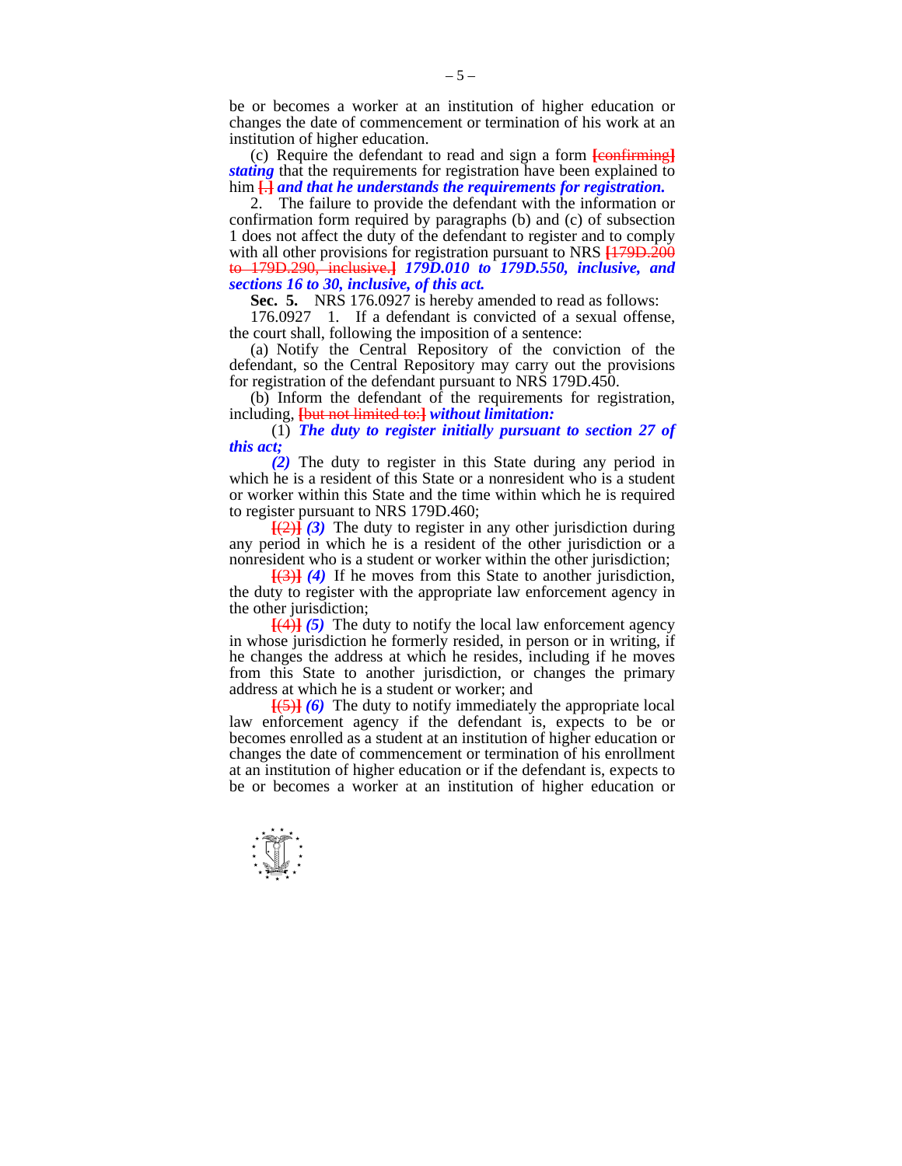be or becomes a worker at an institution of higher education or changes the date of commencement or termination of his work at an institution of higher education.

 (c) Require the defendant to read and sign a form **[**confirming**]** *stating* that the requirements for registration have been explained to him **[**.**]** *and that he understands the requirements for registration.* 

 2. The failure to provide the defendant with the information or confirmation form required by paragraphs (b) and (c) of subsection 1 does not affect the duty of the defendant to register and to comply with all other provisions for registration pursuant to NRS **[**179D.200 to 179D.290, inclusive.**]** *179D.010 to 179D.550, inclusive, and sections 16 to 30, inclusive, of this act.* 

**Sec. 5.** NRS 176.0927 is hereby amended to read as follows:

 176.0927 1. If a defendant is convicted of a sexual offense, the court shall, following the imposition of a sentence:

 (a) Notify the Central Repository of the conviction of the defendant, so the Central Repository may carry out the provisions for registration of the defendant pursuant to NRS 179D.450.

 (b) Inform the defendant of the requirements for registration, including, **[**but not limited to:**]** *without limitation:* 

 (1) *The duty to register initially pursuant to section 27 of this act;* 

 *(2)* The duty to register in this State during any period in which he is a resident of this State or a nonresident who is a student or worker within this State and the time within which he is required to register pursuant to NRS 179D.460;

 **[**(2)**]** *(3)* The duty to register in any other jurisdiction during any period in which he is a resident of the other jurisdiction or a nonresident who is a student or worker within the other jurisdiction;

 **[**(3)**]** *(4)* If he moves from this State to another jurisdiction, the duty to register with the appropriate law enforcement agency in the other jurisdiction;

 **[**(4)**]** *(5)* The duty to notify the local law enforcement agency in whose jurisdiction he formerly resided, in person or in writing, if he changes the address at which he resides, including if he moves from this State to another jurisdiction, or changes the primary address at which he is a student or worker; and

 **[**(5)**]** *(6)* The duty to notify immediately the appropriate local law enforcement agency if the defendant is, expects to be or becomes enrolled as a student at an institution of higher education or changes the date of commencement or termination of his enrollment at an institution of higher education or if the defendant is, expects to be or becomes a worker at an institution of higher education or

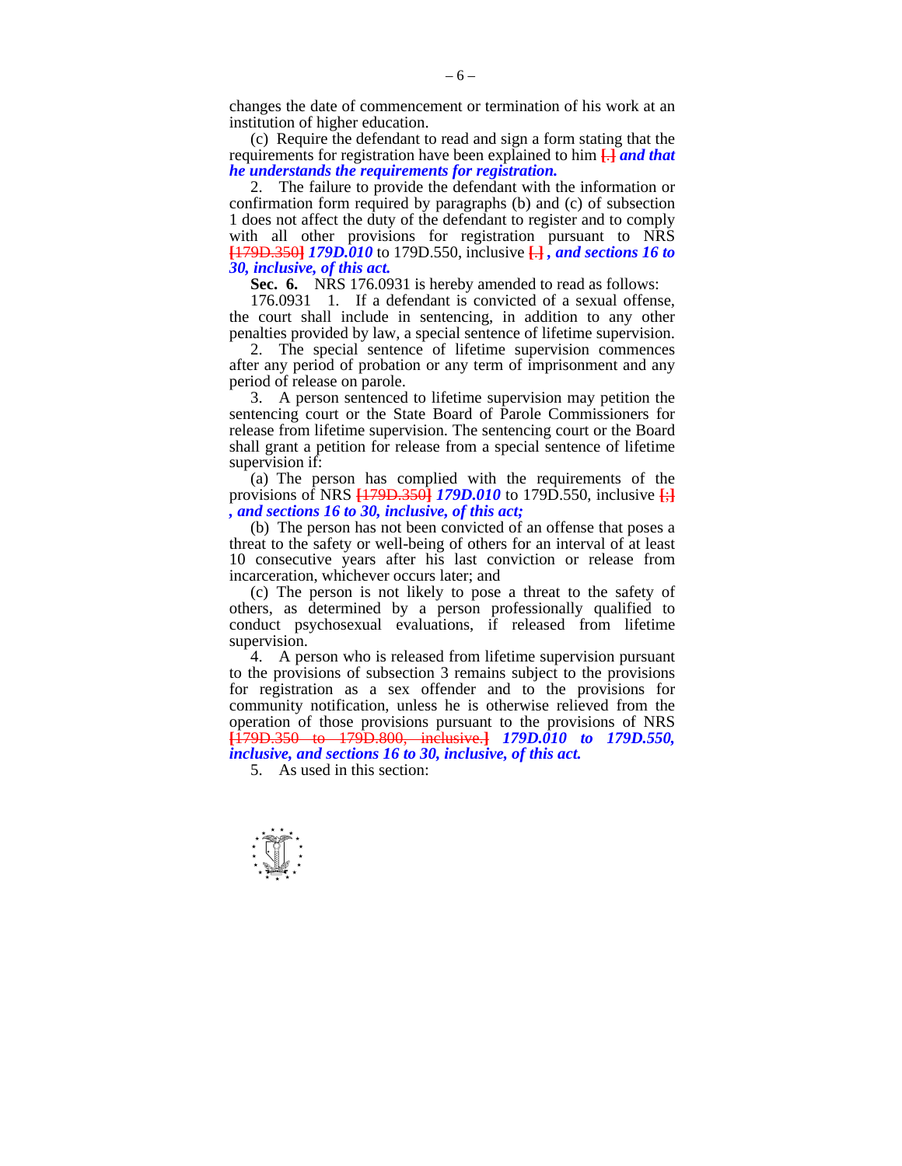changes the date of commencement or termination of his work at an institution of higher education.

 (c) Require the defendant to read and sign a form stating that the requirements for registration have been explained to him **[**.**]** *and that he understands the requirements for registration.* 

 2. The failure to provide the defendant with the information or confirmation form required by paragraphs (b) and (c) of subsection 1 does not affect the duty of the defendant to register and to comply with all other provisions for registration pursuant to NRS **[**179D.350**]** *179D.010* to 179D.550, inclusive **[**.**]** *, and sections 16 to 30, inclusive, of this act.* 

 **Sec. 6.** NRS 176.0931 is hereby amended to read as follows:

 176.0931 1. If a defendant is convicted of a sexual offense, the court shall include in sentencing, in addition to any other penalties provided by law, a special sentence of lifetime supervision.

 2. The special sentence of lifetime supervision commences after any period of probation or any term of imprisonment and any period of release on parole.

 3. A person sentenced to lifetime supervision may petition the sentencing court or the State Board of Parole Commissioners for release from lifetime supervision. The sentencing court or the Board shall grant a petition for release from a special sentence of lifetime supervision if:

 (a) The person has complied with the requirements of the provisions of NRS **[**179D.350**]** *179D.010* to 179D.550, inclusive **[**;**]** *, and sections 16 to 30, inclusive, of this act;* 

 (b) The person has not been convicted of an offense that poses a threat to the safety or well-being of others for an interval of at least 10 consecutive years after his last conviction or release from incarceration, whichever occurs later; and

 (c) The person is not likely to pose a threat to the safety of others, as determined by a person professionally qualified to conduct psychosexual evaluations, if released from lifetime supervision.

 4. A person who is released from lifetime supervision pursuant to the provisions of subsection 3 remains subject to the provisions for registration as a sex offender and to the provisions for community notification, unless he is otherwise relieved from the operation of those provisions pursuant to the provisions of NRS **[**179D.350 to 179D.800, inclusive.**]** *179D.010 to 179D.550, inclusive, and sections 16 to 30, inclusive, of this act.* 

5. As used in this section:

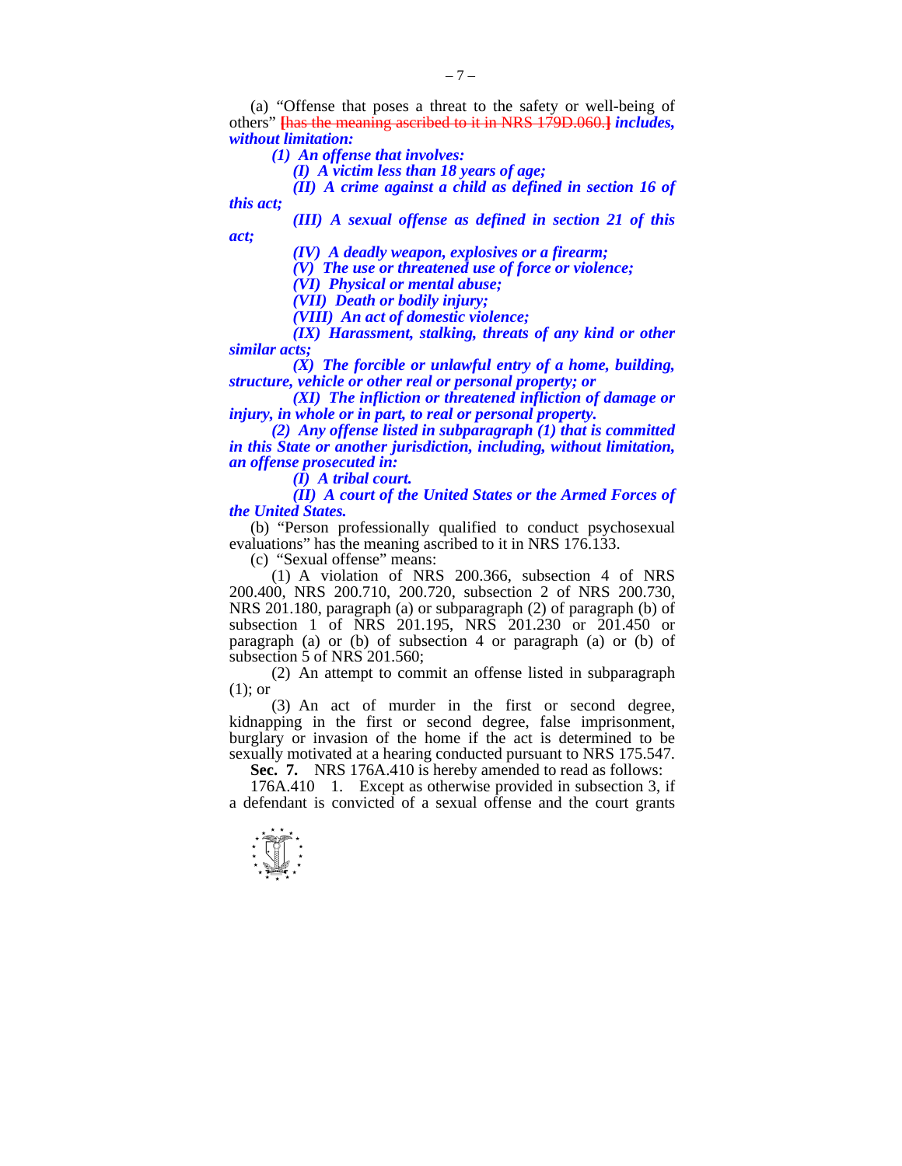(a) "Offense that poses a threat to the safety or well-being of others" **[**has the meaning ascribed to it in NRS 179D.060.**]** *includes, without limitation:* 

 *(1) An offense that involves:* 

 *(I) A victim less than 18 years of age;* 

 *(II) A crime against a child as defined in section 16 of* 

*this act;* 

*act;* 

 *(III) A sexual offense as defined in section 21 of this* 

 *(IV) A deadly weapon, explosives or a firearm;* 

 *(V) The use or threatened use of force or violence;* 

 *(VI) Physical or mental abuse;* 

 *(VII) Death or bodily injury;* 

 *(VIII) An act of domestic violence;* 

 *(IX) Harassment, stalking, threats of any kind or other similar acts;* 

 *(X) The forcible or unlawful entry of a home, building, structure, vehicle or other real or personal property; or* 

 *(XI) The infliction or threatened infliction of damage or injury, in whole or in part, to real or personal property.* 

 *(2) Any offense listed in subparagraph (1) that is committed in this State or another jurisdiction, including, without limitation, an offense prosecuted in:* 

 *(I) A tribal court.* 

 *(II) A court of the United States or the Armed Forces of the United States.* 

 (b) "Person professionally qualified to conduct psychosexual evaluations" has the meaning ascribed to it in NRS 176.133.

(c) "Sexual offense" means:

 (1) A violation of NRS 200.366, subsection 4 of NRS 200.400, NRS 200.710, 200.720, subsection 2 of NRS 200.730, NRS 201.180, paragraph (a) or subparagraph (2) of paragraph (b) of subsection 1 of NRS 201.195, NRS 201.230 or 201.450 or paragraph (a) or (b) of subsection 4 or paragraph (a) or (b) of subsection 5 of NRS 201.560;

 (2) An attempt to commit an offense listed in subparagraph (1); or

 (3) An act of murder in the first or second degree, kidnapping in the first or second degree, false imprisonment, burglary or invasion of the home if the act is determined to be sexually motivated at a hearing conducted pursuant to NRS 175.547.

**Sec. 7.** NRS 176A.410 is hereby amended to read as follows:

 176A.410 1. Except as otherwise provided in subsection 3, if a defendant is convicted of a sexual offense and the court grants

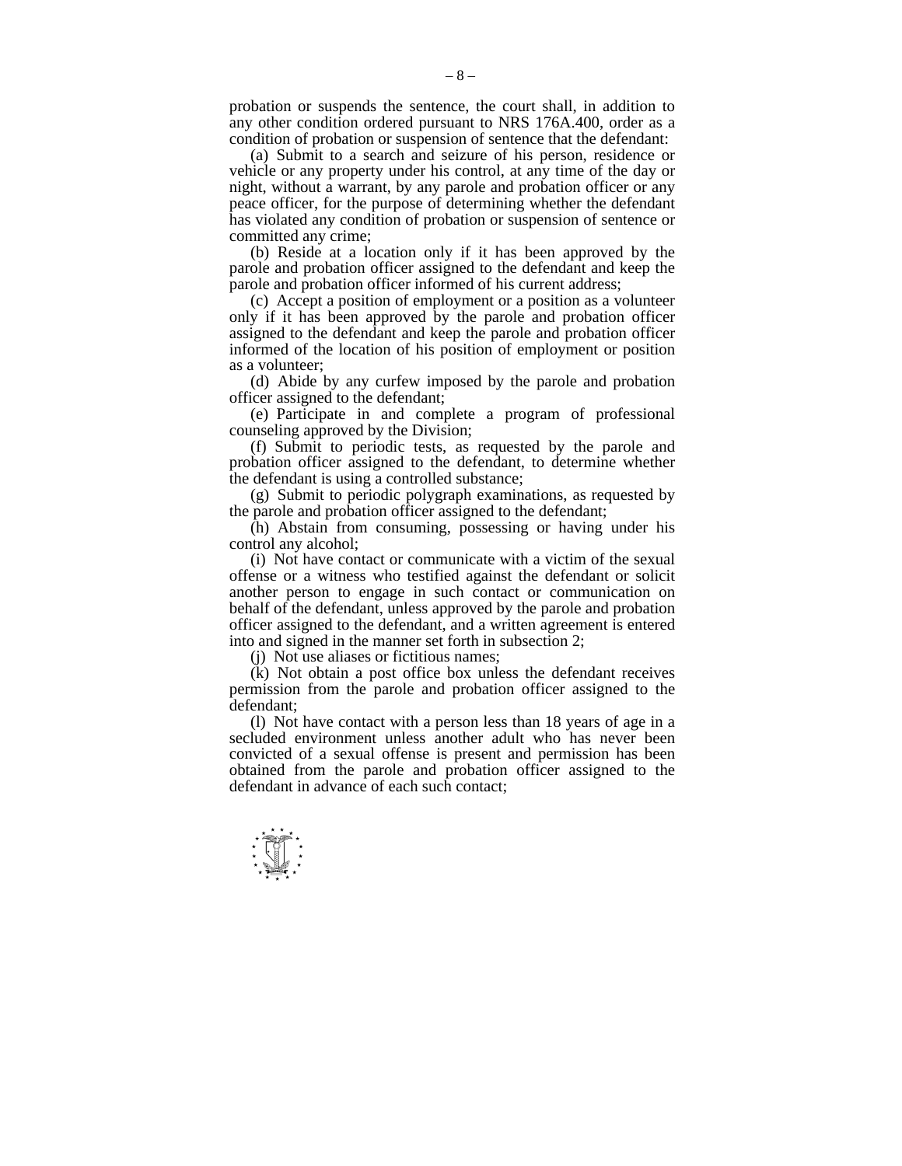probation or suspends the sentence, the court shall, in addition to any other condition ordered pursuant to NRS 176A.400, order as a condition of probation or suspension of sentence that the defendant:

 (a) Submit to a search and seizure of his person, residence or vehicle or any property under his control, at any time of the day or night, without a warrant, by any parole and probation officer or any peace officer, for the purpose of determining whether the defendant has violated any condition of probation or suspension of sentence or committed any crime;

 (b) Reside at a location only if it has been approved by the parole and probation officer assigned to the defendant and keep the parole and probation officer informed of his current address;

 (c) Accept a position of employment or a position as a volunteer only if it has been approved by the parole and probation officer assigned to the defendant and keep the parole and probation officer informed of the location of his position of employment or position as a volunteer;

 (d) Abide by any curfew imposed by the parole and probation officer assigned to the defendant;

 (e) Participate in and complete a program of professional counseling approved by the Division;

 (f) Submit to periodic tests, as requested by the parole and probation officer assigned to the defendant, to determine whether the defendant is using a controlled substance;

 (g) Submit to periodic polygraph examinations, as requested by the parole and probation officer assigned to the defendant;

 (h) Abstain from consuming, possessing or having under his control any alcohol;

 (i) Not have contact or communicate with a victim of the sexual offense or a witness who testified against the defendant or solicit another person to engage in such contact or communication on behalf of the defendant, unless approved by the parole and probation officer assigned to the defendant, and a written agreement is entered into and signed in the manner set forth in subsection 2;

(j) Not use aliases or fictitious names;

 (k) Not obtain a post office box unless the defendant receives permission from the parole and probation officer assigned to the defendant;

 (l) Not have contact with a person less than 18 years of age in a secluded environment unless another adult who has never been convicted of a sexual offense is present and permission has been obtained from the parole and probation officer assigned to the defendant in advance of each such contact;

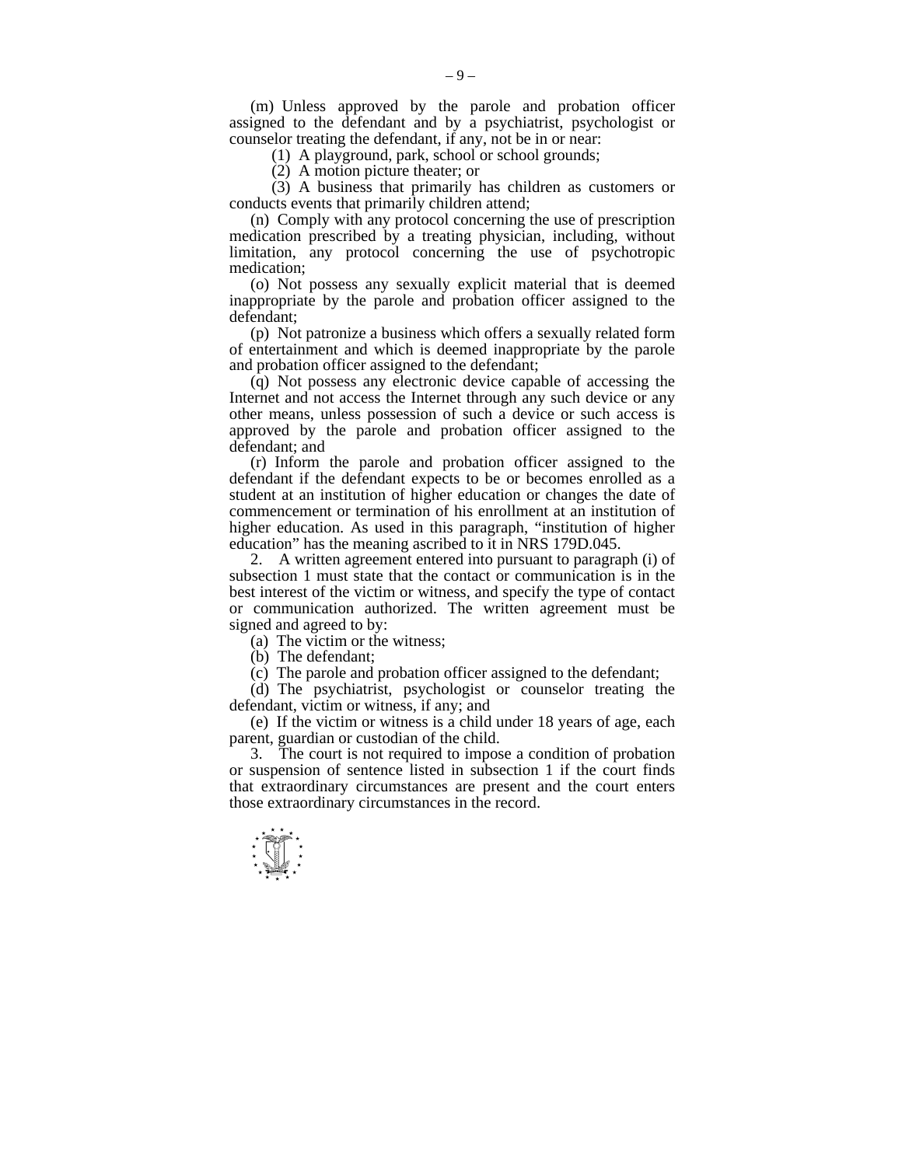(m) Unless approved by the parole and probation officer assigned to the defendant and by a psychiatrist, psychologist or counselor treating the defendant, if any, not be in or near:

(1) A playground, park, school or school grounds;

(2) A motion picture theater; or

 (3) A business that primarily has children as customers or conducts events that primarily children attend;

 (n) Comply with any protocol concerning the use of prescription medication prescribed by a treating physician, including, without limitation, any protocol concerning the use of psychotropic medication;

 (o) Not possess any sexually explicit material that is deemed inappropriate by the parole and probation officer assigned to the defendant;

 (p) Not patronize a business which offers a sexually related form of entertainment and which is deemed inappropriate by the parole and probation officer assigned to the defendant;

 (q) Not possess any electronic device capable of accessing the Internet and not access the Internet through any such device or any other means, unless possession of such a device or such access is approved by the parole and probation officer assigned to the defendant; and

 (r) Inform the parole and probation officer assigned to the defendant if the defendant expects to be or becomes enrolled as a student at an institution of higher education or changes the date of commencement or termination of his enrollment at an institution of higher education. As used in this paragraph, "institution of higher education" has the meaning ascribed to it in NRS 179D.045.

 2. A written agreement entered into pursuant to paragraph (i) of subsection 1 must state that the contact or communication is in the best interest of the victim or witness, and specify the type of contact or communication authorized. The written agreement must be signed and agreed to by:

(a) The victim or the witness;

(b) The defendant;

(c) The parole and probation officer assigned to the defendant;

 (d) The psychiatrist, psychologist or counselor treating the defendant, victim or witness, if any; and

 (e) If the victim or witness is a child under 18 years of age, each parent, guardian or custodian of the child.

 3. The court is not required to impose a condition of probation or suspension of sentence listed in subsection 1 if the court finds that extraordinary circumstances are present and the court enters those extraordinary circumstances in the record.

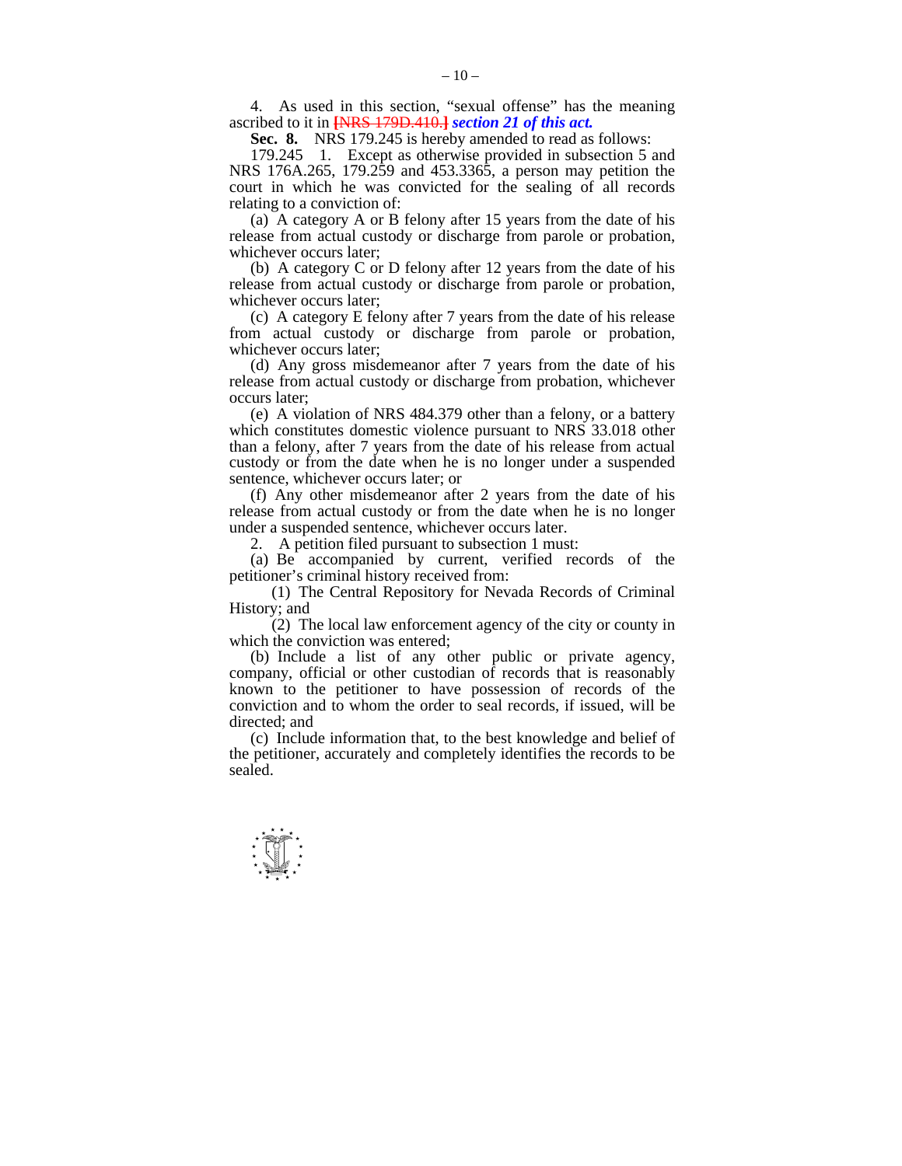4. As used in this section, "sexual offense" has the meaning ascribed to it in **[**NRS 179D.410.**]** *section 21 of this act.* 

 **Sec. 8.** NRS 179.245 is hereby amended to read as follows:

 179.245 1. Except as otherwise provided in subsection 5 and NRS 176A.265, 179.259 and 453.3365, a person may petition the court in which he was convicted for the sealing of all records relating to a conviction of:

 (a) A category A or B felony after 15 years from the date of his release from actual custody or discharge from parole or probation, whichever occurs later;

 (b) A category C or D felony after 12 years from the date of his release from actual custody or discharge from parole or probation, whichever occurs later;

 (c) A category E felony after 7 years from the date of his release from actual custody or discharge from parole or probation, whichever occurs later;

 (d) Any gross misdemeanor after 7 years from the date of his release from actual custody or discharge from probation, whichever occurs later;

 (e) A violation of NRS 484.379 other than a felony, or a battery which constitutes domestic violence pursuant to NRS 33.018 other than a felony, after 7 years from the date of his release from actual custody or from the date when he is no longer under a suspended sentence, whichever occurs later; or

 (f) Any other misdemeanor after 2 years from the date of his release from actual custody or from the date when he is no longer under a suspended sentence, whichever occurs later.

2. A petition filed pursuant to subsection 1 must:

 (a) Be accompanied by current, verified records of the petitioner's criminal history received from:

 (1) The Central Repository for Nevada Records of Criminal History; and

 (2) The local law enforcement agency of the city or county in which the conviction was entered:

 (b) Include a list of any other public or private agency, company, official or other custodian of records that is reasonably known to the petitioner to have possession of records of the conviction and to whom the order to seal records, if issued, will be directed; and

 (c) Include information that, to the best knowledge and belief of the petitioner, accurately and completely identifies the records to be sealed.

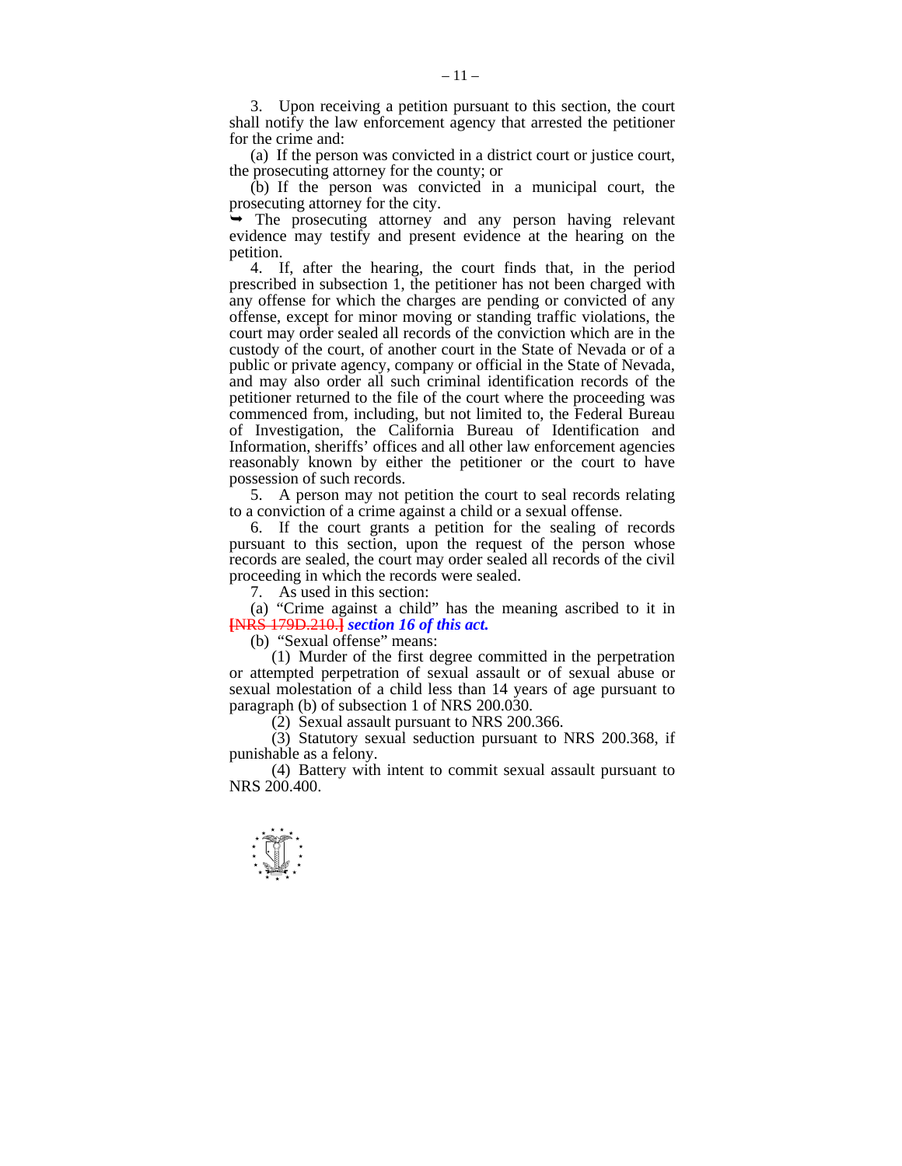3. Upon receiving a petition pursuant to this section, the court shall notify the law enforcement agency that arrested the petitioner for the crime and:

 (a) If the person was convicted in a district court or justice court, the prosecuting attorney for the county; or

 (b) If the person was convicted in a municipal court, the prosecuting attorney for the city.

 $\rightarrow$  The prosecuting attorney and any person having relevant evidence may testify and present evidence at the hearing on the petition.

 4. If, after the hearing, the court finds that, in the period prescribed in subsection 1, the petitioner has not been charged with any offense for which the charges are pending or convicted of any offense, except for minor moving or standing traffic violations, the court may order sealed all records of the conviction which are in the custody of the court, of another court in the State of Nevada or of a public or private agency, company or official in the State of Nevada, and may also order all such criminal identification records of the petitioner returned to the file of the court where the proceeding was commenced from, including, but not limited to, the Federal Bureau of Investigation, the California Bureau of Identification and Information, sheriffs' offices and all other law enforcement agencies reasonably known by either the petitioner or the court to have possession of such records.

 5. A person may not petition the court to seal records relating to a conviction of a crime against a child or a sexual offense.

 6. If the court grants a petition for the sealing of records pursuant to this section, upon the request of the person whose records are sealed, the court may order sealed all records of the civil proceeding in which the records were sealed.

7. As used in this section:

 (a) "Crime against a child" has the meaning ascribed to it in **[**NRS 179D.210.**]** *section 16 of this act.* 

(b) "Sexual offense" means:

 (1) Murder of the first degree committed in the perpetration or attempted perpetration of sexual assault or of sexual abuse or sexual molestation of a child less than 14 years of age pursuant to paragraph (b) of subsection 1 of NRS 200.030.

(2) Sexual assault pursuant to NRS 200.366.

 (3) Statutory sexual seduction pursuant to NRS 200.368, if punishable as a felony.

 (4) Battery with intent to commit sexual assault pursuant to NRS 200.400.

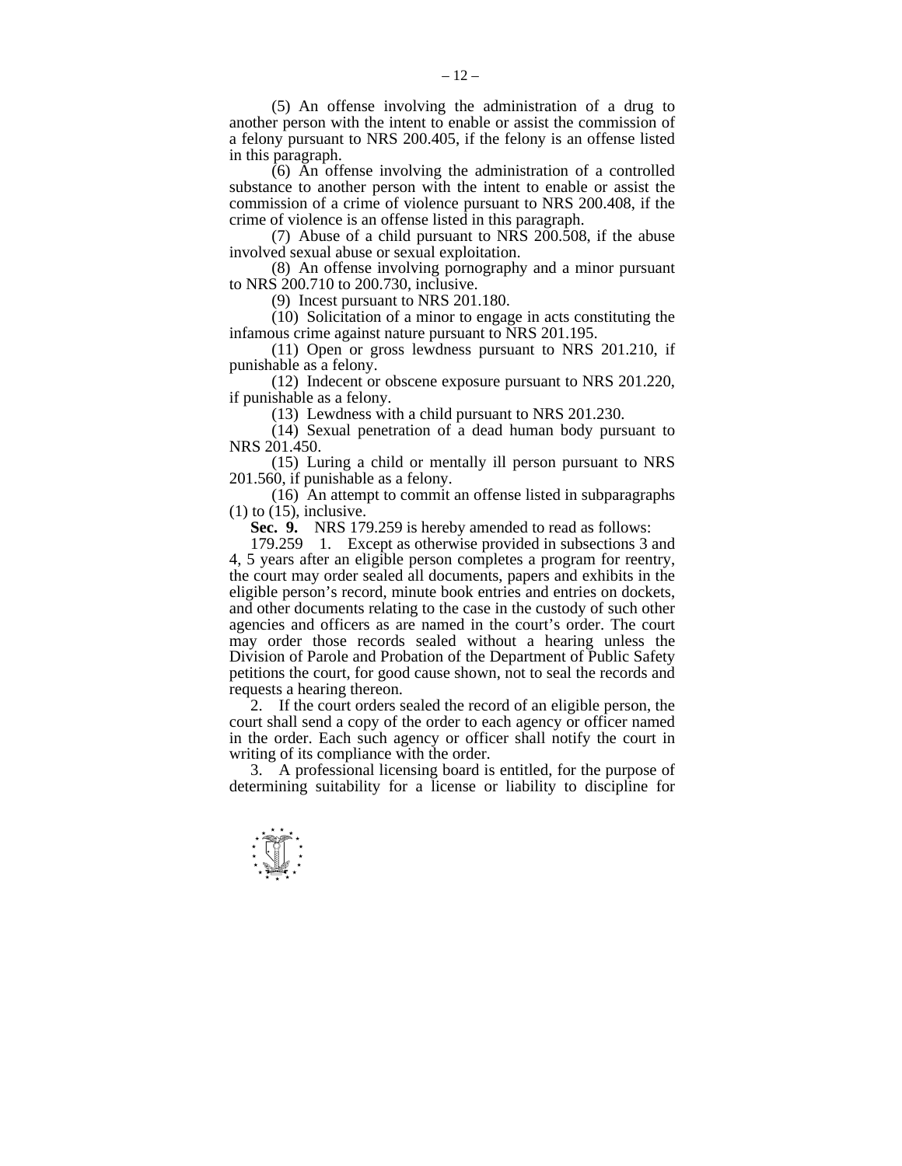(5) An offense involving the administration of a drug to another person with the intent to enable or assist the commission of a felony pursuant to NRS 200.405, if the felony is an offense listed in this paragraph.

 (6) An offense involving the administration of a controlled substance to another person with the intent to enable or assist the commission of a crime of violence pursuant to NRS 200.408, if the crime of violence is an offense listed in this paragraph.

(7) Abuse of a child pursuant to NRS  $200.\overline{5}08$ , if the abuse involved sexual abuse or sexual exploitation.

 (8) An offense involving pornography and a minor pursuant to NRS 200.710 to 200.730, inclusive.

(9) Incest pursuant to NRS 201.180.

 (10) Solicitation of a minor to engage in acts constituting the infamous crime against nature pursuant to NRS 201.195.

 (11) Open or gross lewdness pursuant to NRS 201.210, if punishable as a felony.

 (12) Indecent or obscene exposure pursuant to NRS 201.220, if punishable as a felony.

(13) Lewdness with a child pursuant to NRS 201.230.

 (14) Sexual penetration of a dead human body pursuant to NRS 201.450.

 (15) Luring a child or mentally ill person pursuant to NRS 201.560, if punishable as a felony.

 (16) An attempt to commit an offense listed in subparagraphs  $(1)$  to  $(15)$ , inclusive.

 **Sec. 9.** NRS 179.259 is hereby amended to read as follows:

 179.259 1. Except as otherwise provided in subsections 3 and 4, 5 years after an eligible person completes a program for reentry, the court may order sealed all documents, papers and exhibits in the eligible person's record, minute book entries and entries on dockets, and other documents relating to the case in the custody of such other agencies and officers as are named in the court's order. The court may order those records sealed without a hearing unless the Division of Parole and Probation of the Department of Public Safety petitions the court, for good cause shown, not to seal the records and requests a hearing thereon.

 2. If the court orders sealed the record of an eligible person, the court shall send a copy of the order to each agency or officer named in the order. Each such agency or officer shall notify the court in writing of its compliance with the order.

 3. A professional licensing board is entitled, for the purpose of determining suitability for a license or liability to discipline for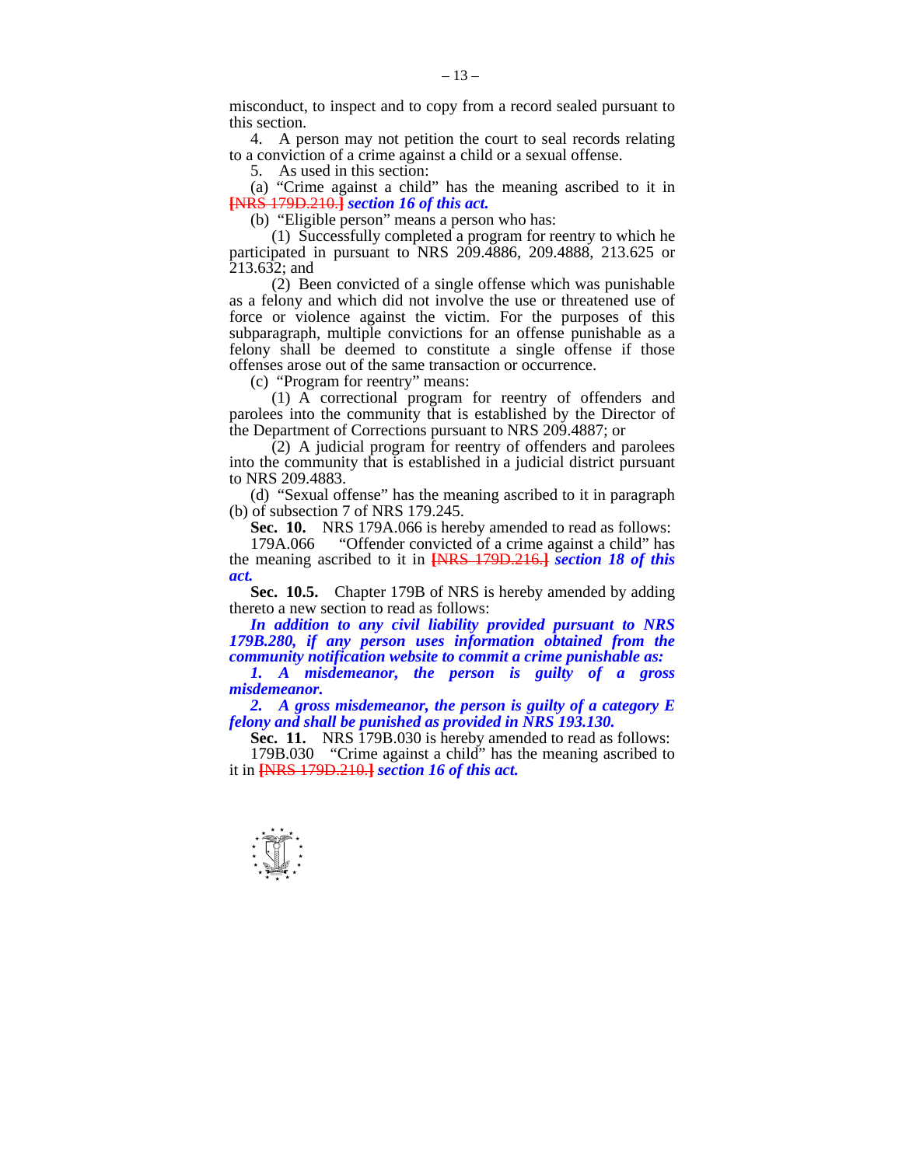misconduct, to inspect and to copy from a record sealed pursuant to this section.

 4. A person may not petition the court to seal records relating to a conviction of a crime against a child or a sexual offense.

5. As used in this section:

 (a) "Crime against a child" has the meaning ascribed to it in **[**NRS 179D.210.**]** *section 16 of this act.* 

(b) "Eligible person" means a person who has:

 (1) Successfully completed a program for reentry to which he participated in pursuant to NRS 209.4886, 209.4888, 213.625 or  $213.632$ ; and

 (2) Been convicted of a single offense which was punishable as a felony and which did not involve the use or threatened use of force or violence against the victim. For the purposes of this subparagraph, multiple convictions for an offense punishable as a felony shall be deemed to constitute a single offense if those offenses arose out of the same transaction or occurrence.

(c) "Program for reentry" means:

 (1) A correctional program for reentry of offenders and parolees into the community that is established by the Director of the Department of Corrections pursuant to NRS 209.4887; or

 $(2)$  A judicial program for reentry of offenders and parolees into the community that is established in a judicial district pursuant to NRS 209.4883.

 (d) "Sexual offense" has the meaning ascribed to it in paragraph (b) of subsection 7 of NRS 179.245.

 **Sec. 10.** NRS 179A.066 is hereby amended to read as follows:

"Offender convicted of a crime against a child" has the meaning ascribed to it in **[**NRS 179D.216.**]** *section 18 of this act.* 

**Sec. 10.5.** Chapter 179B of NRS is hereby amended by adding thereto a new section to read as follows:

 *In addition to any civil liability provided pursuant to NRS 179B.280, if any person uses information obtained from the community notification website to commit a crime punishable as:* 

 *1. A misdemeanor, the person is guilty of a gross misdemeanor.* 

 *2. A gross misdemeanor, the person is guilty of a category E felony and shall be punished as provided in NRS 193.130.* 

**Sec. 11.** NRS 179B.030 is hereby amended to read as follows:

 179B.030 "Crime against a child" has the meaning ascribed to it in **[**NRS 179D.210.**]** *section 16 of this act.* 

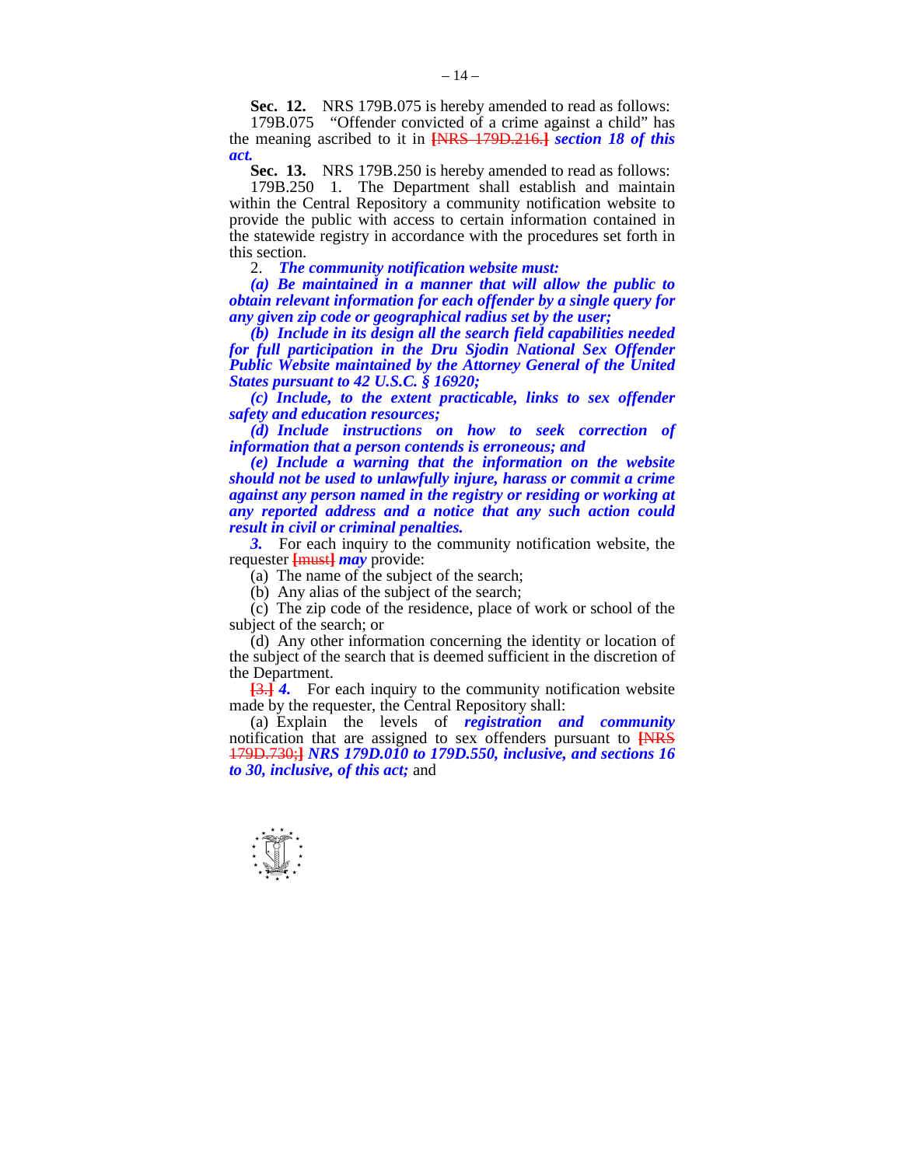**Sec. 12.** NRS 179B.075 is hereby amended to read as follows:

 179B.075 "Offender convicted of a crime against a child" has the meaning ascribed to it in **[**NRS 179D.216.**]** *section 18 of this act.* 

 **Sec. 13.** NRS 179B.250 is hereby amended to read as follows:

 179B.250 1. The Department shall establish and maintain within the Central Repository a community notification website to provide the public with access to certain information contained in the statewide registry in accordance with the procedures set forth in this section.

2. *The community notification website must:* 

 *(a) Be maintained in a manner that will allow the public to obtain relevant information for each offender by a single query for any given zip code or geographical radius set by the user;* 

 *(b) Include in its design all the search field capabilities needed for full participation in the Dru Sjodin National Sex Offender Public Website maintained by the Attorney General of the United States pursuant to 42 U.S.C. § 16920;* 

 *(c) Include, to the extent practicable, links to sex offender safety and education resources;* 

 *(d) Include instructions on how to seek correction of information that a person contends is erroneous; and* 

 *(e) Include a warning that the information on the website should not be used to unlawfully injure, harass or commit a crime against any person named in the registry or residing or working at any reported address and a notice that any such action could result in civil or criminal penalties.* 

**3.** For each inquiry to the community notification website, the requester **[**must**]** *may* provide:

(a) The name of the subject of the search;

(b) Any alias of the subject of the search;

 (c) The zip code of the residence, place of work or school of the subject of the search; or

 (d) Any other information concerning the identity or location of the subject of the search that is deemed sufficient in the discretion of the Department.

**[**3.**]** *4.* For each inquiry to the community notification website made by the requester, the Central Repository shall:

 (a) Explain the levels of *registration and community*  notification that are assigned to sex offenders pursuant to **[**NRS 179D.730;**]** *NRS 179D.010 to 179D.550, inclusive, and sections 16 to 30, inclusive, of this act;* and

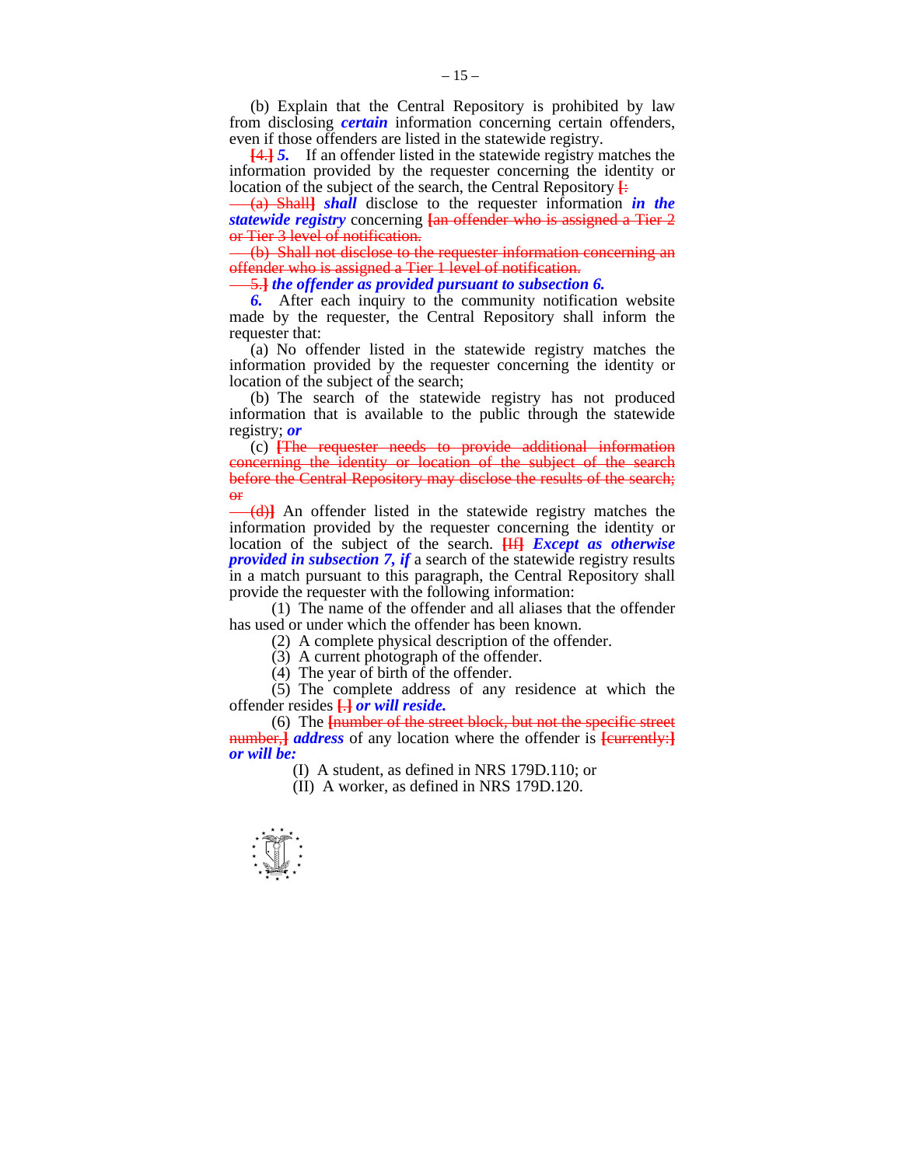(b) Explain that the Central Repository is prohibited by law from disclosing *certain* information concerning certain offenders, even if those offenders are listed in the statewide registry.

**[**4.**]** *5.* If an offender listed in the statewide registry matches the information provided by the requester concerning the identity or location of the subject of the search, the Central Repository **[**:

(a) Shall**]** *shall* disclose to the requester information *in the statewide registry* concerning **[**an offender who is assigned a Tier 2 or Tier 3 level of notification.

(b) Shall not disclose to the requester information concerning an offender who is assigned a Tier 1 level of notification.

5.**]** *the offender as provided pursuant to subsection 6.* 

*6.* After each inquiry to the community notification website made by the requester, the Central Repository shall inform the requester that:

 (a) No offender listed in the statewide registry matches the information provided by the requester concerning the identity or location of the subject of the search;

 (b) The search of the statewide registry has not produced information that is available to the public through the statewide registry; *or* 

 (c) **[**The requester needs to provide additional information concerning the identity or location of the subject of the search before the Central Repository may disclose the results of the search; or

(d)**]** An offender listed in the statewide registry matches the information provided by the requester concerning the identity or location of the subject of the search. **[**If**]** *Except as otherwise provided in subsection 7, if* a search of the statewide registry results in a match pursuant to this paragraph, the Central Repository shall provide the requester with the following information:

 (1) The name of the offender and all aliases that the offender has used or under which the offender has been known.

(2) A complete physical description of the offender.

(3) A current photograph of the offender.

(4) The year of birth of the offender.

 (5) The complete address of any residence at which the offender resides **[**.**]** *or will reside.* 

 (6) The **[**number of the street block, but not the specific street number,**]** *address* of any location where the offender is **[**currently:**]** *or will be:* 

(I) A student, as defined in NRS 179D.110; or

(II) A worker, as defined in NRS 179D.120.

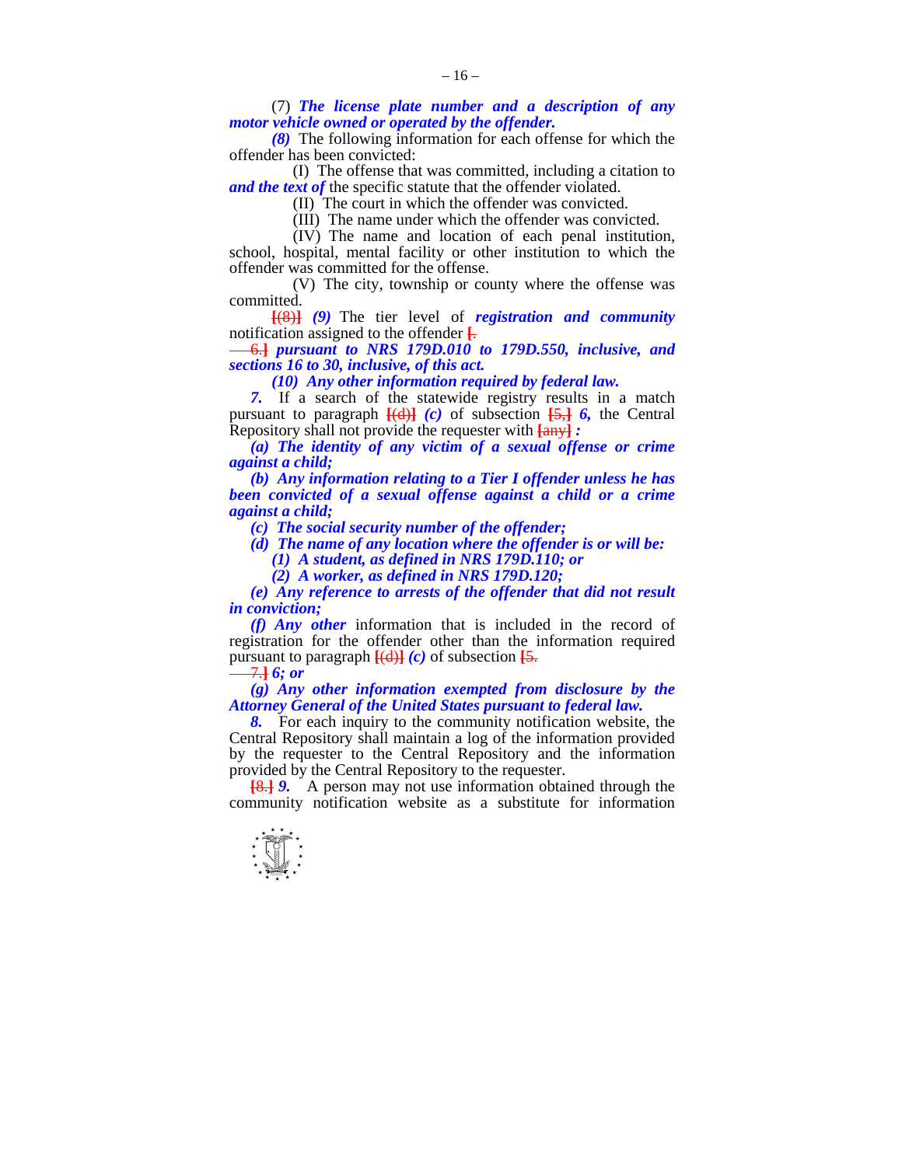(7) *The license plate number and a description of any motor vehicle owned or operated by the offender.* 

 *(8)* The following information for each offense for which the offender has been convicted:

 (I) The offense that was committed, including a citation to *and the text of* the specific statute that the offender violated.

(II) The court in which the offender was convicted.

(III) The name under which the offender was convicted.

 (IV) The name and location of each penal institution, school, hospital, mental facility or other institution to which the offender was committed for the offense.

 (V) The city, township or county where the offense was committed.

 **[**(8)**]** *(9)* The tier level of *registration and community*  notification assigned to the offender **[**.

6.**]** *pursuant to NRS 179D.010 to 179D.550, inclusive, and sections 16 to 30, inclusive, of this act.* 

 *(10) Any other information required by federal law.* 

*7.* If a search of the statewide registry results in a match pursuant to paragraph  $\overline{[}(d)$ **]** (c) of subsection  $\overline{[5,]}$  6, the Central Repository shall not provide the requester with **[**any**]** *:* 

 *(a) The identity of any victim of a sexual offense or crime against a child;* 

 *(b) Any information relating to a Tier I offender unless he has been convicted of a sexual offense against a child or a crime against a child;* 

 *(c) The social security number of the offender;* 

 *(d) The name of any location where the offender is or will be:* 

 *(1) A student, as defined in NRS 179D.110; or* 

 *(2) A worker, as defined in NRS 179D.120;* 

 *(e) Any reference to arrests of the offender that did not result in conviction;* 

 *(f) Any other* information that is included in the record of registration for the offender other than the information required pursuant to paragraph  $\frac{[d]}{[d]}(c)$  of subsection  $\frac{[5]}{[6]}$ 

7.**]** *6; or* 

 *(g) Any other information exempted from disclosure by the Attorney General of the United States pursuant to federal law.* 

 *8.* For each inquiry to the community notification website, the Central Repository shall maintain a log of the information provided by the requester to the Central Repository and the information provided by the Central Repository to the requester.

**[**8.**]** *9.* A person may not use information obtained through the community notification website as a substitute for information

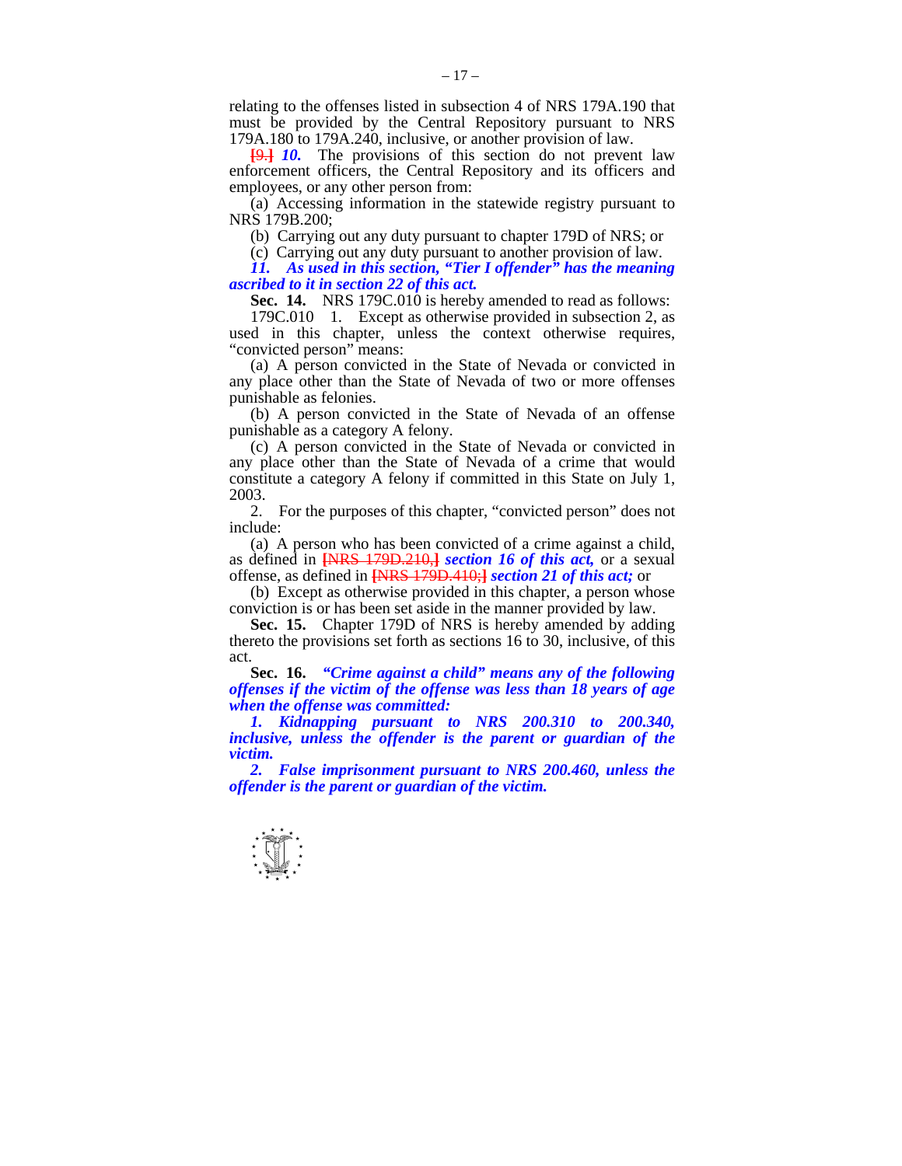relating to the offenses listed in subsection 4 of NRS 179A.190 that must be provided by the Central Repository pursuant to NRS 179A.180 to 179A.240, inclusive, or another provision of law.

**[**9.**]** *10.* The provisions of this section do not prevent law enforcement officers, the Central Repository and its officers and employees, or any other person from:

 (a) Accessing information in the statewide registry pursuant to NRS 179B.200;

(b) Carrying out any duty pursuant to chapter 179D of NRS; or

(c) Carrying out any duty pursuant to another provision of law.

 *11. As used in this section, "Tier I offender" has the meaning ascribed to it in section 22 of this act.* 

 **Sec. 14.** NRS 179C.010 is hereby amended to read as follows:

 179C.010 1. Except as otherwise provided in subsection 2, as used in this chapter, unless the context otherwise requires, "convicted person" means:

 (a) A person convicted in the State of Nevada or convicted in any place other than the State of Nevada of two or more offenses punishable as felonies.

 (b) A person convicted in the State of Nevada of an offense punishable as a category A felony.

 (c) A person convicted in the State of Nevada or convicted in any place other than the State of Nevada of a crime that would constitute a category A felony if committed in this State on July 1, 2003.

 2. For the purposes of this chapter, "convicted person" does not include:

 (a) A person who has been convicted of a crime against a child, as defined in **[**NRS 179D.210,**]** *section 16 of this act,* or a sexual offense, as defined in **[**NRS 179D.410;**]** *section 21 of this act;* or

 (b) Except as otherwise provided in this chapter, a person whose conviction is or has been set aside in the manner provided by law.

 **Sec. 15.** Chapter 179D of NRS is hereby amended by adding thereto the provisions set forth as sections 16 to 30, inclusive, of this act.

**Sec. 16.** *"Crime against a child" means any of the following offenses if the victim of the offense was less than 18 years of age when the offense was committed:* 

 *1. Kidnapping pursuant to NRS 200.310 to 200.340, inclusive, unless the offender is the parent or guardian of the victim.* 

 *2. False imprisonment pursuant to NRS 200.460, unless the offender is the parent or guardian of the victim.* 

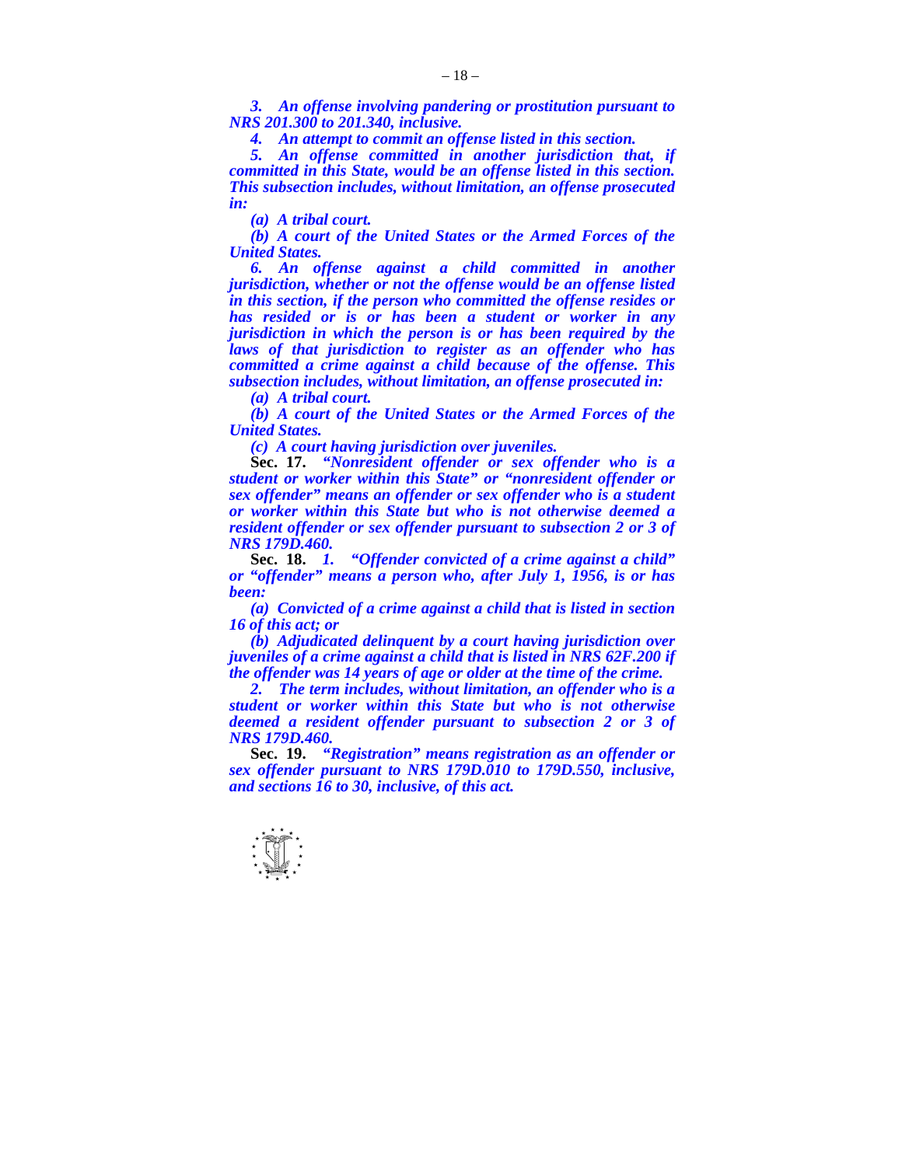*3. An offense involving pandering or prostitution pursuant to NRS 201.300 to 201.340, inclusive.* 

 *4. An attempt to commit an offense listed in this section.* 

 *5. An offense committed in another jurisdiction that, if committed in this State, would be an offense listed in this section. This subsection includes, without limitation, an offense prosecuted in:* 

 *(a) A tribal court.* 

 *(b) A court of the United States or the Armed Forces of the United States.* 

 *6. An offense against a child committed in another jurisdiction, whether or not the offense would be an offense listed in this section, if the person who committed the offense resides or has resided or is or has been a student or worker in any jurisdiction in which the person is or has been required by the laws of that jurisdiction to register as an offender who has committed a crime against a child because of the offense. This subsection includes, without limitation, an offense prosecuted in:* 

 *(a) A tribal court.* 

 *(b) A court of the United States or the Armed Forces of the United States.* 

 *(c) A court having jurisdiction over juveniles.* 

 **Sec. 17.** *"Nonresident offender or sex offender who is a student or worker within this State" or "nonresident offender or sex offender" means an offender or sex offender who is a student or worker within this State but who is not otherwise deemed a resident offender or sex offender pursuant to subsection 2 or 3 of NRS 179D.460.* 

**Sec. 18.** *1. "Offender convicted of a crime against a child" or "offender" means a person who, after July 1, 1956, is or has been:* 

 *(a) Convicted of a crime against a child that is listed in section 16 of this act; or* 

 *(b) Adjudicated delinquent by a court having jurisdiction over juveniles of a crime against a child that is listed in NRS 62F.200 if the offender was 14 years of age or older at the time of the crime.* 

 *2. The term includes, without limitation, an offender who is a student or worker within this State but who is not otherwise deemed a resident offender pursuant to subsection 2 or 3 of NRS 179D.460.* 

 **Sec. 19.** *"Registration" means registration as an offender or sex offender pursuant to NRS 179D.010 to 179D.550, inclusive, and sections 16 to 30, inclusive, of this act.* 

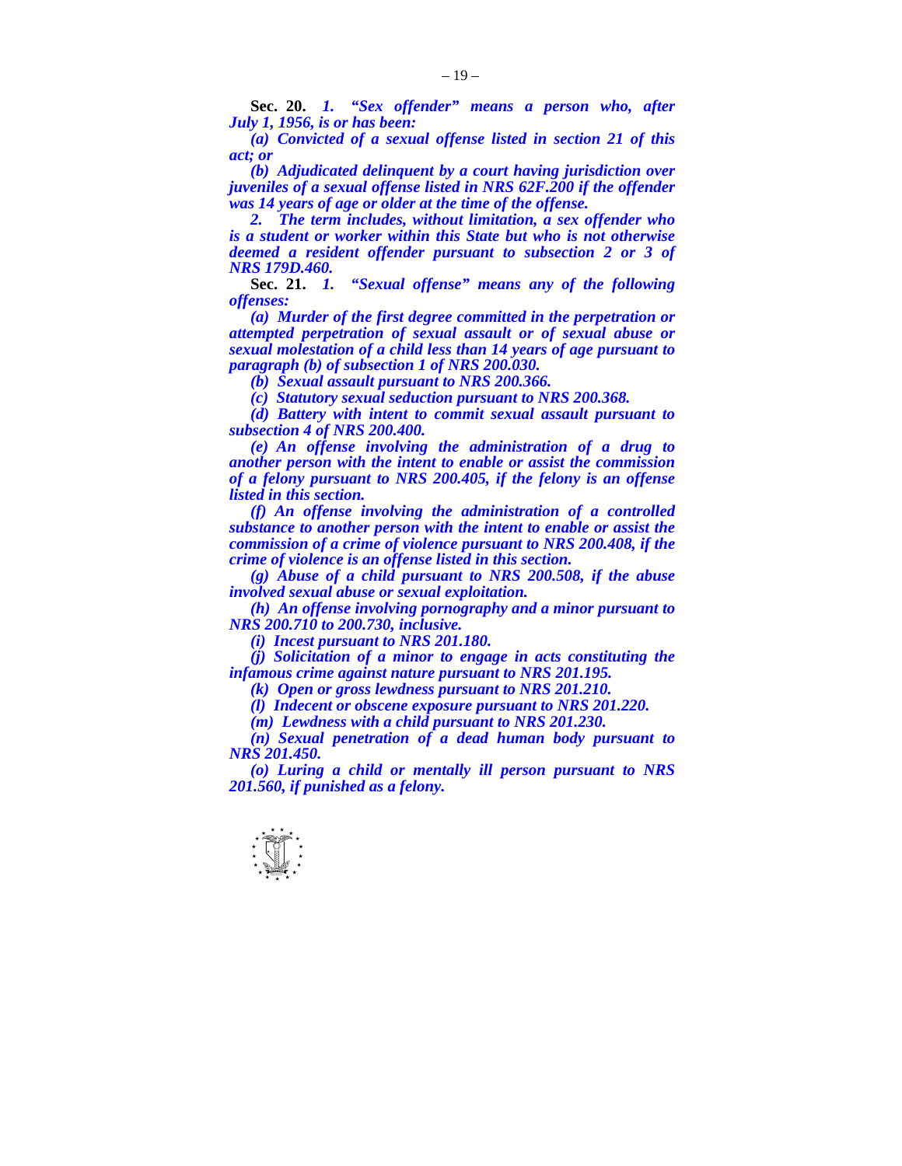**Sec. 20.** *1. "Sex offender" means a person who, after July 1, 1956, is or has been:* 

 *(a) Convicted of a sexual offense listed in section 21 of this act; or* 

 *(b) Adjudicated delinquent by a court having jurisdiction over juveniles of a sexual offense listed in NRS 62F.200 if the offender was 14 years of age or older at the time of the offense.* 

 *2. The term includes, without limitation, a sex offender who is a student or worker within this State but who is not otherwise deemed a resident offender pursuant to subsection 2 or 3 of NRS 179D.460.* 

 **Sec. 21.** *1. "Sexual offense" means any of the following offenses:* 

 *(a) Murder of the first degree committed in the perpetration or attempted perpetration of sexual assault or of sexual abuse or sexual molestation of a child less than 14 years of age pursuant to paragraph (b) of subsection 1 of NRS 200.030.* 

 *(b) Sexual assault pursuant to NRS 200.366.* 

 *(c) Statutory sexual seduction pursuant to NRS 200.368.* 

 *(d) Battery with intent to commit sexual assault pursuant to subsection 4 of NRS 200.400.* 

 *(e) An offense involving the administration of a drug to another person with the intent to enable or assist the commission of a felony pursuant to NRS 200.405, if the felony is an offense listed in this section.* 

 *(f) An offense involving the administration of a controlled substance to another person with the intent to enable or assist the commission of a crime of violence pursuant to NRS 200.408, if the crime of violence is an offense listed in this section.* 

 *(g) Abuse of a child pursuant to NRS 200.508, if the abuse involved sexual abuse or sexual exploitation.* 

 *(h) An offense involving pornography and a minor pursuant to NRS 200.710 to 200.730, inclusive.* 

 *(i) Incest pursuant to NRS 201.180.* 

 *(j) Solicitation of a minor to engage in acts constituting the infamous crime against nature pursuant to NRS 201.195.* 

 *(k) Open or gross lewdness pursuant to NRS 201.210.* 

 *(l) Indecent or obscene exposure pursuant to NRS 201.220.* 

 *(m) Lewdness with a child pursuant to NRS 201.230.* 

 *(n) Sexual penetration of a dead human body pursuant to NRS 201.450.* 

 *(o) Luring a child or mentally ill person pursuant to NRS 201.560, if punished as a felony.*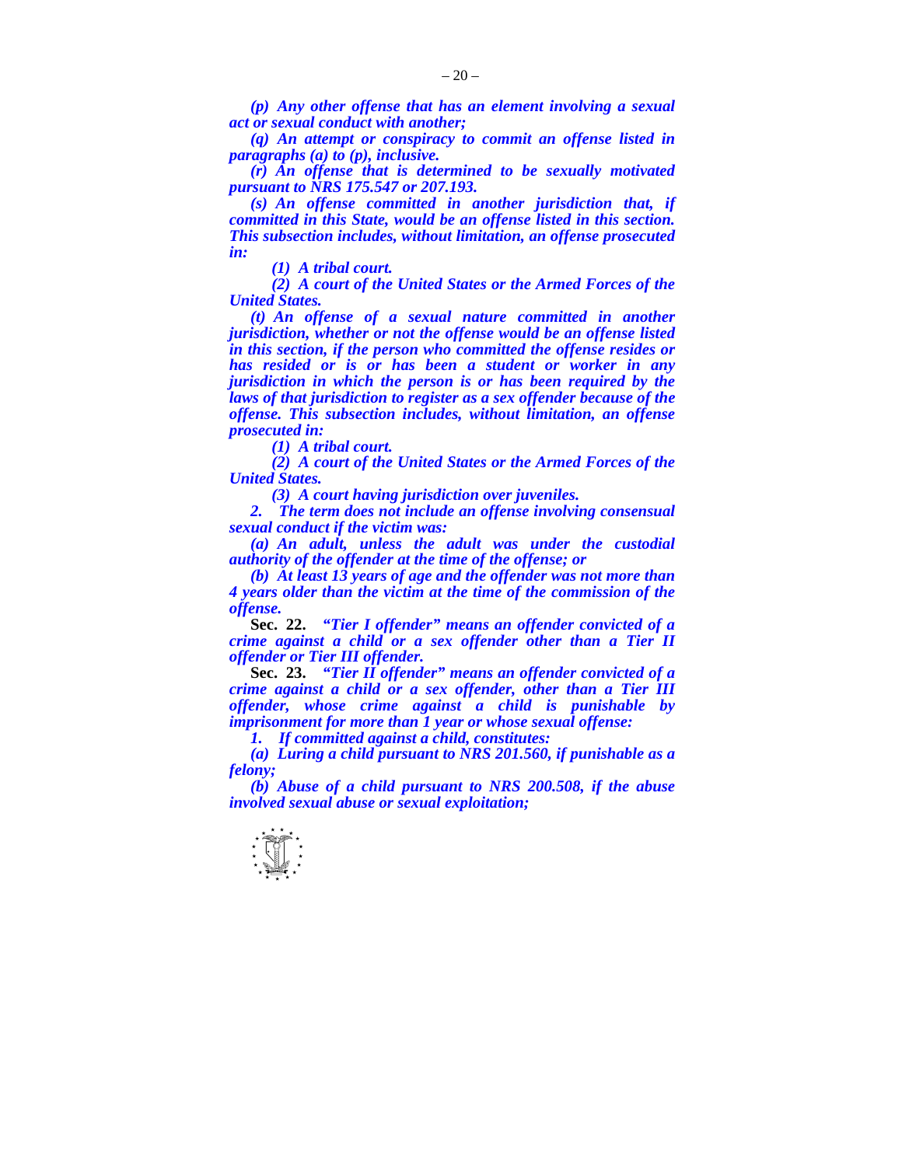*(p) Any other offense that has an element involving a sexual act or sexual conduct with another;* 

 *(q) An attempt or conspiracy to commit an offense listed in paragraphs (a) to (p), inclusive.* 

 *(r) An offense that is determined to be sexually motivated pursuant to NRS 175.547 or 207.193.* 

 *(s) An offense committed in another jurisdiction that, if committed in this State, would be an offense listed in this section. This subsection includes, without limitation, an offense prosecuted in:* 

 *(1) A tribal court.* 

 *(2) A court of the United States or the Armed Forces of the United States.* 

 *(t) An offense of a sexual nature committed in another jurisdiction, whether or not the offense would be an offense listed in this section, if the person who committed the offense resides or has resided or is or has been a student or worker in any jurisdiction in which the person is or has been required by the laws of that jurisdiction to register as a sex offender because of the offense. This subsection includes, without limitation, an offense prosecuted in:* 

 *(1) A tribal court.* 

 *(2) A court of the United States or the Armed Forces of the United States.* 

 *(3) A court having jurisdiction over juveniles.* 

 *2. The term does not include an offense involving consensual sexual conduct if the victim was:* 

 *(a) An adult, unless the adult was under the custodial authority of the offender at the time of the offense; or* 

 *(b) At least 13 years of age and the offender was not more than 4 years older than the victim at the time of the commission of the offense.* 

 **Sec. 22.** *"Tier I offender" means an offender convicted of a crime against a child or a sex offender other than a Tier II offender or Tier III offender.* 

 **Sec. 23.** *"Tier II offender" means an offender convicted of a crime against a child or a sex offender, other than a Tier III offender, whose crime against a child is punishable by imprisonment for more than 1 year or whose sexual offense:* 

 *1. If committed against a child, constitutes:* 

 *(a) Luring a child pursuant to NRS 201.560, if punishable as a felony;* 

 *(b) Abuse of a child pursuant to NRS 200.508, if the abuse involved sexual abuse or sexual exploitation;*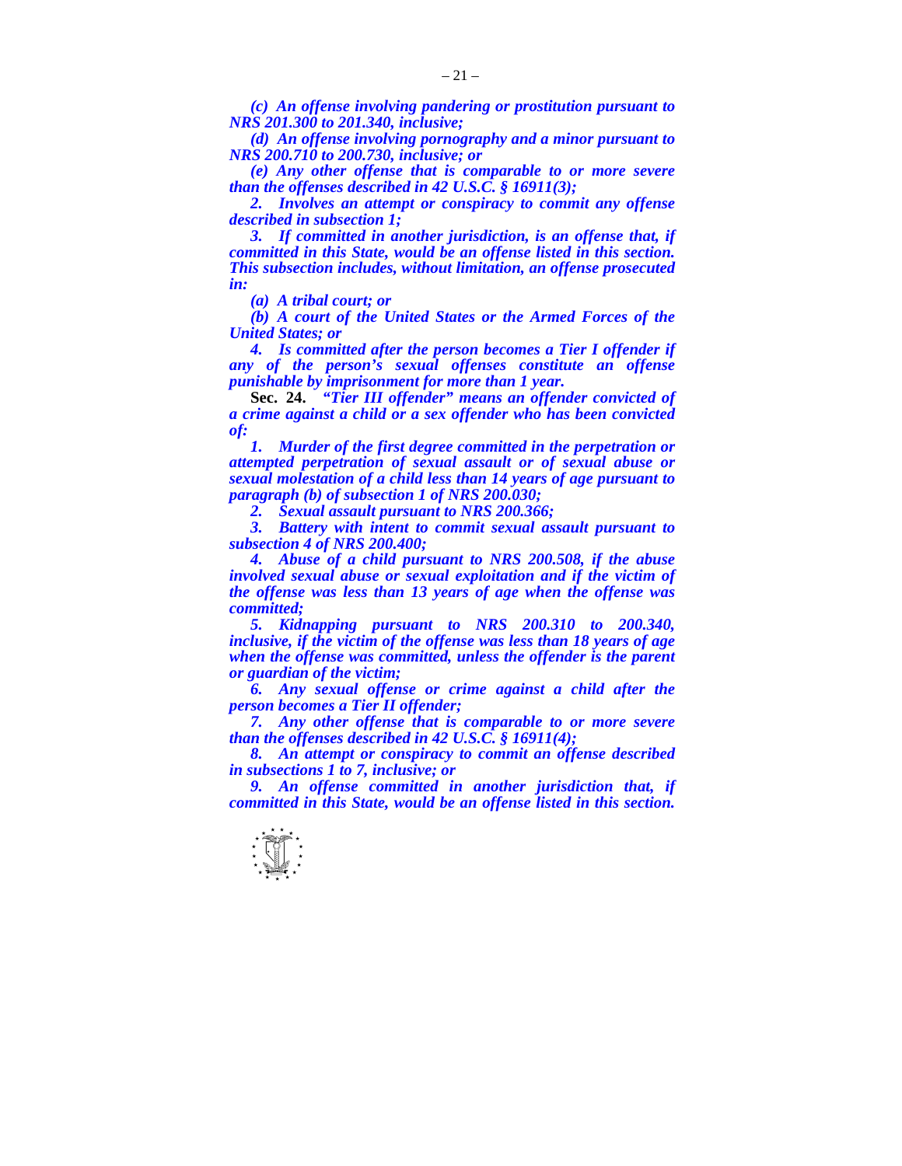*(c) An offense involving pandering or prostitution pursuant to NRS 201.300 to 201.340, inclusive;* 

 *(d) An offense involving pornography and a minor pursuant to NRS 200.710 to 200.730, inclusive; or* 

 *(e) Any other offense that is comparable to or more severe than the offenses described in 42 U.S.C. § 16911(3);* 

 *2. Involves an attempt or conspiracy to commit any offense described in subsection 1;* 

 *3. If committed in another jurisdiction, is an offense that, if committed in this State, would be an offense listed in this section. This subsection includes, without limitation, an offense prosecuted in:* 

 *(a) A tribal court; or* 

 *(b) A court of the United States or the Armed Forces of the United States; or* 

 *4. Is committed after the person becomes a Tier I offender if any of the person's sexual offenses constitute an offense punishable by imprisonment for more than 1 year.* 

 **Sec. 24.** *"Tier III offender" means an offender convicted of a crime against a child or a sex offender who has been convicted of:* 

 *1. Murder of the first degree committed in the perpetration or attempted perpetration of sexual assault or of sexual abuse or sexual molestation of a child less than 14 years of age pursuant to paragraph (b) of subsection 1 of NRS 200.030;* 

 *2. Sexual assault pursuant to NRS 200.366;* 

*Battery with intent to commit sexual assault pursuant to subsection 4 of NRS 200.400;* 

 *4. Abuse of a child pursuant to NRS 200.508, if the abuse involved sexual abuse or sexual exploitation and if the victim of the offense was less than 13 years of age when the offense was committed;* 

 *5. Kidnapping pursuant to NRS 200.310 to 200.340, inclusive, if the victim of the offense was less than 18 years of age when the offense was committed, unless the offender is the parent or guardian of the victim;* 

 *6. Any sexual offense or crime against a child after the person becomes a Tier II offender;* 

 *7. Any other offense that is comparable to or more severe than the offenses described in 42 U.S.C. § 16911(4);* 

 *8. An attempt or conspiracy to commit an offense described in subsections 1 to 7, inclusive; or* 

 *9. An offense committed in another jurisdiction that, if committed in this State, would be an offense listed in this section.* 

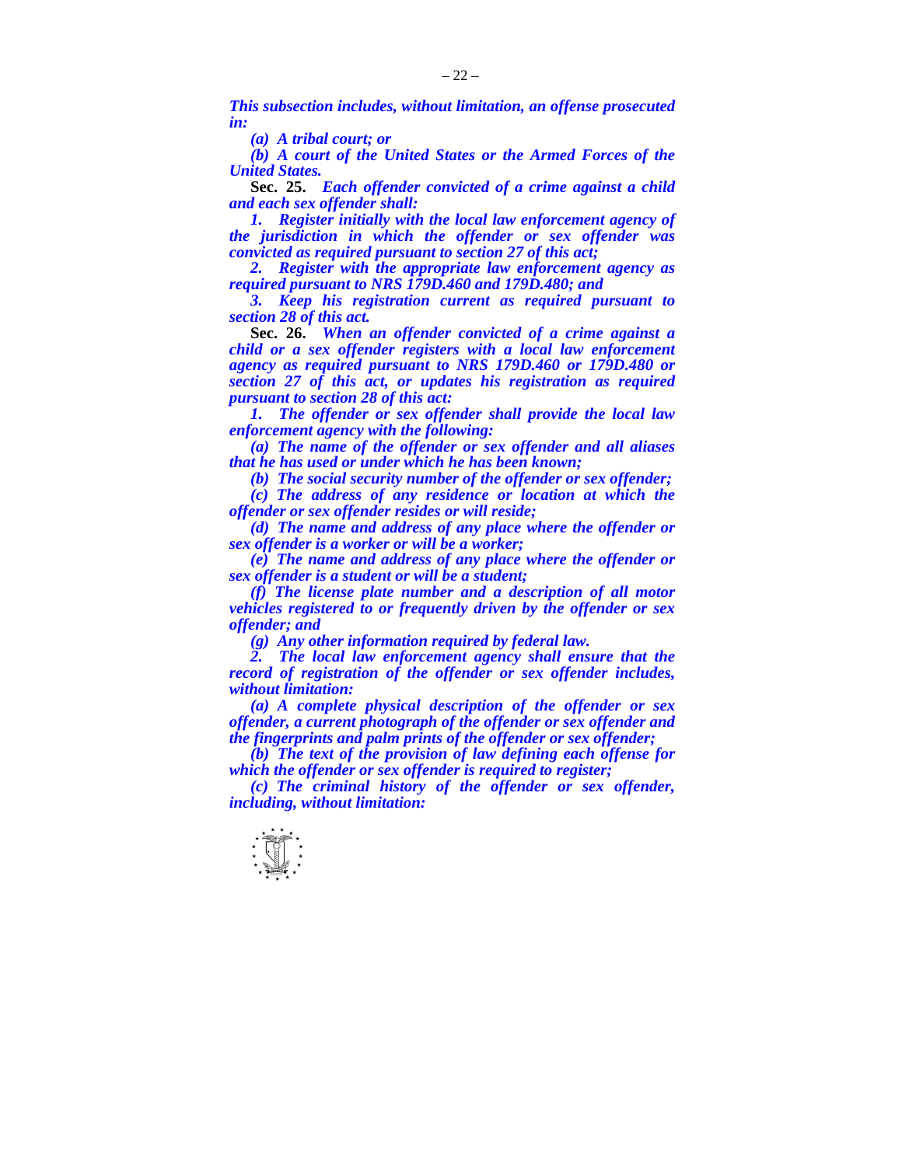*This subsection includes, without limitation, an offense prosecuted in:* 

 *(a) A tribal court; or* 

 *(b) A court of the United States or the Armed Forces of the United States.* 

 **Sec. 25.** *Each offender convicted of a crime against a child and each sex offender shall:* 

 *1. Register initially with the local law enforcement agency of the jurisdiction in which the offender or sex offender was convicted as required pursuant to section 27 of this act;* 

 *2. Register with the appropriate law enforcement agency as required pursuant to NRS 179D.460 and 179D.480; and* 

 *3. Keep his registration current as required pursuant to section 28 of this act.*

 **Sec. 26.** *When an offender convicted of a crime against a child or a sex offender registers with a local law enforcement agency as required pursuant to NRS 179D.460 or 179D.480 or section 27 of this act, or updates his registration as required pursuant to section 28 of this act:* 

 *1. The offender or sex offender shall provide the local law enforcement agency with the following:* 

 *(a) The name of the offender or sex offender and all aliases that he has used or under which he has been known;* 

 *(b) The social security number of the offender or sex offender; (c) The address of any residence or location at which the offender or sex offender resides or will reside;* 

 *(d) The name and address of any place where the offender or sex offender is a worker or will be a worker;* 

 *(e) The name and address of any place where the offender or sex offender is a student or will be a student;* 

 *(f) The license plate number and a description of all motor vehicles registered to or frequently driven by the offender or sex offender; and* 

 *(g) Any other information required by federal law.* 

 *2. The local law enforcement agency shall ensure that the record of registration of the offender or sex offender includes, without limitation:* 

 *(a) A complete physical description of the offender or sex offender, a current photograph of the offender or sex offender and the fingerprints and palm prints of the offender or sex offender;* 

 *(b) The text of the provision of law defining each offense for which the offender or sex offender is required to register;* 

 *(c) The criminal history of the offender or sex offender, including, without limitation:* 

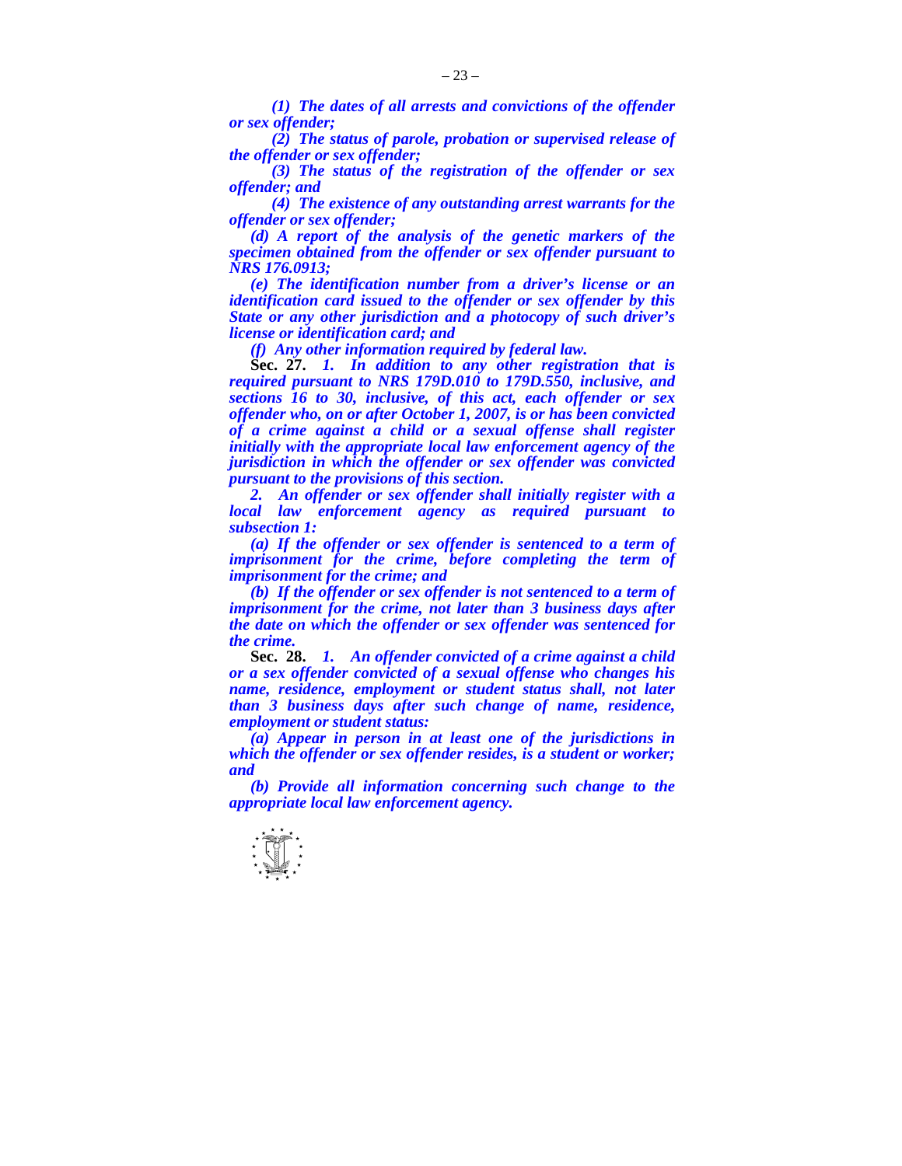*(1) The dates of all arrests and convictions of the offender or sex offender;* 

 *(2) The status of parole, probation or supervised release of the offender or sex offender;* 

 *(3) The status of the registration of the offender or sex offender; and* 

 *(4) The existence of any outstanding arrest warrants for the offender or sex offender;* 

 *(d) A report of the analysis of the genetic markers of the specimen obtained from the offender or sex offender pursuant to NRS 176.0913;* 

 *(e) The identification number from a driver's license or an identification card issued to the offender or sex offender by this State or any other jurisdiction and a photocopy of such driver's license or identification card; and* 

 *(f) Any other information required by federal law.*

 **Sec. 27.** *1. In addition to any other registration that is required pursuant to NRS 179D.010 to 179D.550, inclusive, and sections 16 to 30, inclusive, of this act, each offender or sex offender who, on or after October 1, 2007, is or has been convicted of a crime against a child or a sexual offense shall register*  initially with the appropriate local law enforcement agency of the *jurisdiction in which the offender or sex offender was convicted pursuant to the provisions of this section.* 

 *2. An offender or sex offender shall initially register with a local law enforcement agency as required pursuant to subsection 1:* 

 *(a) If the offender or sex offender is sentenced to a term of imprisonment for the crime, before completing the term of imprisonment for the crime; and* 

 *(b) If the offender or sex offender is not sentenced to a term of imprisonment for the crime, not later than 3 business days after the date on which the offender or sex offender was sentenced for the crime.* 

 **Sec. 28.** *1. An offender convicted of a crime against a child or a sex offender convicted of a sexual offense who changes his name, residence, employment or student status shall, not later than 3 business days after such change of name, residence, employment or student status:* 

 *(a) Appear in person in at least one of the jurisdictions in which the offender or sex offender resides, is a student or worker; and* 

 *(b) Provide all information concerning such change to the appropriate local law enforcement agency.* 

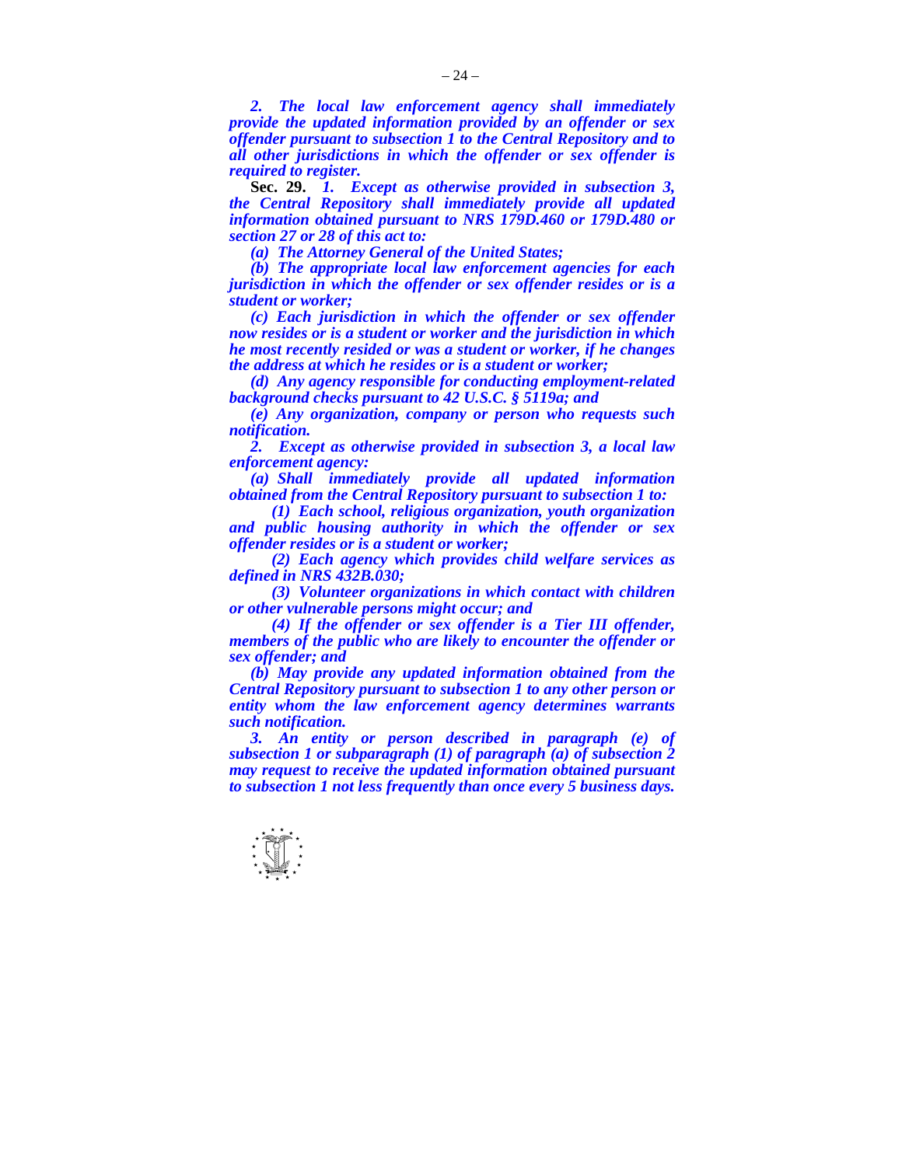*2. The local law enforcement agency shall immediately provide the updated information provided by an offender or sex offender pursuant to subsection 1 to the Central Repository and to all other jurisdictions in which the offender or sex offender is required to register.* 

 **Sec. 29.** *1. Except as otherwise provided in subsection 3, the Central Repository shall immediately provide all updated information obtained pursuant to NRS 179D.460 or 179D.480 or section 27 or 28 of this act to:* 

 *(a) The Attorney General of the United States;* 

 *(b) The appropriate local law enforcement agencies for each jurisdiction in which the offender or sex offender resides or is a student or worker;* 

 *(c) Each jurisdiction in which the offender or sex offender now resides or is a student or worker and the jurisdiction in which he most recently resided or was a student or worker, if he changes the address at which he resides or is a student or worker;* 

*(d) Any agency responsible for conducting employment-related background checks pursuant to 42 U.S.C. § 5119a; and* 

*(e) Any organization, company or person who requests such notification.* 

 *2. Except as otherwise provided in subsection 3, a local law enforcement agency:* 

 *(a) Shall immediately provide all updated information obtained from the Central Repository pursuant to subsection 1 to:* 

 *(1) Each school, religious organization, youth organization and public housing authority in which the offender or sex offender resides or is a student or worker;* 

 *(2) Each agency which provides child welfare services as defined in NRS 432B.030;* 

 *(3) Volunteer organizations in which contact with children or other vulnerable persons might occur; and* 

 *(4) If the offender or sex offender is a Tier III offender, members of the public who are likely to encounter the offender or sex offender; and* 

 *(b) May provide any updated information obtained from the Central Repository pursuant to subsection 1 to any other person or entity whom the law enforcement agency determines warrants such notification.* 

 *3. An entity or person described in paragraph (e) of subsection 1 or subparagraph (1) of paragraph (a) of subsection 2 may request to receive the updated information obtained pursuant to subsection 1 not less frequently than once every 5 business days.* 

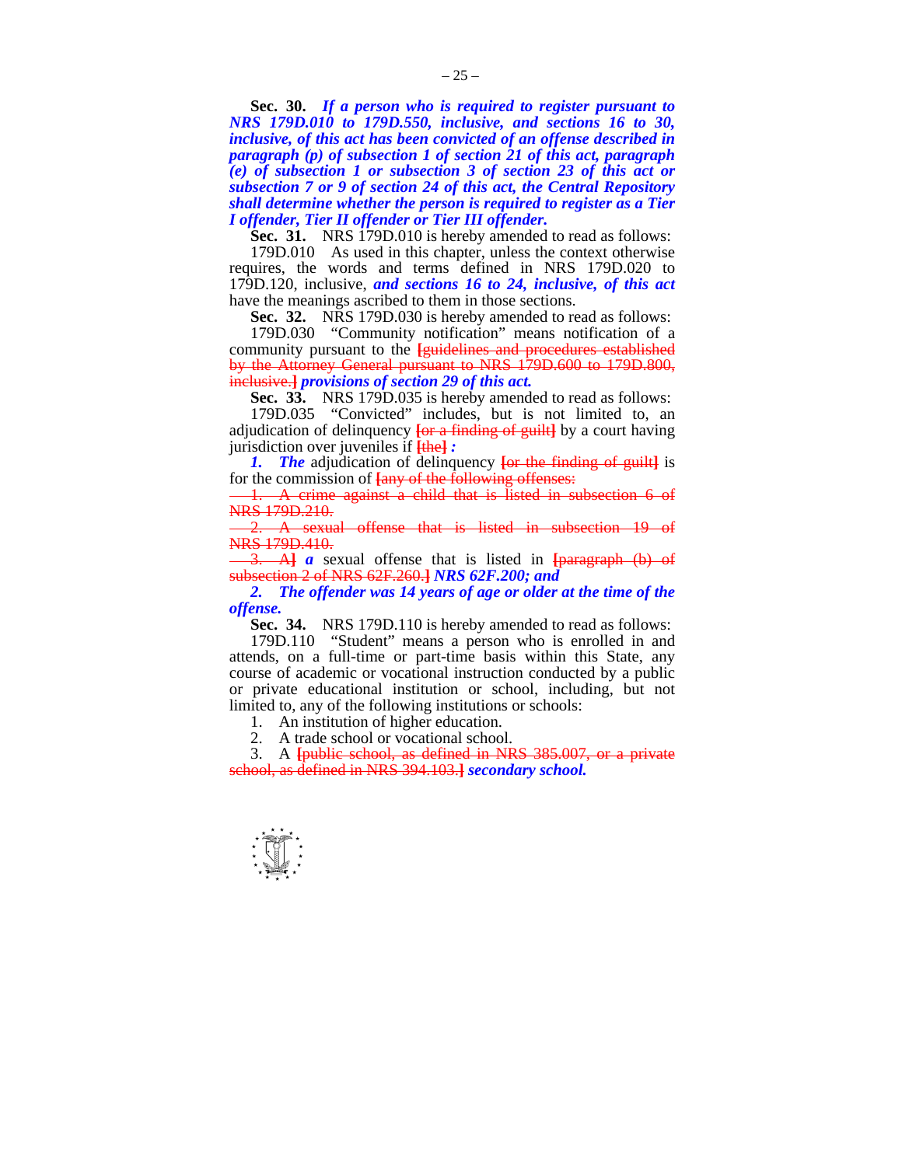**Sec. 30.** *If a person who is required to register pursuant to NRS 179D.010 to 179D.550, inclusive, and sections 16 to 30, inclusive, of this act has been convicted of an offense described in paragraph (p) of subsection 1 of section 21 of this act, paragraph (e) of subsection 1 or subsection 3 of section 23 of this act or subsection 7 or 9 of section 24 of this act, the Central Repository shall determine whether the person is required to register as a Tier I offender, Tier II offender or Tier III offender.* 

**Sec. 31.** NRS 179D.010 is hereby amended to read as follows:

 179D.010 As used in this chapter, unless the context otherwise requires, the words and terms defined in NRS 179D.020 to 179D.120, inclusive, *and sections 16 to 24, inclusive, of this act* have the meanings ascribed to them in those sections.

**Sec. 32.** NRS 179D.030 is hereby amended to read as follows:

 179D.030 "Community notification" means notification of a community pursuant to the **[**guidelines and procedures established by the Attorney General pursuant to NRS 179D.600 to 179D.800, inclusive.**]** *provisions of section 29 of this act.* 

 **Sec. 33.** NRS 179D.035 is hereby amended to read as follows:

 179D.035 "Convicted" includes, but is not limited to, an adjudication of delinquency **[**or a finding of guilt**]** by a court having jurisdiction over juveniles if **[**the**]** *:* 

 *1. The* adjudication of delinquency **[**or the finding of guilt**]** is for the commission of **[**any of the following offenses:

1. A crime against a child that is listed in subsection 6 of NRS 179D.210.

2. A sexual offense that is listed in subsection 19 of NRS 179D.410.

3. A**]** *a* sexual offense that is listed in **[**paragraph (b) of subsection 2 of NRS 62F.260.**]** *NRS 62F.200; and* 

*2. The offender was 14 years of age or older at the time of the offense.* 

 **Sec. 34.** NRS 179D.110 is hereby amended to read as follows:

 179D.110 "Student" means a person who is enrolled in and attends, on a full-time or part-time basis within this State, any course of academic or vocational instruction conducted by a public or private educational institution or school, including, but not limited to, any of the following institutions or schools:

1. An institution of higher education.

2. A trade school or vocational school.

 3. A **[**public school, as defined in NRS 385.007, or a private school, as defined in NRS 394.103.**]** *secondary school.* 

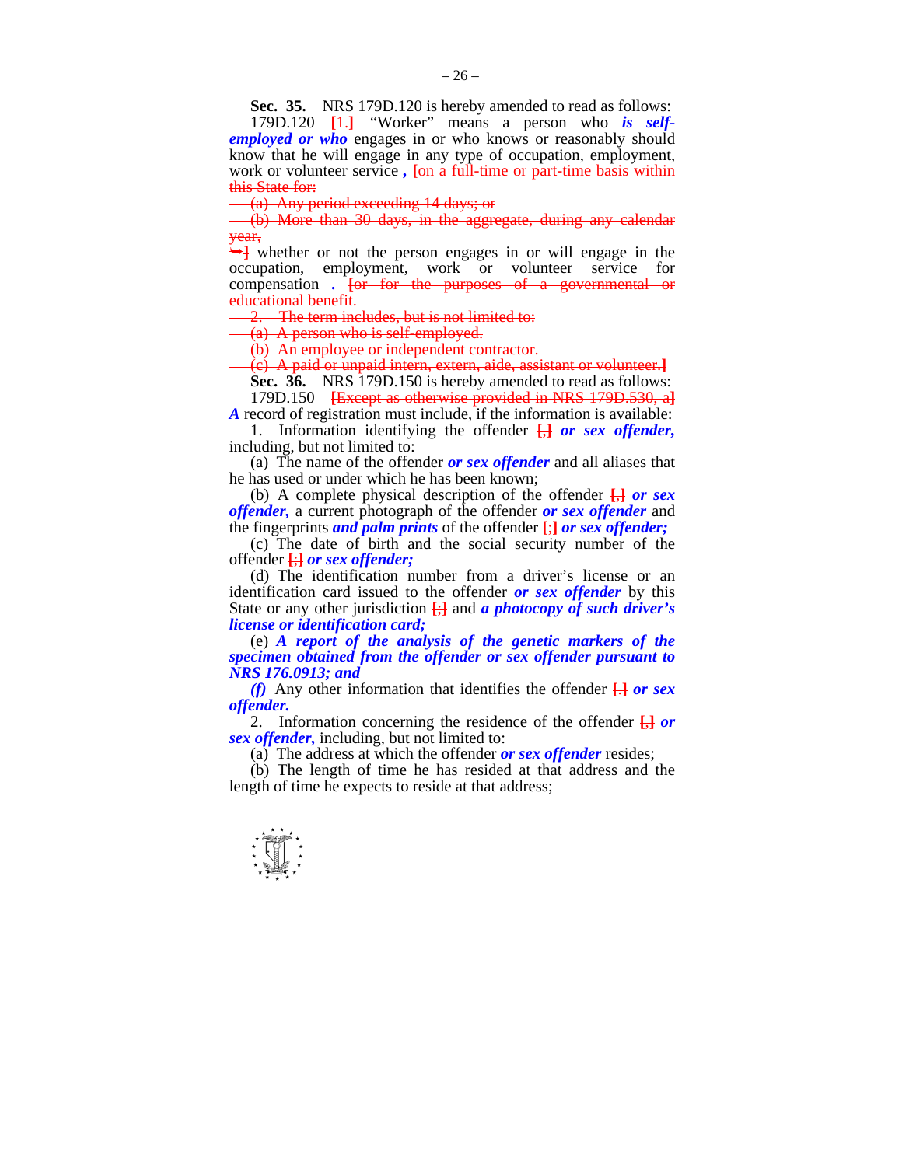**Sec. 35.** NRS 179D.120 is hereby amended to read as follows:

 179D.120 **[**1.**]** "Worker" means a person who *is selfemployed or who* engages in or who knows or reasonably should know that he will engage in any type of occupation, employment, work or volunteer service, **[on a full-time or part-time basis within** this State for:

 $\frac{1}{2}$  (a) Any period exceeding 14 days; or

(b) More than 30 days, in the aggregate, during any calendar year,

whether or not the person engages in or will engage in the occupation, employment, work or volunteer service for compensation *.* **[**or for the purposes of a governmental or educational benefit.

2. The term includes, but is not limited to:

(a) A person who is self-employed.

(b) An employee or independent contractor.

(c) A paid or unpaid intern, extern, aide, assistant or volunteer.**]**

**Sec. 36.** NRS 179D.150 is hereby amended to read as follows: 179D.150 **[**Except as otherwise provided in NRS 179D.530, a**]**

*A* record of registration must include, if the information is available:

 1. Information identifying the offender **[**,**]** *or sex offender,*  including, but not limited to:

 (a) The name of the offender *or sex offender* and all aliases that he has used or under which he has been known;

 (b) A complete physical description of the offender **[**,**]** *or sex offender,* a current photograph of the offender *or sex offender* and the fingerprints *and palm prints* of the offender **[**;**]** *or sex offender;*

 (c) The date of birth and the social security number of the offender **[**;**]** *or sex offender;*

 (d) The identification number from a driver's license or an identification card issued to the offender *or sex offender* by this State or any other jurisdiction **[**;**]** and *a photocopy of such driver's license or identification card;* 

 (e) *A report of the analysis of the genetic markers of the specimen obtained from the offender or sex offender pursuant to NRS 176.0913; and* 

 *(f)* Any other information that identifies the offender **[**.**]** *or sex offender.*

 2. Information concerning the residence of the offender **[**,**]** *or sex offender,* including, but not limited to:

(a) The address at which the offender *or sex offender* resides;

 (b) The length of time he has resided at that address and the length of time he expects to reside at that address;

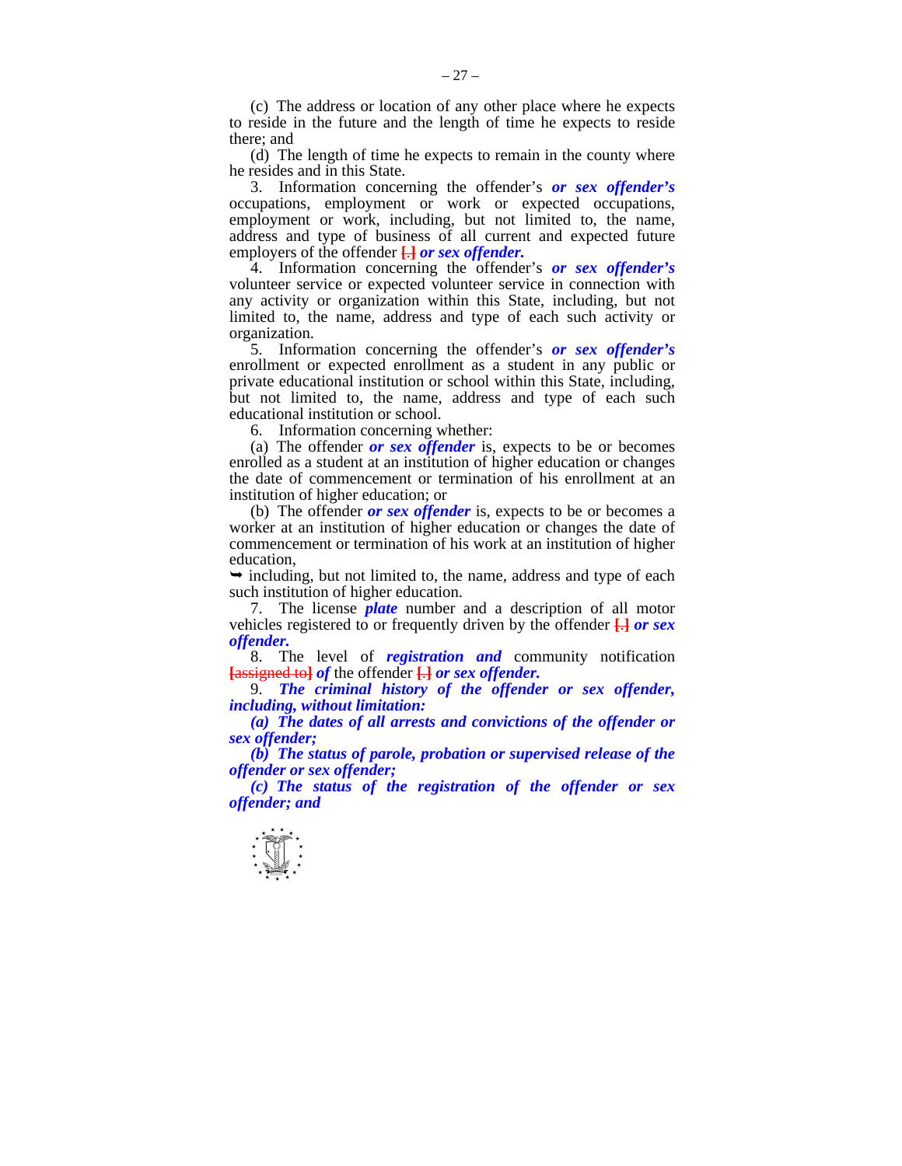(c) The address or location of any other place where he expects to reside in the future and the length of time he expects to reside there; and

 (d) The length of time he expects to remain in the county where he resides and in this State.

 3. Information concerning the offender's *or sex offender's*  occupations, employment or work or expected occupations, employment or work, including, but not limited to, the name, address and type of business of all current and expected future employers of the offender **[**.**]** *or sex offender.*

 4. Information concerning the offender's *or sex offender's*  volunteer service or expected volunteer service in connection with any activity or organization within this State, including, but not limited to, the name, address and type of each such activity or organization.

 5. Information concerning the offender's *or sex offender's*  enrollment or expected enrollment as a student in any public or private educational institution or school within this State, including, but not limited to, the name, address and type of each such educational institution or school.

6. Information concerning whether:

 (a) The offender *or sex offender* is, expects to be or becomes enrolled as a student at an institution of higher education or changes the date of commencement or termination of his enrollment at an institution of higher education; or

 (b) The offender *or sex offender* is, expects to be or becomes a worker at an institution of higher education or changes the date of commencement or termination of his work at an institution of higher education,

 $\rightarrow$  including, but not limited to, the name, address and type of each such institution of higher education.

 7. The license *plate* number and a description of all motor vehicles registered to or frequently driven by the offender **[**.**]** *or sex offender.*

 8. The level of *registration and* community notification **[**assigned to**]** *of* the offender **[**.**]** *or sex offender.*

 9. *The criminal history of the offender or sex offender, including, without limitation:* 

 *(a) The dates of all arrests and convictions of the offender or sex offender;* 

 *(b) The status of parole, probation or supervised release of the offender or sex offender;* 

 *(c) The status of the registration of the offender or sex offender; and* 

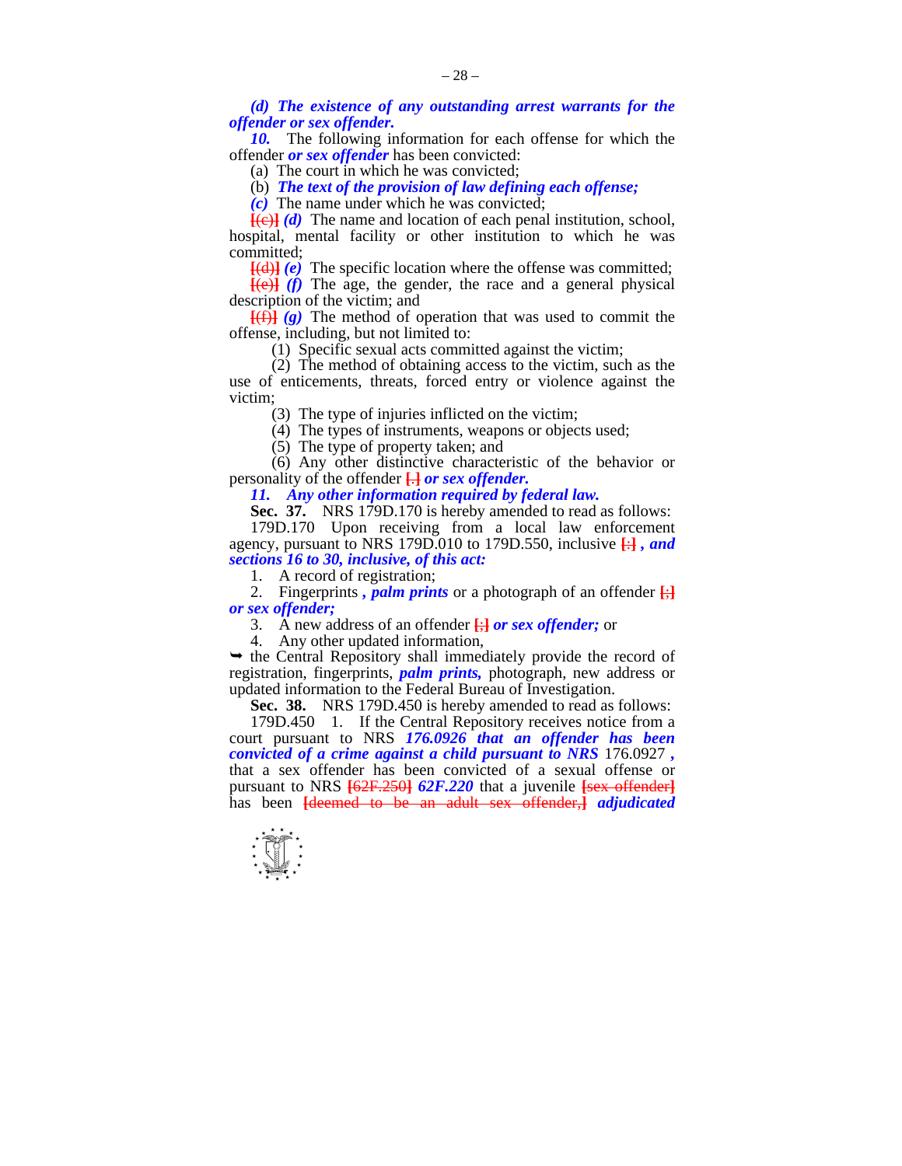*(d) The existence of any outstanding arrest warrants for the offender or sex offender.* 

*10.* The following information for each offense for which the offender *or sex offender* has been convicted:

(a) The court in which he was convicted;

(b) *The text of the provision of law defining each offense;* 

 *(c)* The name under which he was convicted;

 $[ (e) ]$  *(d)* The name and location of each penal institution, school, hospital, mental facility or other institution to which he was committed;

**[**(d)**]** *(e)* The specific location where the offense was committed;

 $[$ (e)<sup> $]$ </sup> (f) The age, the gender, the race and a general physical description of the victim; and

**[**(f)**]** *(g)* The method of operation that was used to commit the offense, including, but not limited to:

(1) Specific sexual acts committed against the victim;

 (2) The method of obtaining access to the victim, such as the use of enticements, threats, forced entry or violence against the victim;

(3) The type of injuries inflicted on the victim;

(4) The types of instruments, weapons or objects used;

(5) The type of property taken; and

 (6) Any other distinctive characteristic of the behavior or personality of the offender **[**.**]** *or sex offender.* 

 *11. Any other information required by federal law.* 

**Sec. 37.** NRS 179D.170 is hereby amended to read as follows:

 179D.170 Upon receiving from a local law enforcement agency, pursuant to NRS 179D.010 to 179D.550, inclusive **[**:**]** *, and sections 16 to 30, inclusive, of this act:* 

1. A record of registration;

2. Fingerprints, *palm prints* or a photograph of an offender  $\frac{1}{2}$ *or sex offender;*

3. A new address of an offender **[**;**]** *or sex offender;* or

4. Any other updated information,

 $\rightarrow$  the Central Repository shall immediately provide the record of registration, fingerprints, *palm prints,* photograph, new address or updated information to the Federal Bureau of Investigation.

 **Sec. 38.** NRS 179D.450 is hereby amended to read as follows:

 179D.450 1. If the Central Repository receives notice from a court pursuant to NRS *176.0926 that an offender has been convicted of a crime against a child pursuant to NRS* 176.0927 *,* that a sex offender has been convicted of a sexual offense or pursuant to NRS **[**62F.250**]** *62F.220* that a juvenile **[**sex offender**]** has been **[**deemed to be an adult sex offender,**]** *adjudicated* 

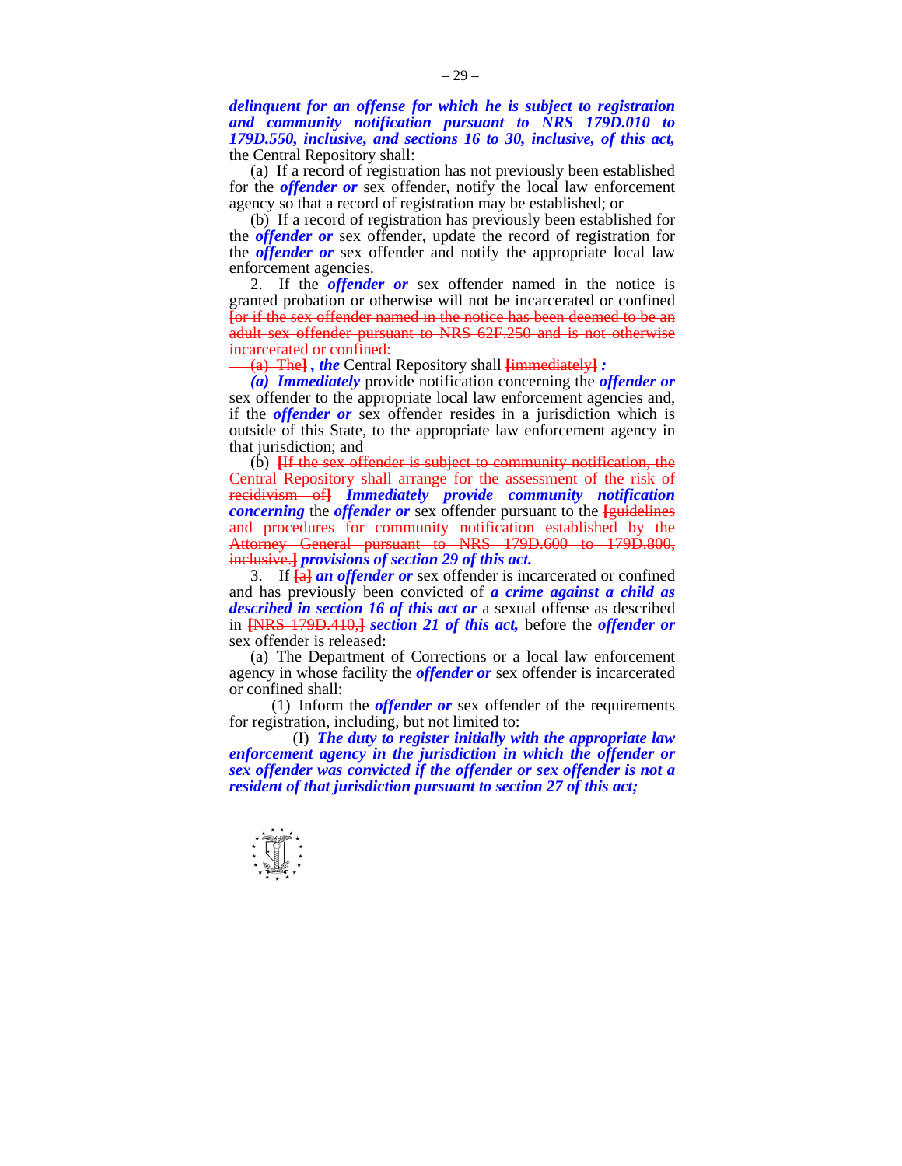*delinquent for an offense for which he is subject to registration and community notification pursuant to NRS 179D.010 to 179D.550, inclusive, and sections 16 to 30, inclusive, of this act,*  the Central Repository shall:

 (a) If a record of registration has not previously been established for the *offender or* sex offender, notify the local law enforcement agency so that a record of registration may be established; or

 (b) If a record of registration has previously been established for the *offender or* sex offender, update the record of registration for the *offender or* sex offender and notify the appropriate local law enforcement agencies.

 2. If the *offender or* sex offender named in the notice is granted probation or otherwise will not be incarcerated or confined **[**or if the sex offender named in the notice has been deemed to be an adult sex offender pursuant to NRS 62F.250 and is not otherwise incarcerated or confined:

(a) The**]** *, the* Central Repository shall **[**immediately**]** *:* 

 *(a) Immediately* provide notification concerning the *offender or*  sex offender to the appropriate local law enforcement agencies and, if the *offender or* sex offender resides in a jurisdiction which is outside of this State, to the appropriate law enforcement agency in that jurisdiction; and

 (b) **[**If the sex offender is subject to community notification, the Central Repository shall arrange for the assessment of the risk of recidivism of**]** *Immediately provide community notification concerning* the *offender or* sex offender pursuant to the **[**guidelines and procedures for community notification established by the Attorney General pursuant to NRS 179D.600 to 179D.800, inclusive.**]** *provisions of section 29 of this act.* 

 3. If **[**a**]** *an offender or* sex offender is incarcerated or confined and has previously been convicted of *a crime against a child as described in section 16 of this act or* a sexual offense as described in **[**NRS 179D.410,**]** *section 21 of this act,* before the *offender or*  sex offender is released:

 (a) The Department of Corrections or a local law enforcement agency in whose facility the *offender or* sex offender is incarcerated or confined shall:

 (1) Inform the *offender or* sex offender of the requirements for registration, including, but not limited to:

 (I) *The duty to register initially with the appropriate law enforcement agency in the jurisdiction in which the offender or sex offender was convicted if the offender or sex offender is not a resident of that jurisdiction pursuant to section 27 of this act;* 

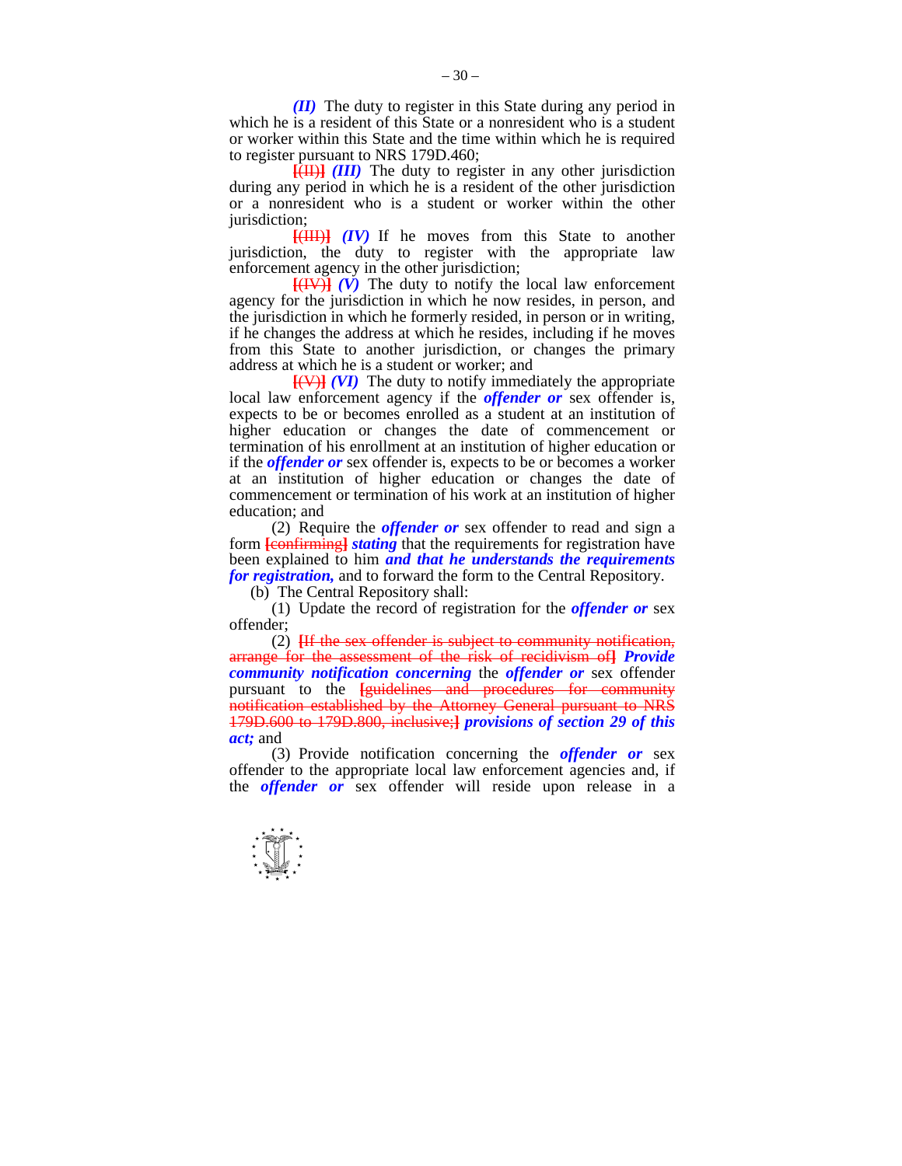*(II)* The duty to register in this State during any period in which he is a resident of this State or a nonresident who is a student or worker within this State and the time within which he is required to register pursuant to NRS 179D.460;

 **[**(II)**]** *(III)* The duty to register in any other jurisdiction during any period in which he is a resident of the other jurisdiction or a nonresident who is a student or worker within the other jurisdiction:

 **[**(III)**]** *(IV)* If he moves from this State to another jurisdiction, the duty to register with the appropriate law enforcement agency in the other jurisdiction;

 $\overline{[(IV)]}$  (V) The duty to notify the local law enforcement agency for the jurisdiction in which he now resides, in person, and the jurisdiction in which he formerly resided, in person or in writing, if he changes the address at which he resides, including if he moves from this State to another jurisdiction, or changes the primary address at which he is a student or worker; and

 **[**(V)**]** *(VI)* The duty to notify immediately the appropriate local law enforcement agency if the *offender or* sex offender is, expects to be or becomes enrolled as a student at an institution of higher education or changes the date of commencement or termination of his enrollment at an institution of higher education or if the *offender or* sex offender is, expects to be or becomes a worker at an institution of higher education or changes the date of commencement or termination of his work at an institution of higher education; and

 (2) Require the *offender or* sex offender to read and sign a form **[**confirming**]** *stating* that the requirements for registration have been explained to him *and that he understands the requirements for registration,* and to forward the form to the Central Repository.

(b) The Central Repository shall:

 (1) Update the record of registration for the *offender or* sex offender;

 (2) **[**If the sex offender is subject to community notification, arrange for the assessment of the risk of recidivism of**]** *Provide community notification concerning* the *offender or* sex offender pursuant to the **[guidelines and procedures for community** notification established by the Attorney General pursuant to NRS 179D.600 to 179D.800, inclusive;**]** *provisions of section 29 of this act;* and

 (3) Provide notification concerning the *offender or* sex offender to the appropriate local law enforcement agencies and, if the *offender or* sex offender will reside upon release in a

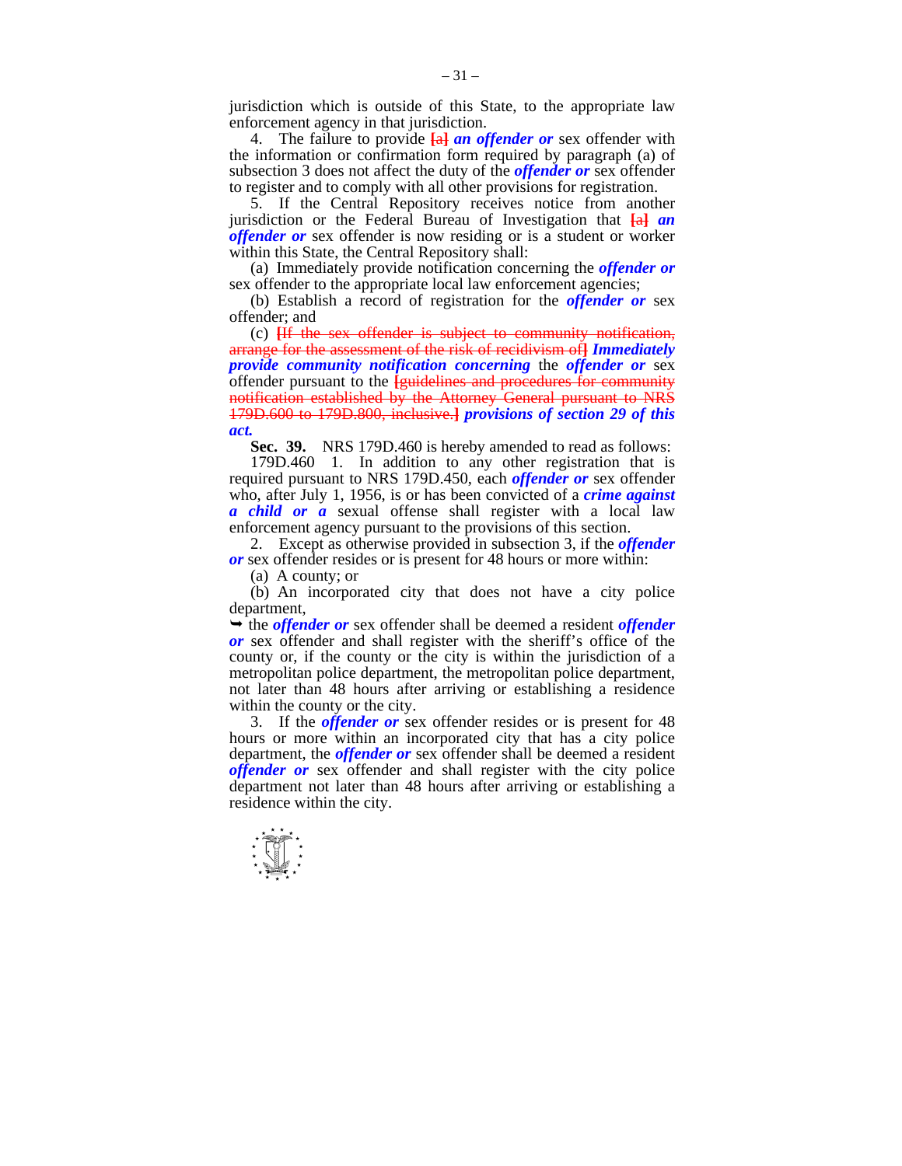jurisdiction which is outside of this State, to the appropriate law enforcement agency in that jurisdiction.

 4. The failure to provide **[**a**]** *an offender or* sex offender with the information or confirmation form required by paragraph (a) of subsection 3 does not affect the duty of the *offender or* sex offender to register and to comply with all other provisions for registration.

 5. If the Central Repository receives notice from another jurisdiction or the Federal Bureau of Investigation that **[**a**]** *an offender or* sex offender is now residing or is a student or worker within this State, the Central Repository shall:

 (a) Immediately provide notification concerning the *offender or*  sex offender to the appropriate local law enforcement agencies;

 (b) Establish a record of registration for the *offender or* sex offender; and

 (c) **[**If the sex offender is subject to community notification, arrange for the assessment of the risk of recidivism of**]** *Immediately provide community notification concerning* the *offender or* sex offender pursuant to the **[**guidelines and procedures for community notification established by the Attorney General pursuant to NRS 179D.600 to 179D.800, inclusive.**]** *provisions of section 29 of this act.* 

 **Sec. 39.** NRS 179D.460 is hereby amended to read as follows:

 179D.460 1. In addition to any other registration that is required pursuant to NRS 179D.450, each *offender or* sex offender who, after July 1, 1956, is or has been convicted of a *crime against a child or a* sexual offense shall register with a local law enforcement agency pursuant to the provisions of this section.

 2. Except as otherwise provided in subsection 3, if the *offender or* sex offender resides or is present for 48 hours or more within:

(a) A county; or

 (b) An incorporated city that does not have a city police department,

 $\rightarrow$  the *offender or* sex offender shall be deemed a resident *offender or* sex offender and shall register with the sheriff's office of the county or, if the county or the city is within the jurisdiction of a metropolitan police department, the metropolitan police department, not later than 48 hours after arriving or establishing a residence within the county or the city.

 3. If the *offender or* sex offender resides or is present for 48 hours or more within an incorporated city that has a city police department, the *offender or* sex offender shall be deemed a resident *offender or* sex offender and shall register with the city police department not later than 48 hours after arriving or establishing a residence within the city.

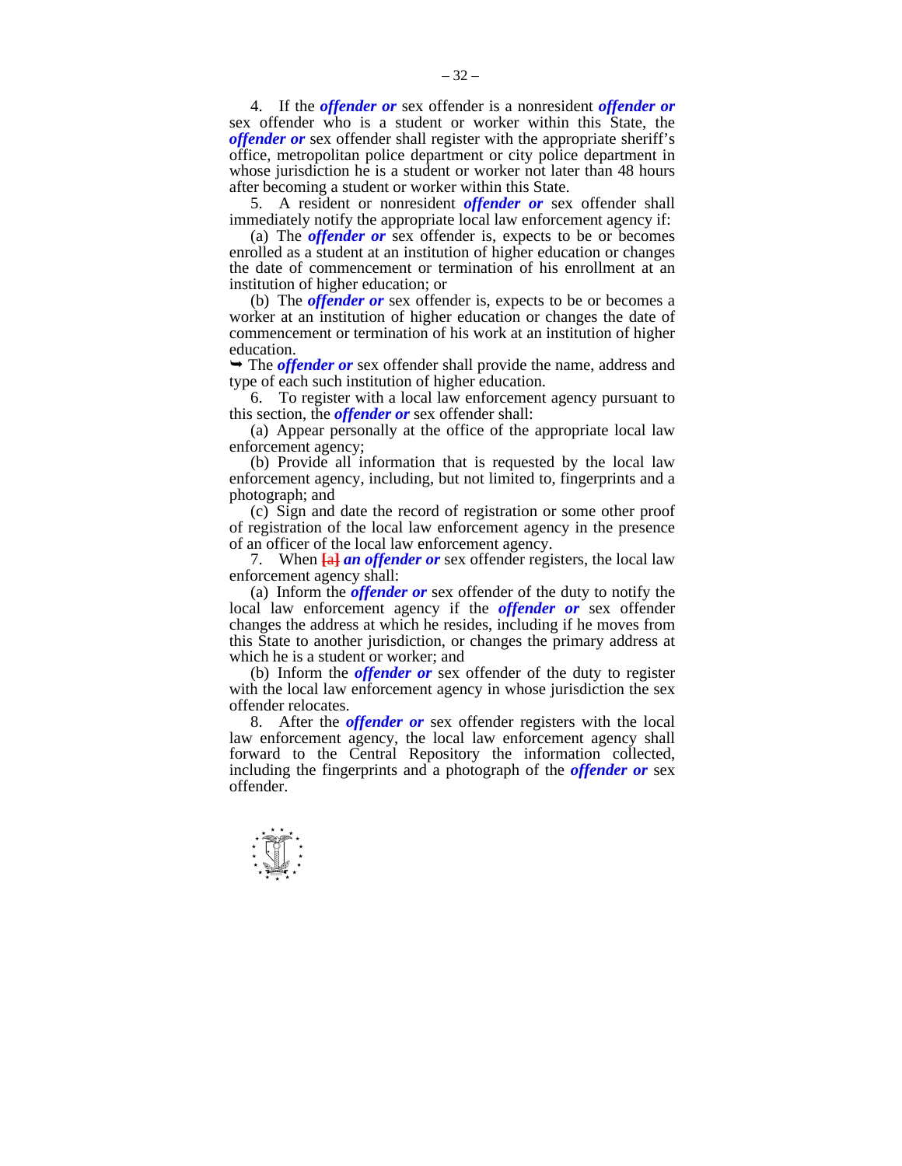4. If the *offender or* sex offender is a nonresident *offender or*  sex offender who is a student or worker within this State, the *offender or* sex offender shall register with the appropriate sheriff's office, metropolitan police department or city police department in whose jurisdiction he is a student or worker not later than 48 hours after becoming a student or worker within this State.

 5. A resident or nonresident *offender or* sex offender shall immediately notify the appropriate local law enforcement agency if:

 (a) The *offender or* sex offender is, expects to be or becomes enrolled as a student at an institution of higher education or changes the date of commencement or termination of his enrollment at an institution of higher education; or

 (b) The *offender or* sex offender is, expects to be or becomes a worker at an institution of higher education or changes the date of commencement or termination of his work at an institution of higher education.

 The *offender or* sex offender shall provide the name, address and type of each such institution of higher education.

 6. To register with a local law enforcement agency pursuant to this section, the *offender or* sex offender shall:

 (a) Appear personally at the office of the appropriate local law enforcement agency;

 (b) Provide all information that is requested by the local law enforcement agency, including, but not limited to, fingerprints and a photograph; and

 (c) Sign and date the record of registration or some other proof of registration of the local law enforcement agency in the presence of an officer of the local law enforcement agency.

 7. When **[**a**]** *an offender or* sex offender registers, the local law enforcement agency shall:

 (a) Inform the *offender or* sex offender of the duty to notify the local law enforcement agency if the *offender or* sex offender changes the address at which he resides, including if he moves from this State to another jurisdiction, or changes the primary address at which he is a student or worker; and

 (b) Inform the *offender or* sex offender of the duty to register with the local law enforcement agency in whose jurisdiction the sex offender relocates.

 8. After the *offender or* sex offender registers with the local law enforcement agency, the local law enforcement agency shall forward to the Central Repository the information collected, including the fingerprints and a photograph of the *offender or* sex offender.

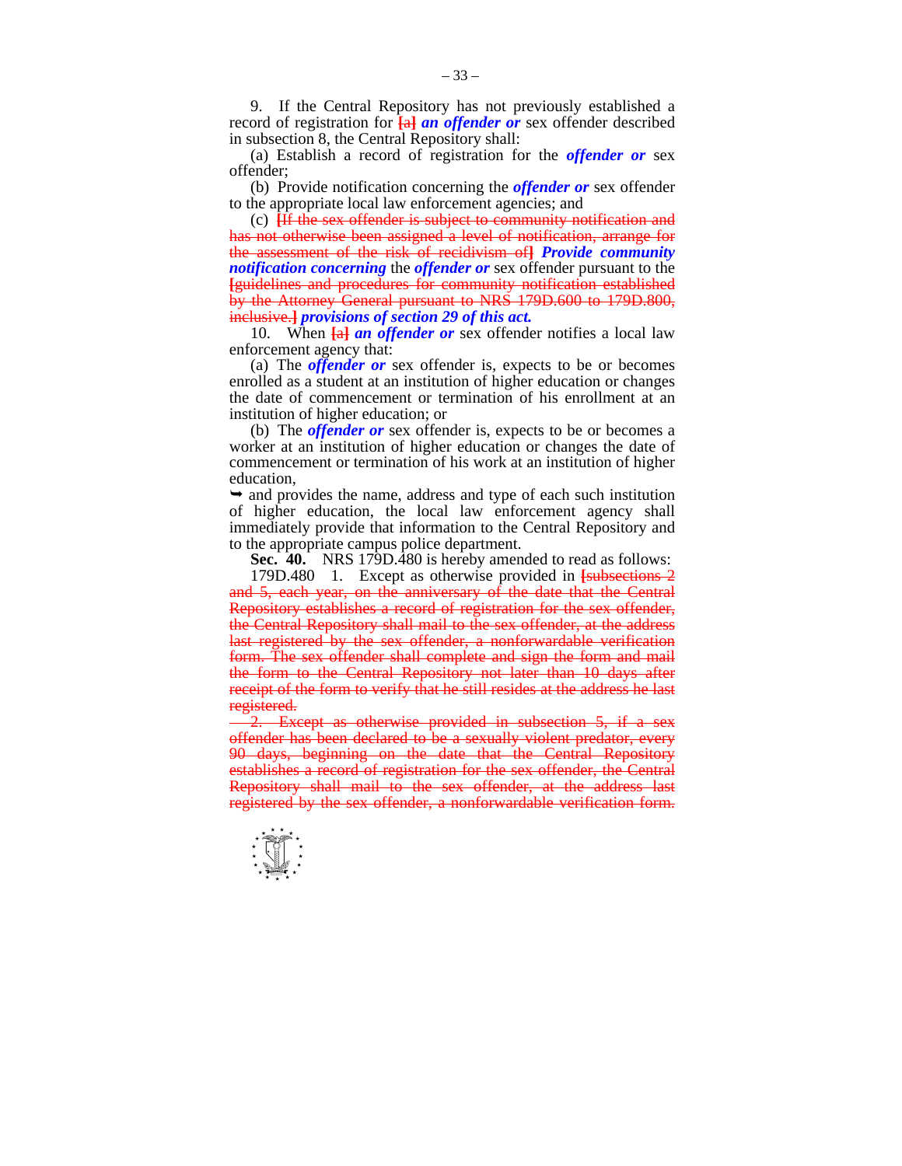9. If the Central Repository has not previously established a record of registration for **[**a**]** *an offender or* sex offender described in subsection 8, the Central Repository shall:

 (a) Establish a record of registration for the *offender or* sex offender;

 (b) Provide notification concerning the *offender or* sex offender to the appropriate local law enforcement agencies; and

 (c) **[**If the sex offender is subject to community notification and has not otherwise been assigned a level of notification, arrange for the assessment of the risk of recidivism of**]** *Provide community notification concerning* the *offender or* sex offender pursuant to the **[**guidelines and procedures for community notification established by the Attorney General pursuant to NRS 179D.600 to 179D.800, inclusive.**]** *provisions of section 29 of this act.* 

 10. When **[**a**]** *an offender or* sex offender notifies a local law enforcement agency that:

 (a) The *offender or* sex offender is, expects to be or becomes enrolled as a student at an institution of higher education or changes the date of commencement or termination of his enrollment at an institution of higher education; or

 (b) The *offender or* sex offender is, expects to be or becomes a worker at an institution of higher education or changes the date of commencement or termination of his work at an institution of higher education,

 $\rightarrow$  and provides the name, address and type of each such institution of higher education, the local law enforcement agency shall immediately provide that information to the Central Repository and to the appropriate campus police department.

**Sec. 40.** NRS 179D.480 is hereby amended to read as follows:

 179D.480 1. Except as otherwise provided in **[**subsections 2 and 5, each year, on the anniversary of the date that the Central Repository establishes a record of registration for the sex offender, the Central Repository shall mail to the sex offender, at the address last registered by the sex offender, a nonforwardable verification form. The sex offender shall complete and sign the form and mail the form to the Central Repository not later than 10 days after receipt of the form to verify that he still resides at the address he last registered.

2. Except as otherwise provided in subsection 5, if a sex offender has been declared to be a sexually violent predator, every 90 days, beginning on the date that the Central Repository establishes a record of registration for the sex offender, the Central Repository shall mail to the sex offender, at the address last registered by the sex offender, a nonforwardable verification form.

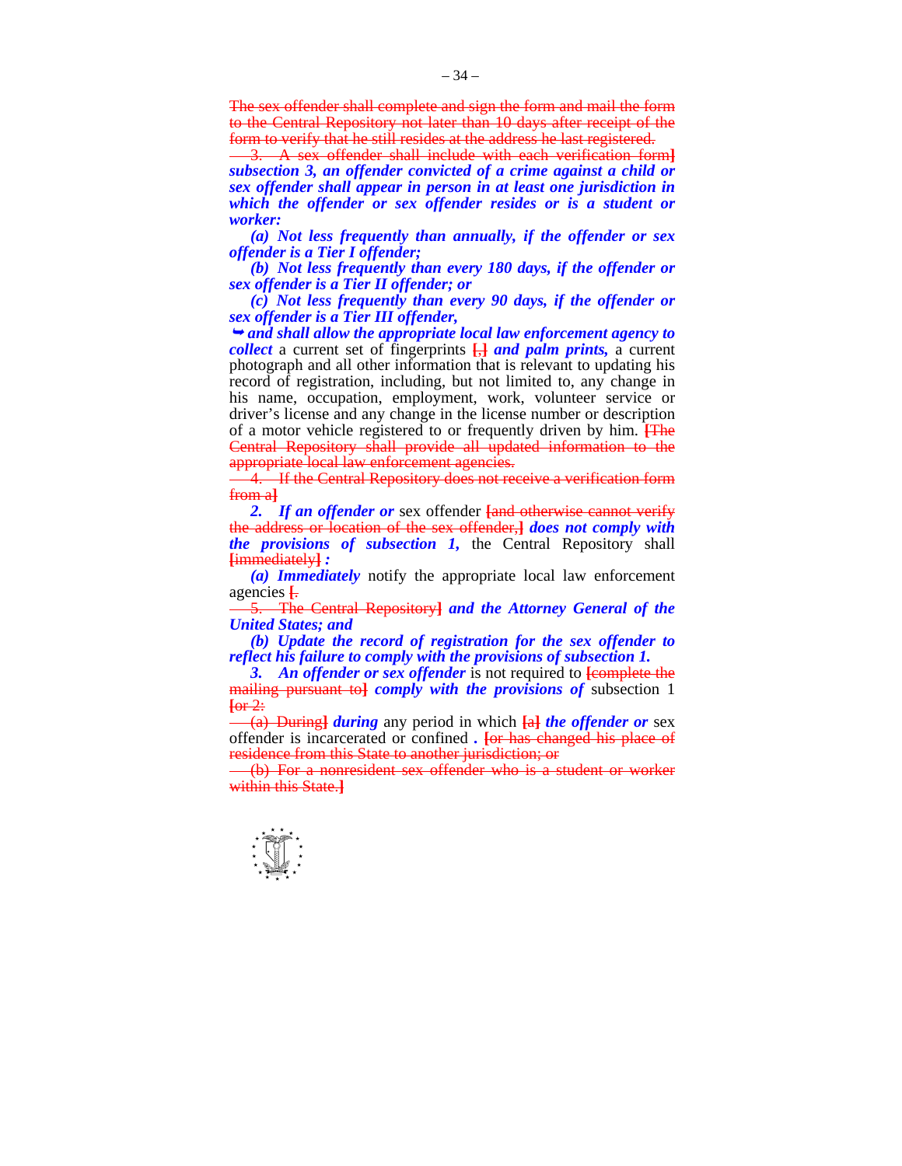The sex offender shall complete and sign the form and mail the form to the Central Repository not later than 10 days after receipt of the form to verify that he still resides at the address he last registered.

3. A sex offender shall include with each verification form**]** *subsection 3, an offender convicted of a crime against a child or sex offender shall appear in person in at least one jurisdiction in which the offender or sex offender resides or is a student or worker:* 

 *(a) Not less frequently than annually, if the offender or sex offender is a Tier I offender;* 

 *(b) Not less frequently than every 180 days, if the offender or sex offender is a Tier II offender; or* 

 *(c) Not less frequently than every 90 days, if the offender or sex offender is a Tier III offender,* 

 *and shall allow the appropriate local law enforcement agency to collect* a current set of fingerprints **[**,**]** *and palm prints,* a current photograph and all other information that is relevant to updating his record of registration, including, but not limited to, any change in his name, occupation, employment, work, volunteer service or driver's license and any change in the license number or description of a motor vehicle registered to or frequently driven by him. **[**The Central Repository shall provide all updated information to the appropriate local law enforcement agencies.

4. If the Central Repository does not receive a verification form from a**]**

 *2. If an offender or* sex offender **[**and otherwise cannot verify the address or location of the sex offender,**]** *does not comply with the provisions of subsection 1,* the Central Repository shall **[**immediately**]** *:* 

 *(a) Immediately* notify the appropriate local law enforcement agencies **[**.

5. The Central Repository**]** *and the Attorney General of the United States; and* 

 *(b) Update the record of registration for the sex offender to reflect his failure to comply with the provisions of subsection 1.* 

 *3. An offender or sex offender* is not required to **[**complete the mailing pursuant to**]** *comply with the provisions of* subsection 1  $\overline{\text{for }2:}$ 

(a) During**]** *during* any period in which **[**a**]** *the offender or* sex offender is incarcerated or confined *.* **[**or has changed his place of residence from this State to another jurisdiction; or

(b) For a nonresident sex offender who is a student or worker within this State.**]**

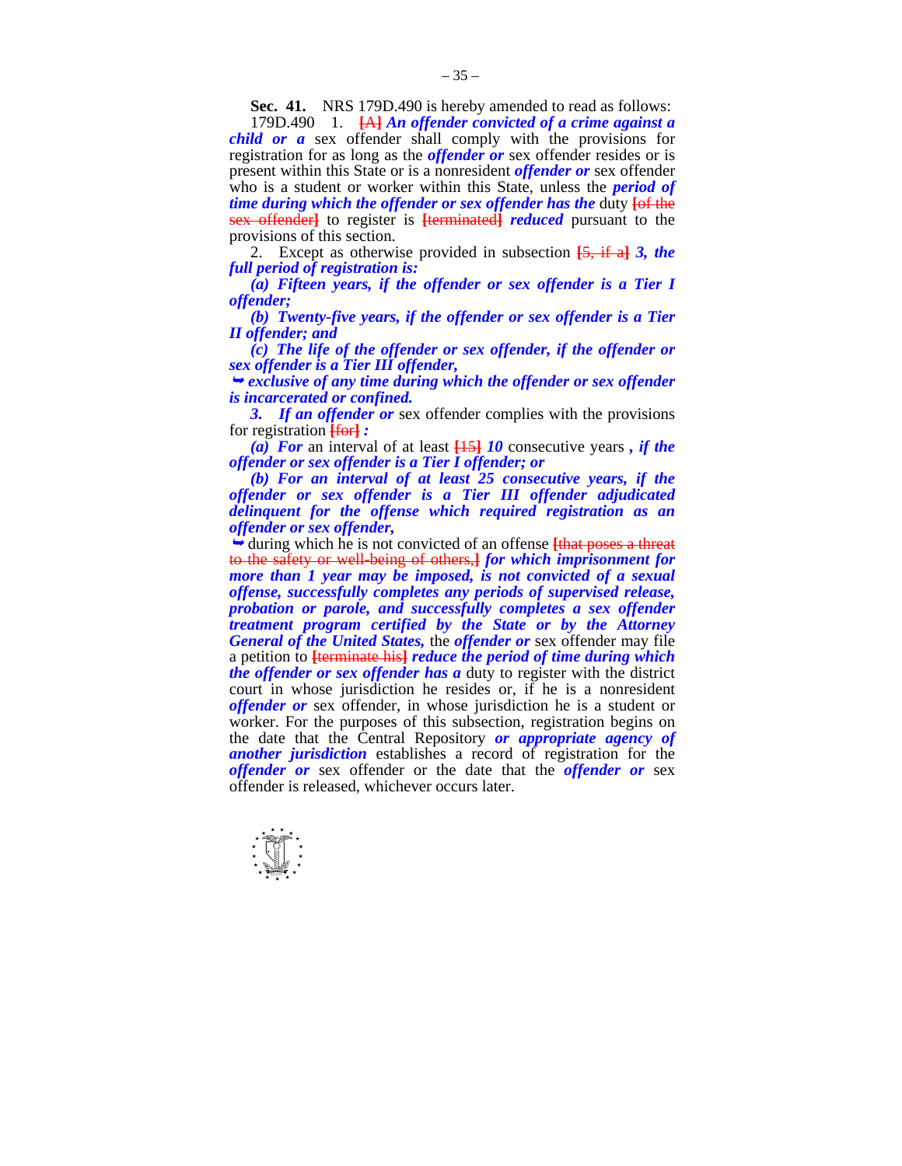**Sec. 41.** NRS 179D.490 is hereby amended to read as follows:

 179D.490 1. **[**A**]** *An offender convicted of a crime against a child or a* sex offender shall comply with the provisions for registration for as long as the *offender or* sex offender resides or is present within this State or is a nonresident *offender or* sex offender who is a student or worker within this State, unless the *period of time during which the offender or sex offender has the duty*  $\overline{f}$  *the* sex offender**]** to register is **[**terminated**]** *reduced* pursuant to the provisions of this section.

 2. Except as otherwise provided in subsection **[**5, if a**]** *3, the full period of registration is:* 

 *(a) Fifteen years, if the offender or sex offender is a Tier I offender;* 

 *(b) Twenty-five years, if the offender or sex offender is a Tier II offender; and* 

 *(c) The life of the offender or sex offender, if the offender or sex offender is a Tier III offender,* 

 *exclusive of any time during which the offender or sex offender is incarcerated or confined.* 

 *3. If an offender or* sex offender complies with the provisions for registration **[**for**]** *:* 

 *(a) For* an interval of at least **[**15**]** *10* consecutive years *, if the offender or sex offender is a Tier I offender; or* 

 *(b) For an interval of at least 25 consecutive years, if the offender or sex offender is a Tier III offender adjudicated delinquent for the offense which required registration as an offender or sex offender,* 

 during which he is not convicted of an offense **[**that poses a threat to the safety or well-being of others,**]** *for which imprisonment for more than 1 year may be imposed, is not convicted of a sexual offense, successfully completes any periods of supervised release, probation or parole, and successfully completes a sex offender treatment program certified by the State or by the Attorney General of the United States,* the *offender or* sex offender may file a petition to **[**terminate his**]** *reduce the period of time during which the offender or sex offender has a* duty to register with the district court in whose jurisdiction he resides or, if he is a nonresident *offender or* sex offender, in whose jurisdiction he is a student or worker. For the purposes of this subsection, registration begins on the date that the Central Repository *or appropriate agency of another jurisdiction* establishes a record of registration for the *offender or* sex offender or the date that the *offender or* sex offender is released, whichever occurs later.

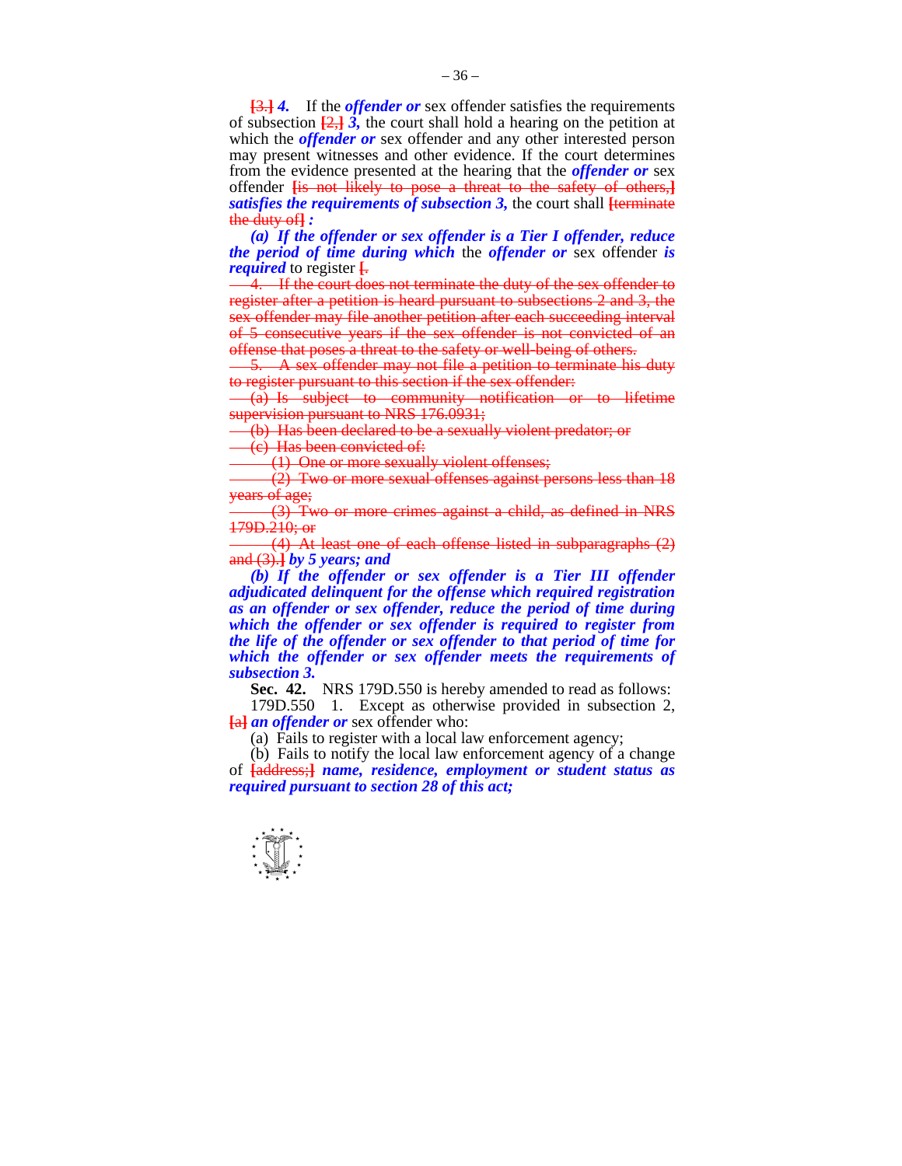**[**3.**]** *4.* If the *offender or* sex offender satisfies the requirements of subsection  $[2, \frac{1}{2}, \frac{3}{2}]$ , the court shall hold a hearing on the petition at which the *offender or* sex offender and any other interested person may present witnesses and other evidence. If the court determines from the evidence presented at the hearing that the *offender or* sex offender **[**is not likely to pose a threat to the safety of others,**]** *satisfies the requirements of subsection 3,* the court shall **[**terminate the duty of**]** *:* 

 *(a) If the offender or sex offender is a Tier I offender, reduce the period of time during which* the *offender or* sex offender *is required* to register <del>[.</del><br>— 4. If the court does not terminate the duty of the sex offender to

register after a petition is heard pursuant to subsections 2 and 3, the sex offender may file another petition after each succeeding interval of 5 consecutive years if the sex offender is not convicted of an offense that poses a threat to the safety or well-being of others.

 $\frac{1}{2}$ . A sex offender may not file a petition to terminate his duty to register pursuant to this section if the sex offender:

(a) Is subject to community notification or to lifetime supervision pursuant to NRS 176.0931;

(b) Has been declared to be a sexually violent predator; or

(c) Has been convicted of:

(1) One or more sexually violent offenses;

(2) Two or more sexual offenses against persons less than 18 years of age;

(3) Two or more crimes against a child, as defined in NRS 179D.210; or

(4) At least one of each offense listed in subparagraphs (2) and (3).**]** *by 5 years; and* 

 *(b) If the offender or sex offender is a Tier III offender adjudicated delinquent for the offense which required registration as an offender or sex offender, reduce the period of time during which the offender or sex offender is required to register from the life of the offender or sex offender to that period of time for which the offender or sex offender meets the requirements of subsection 3.* 

**Sec. 42.** NRS 179D.550 is hereby amended to read as follows:

 179D.550 1. Except as otherwise provided in subsection 2, **[**a**]** *an offender or* sex offender who:

(a) Fails to register with a local law enforcement agency;

 (b) Fails to notify the local law enforcement agency of a change of **[**address;**]** *name, residence, employment or student status as required pursuant to section 28 of this act;*

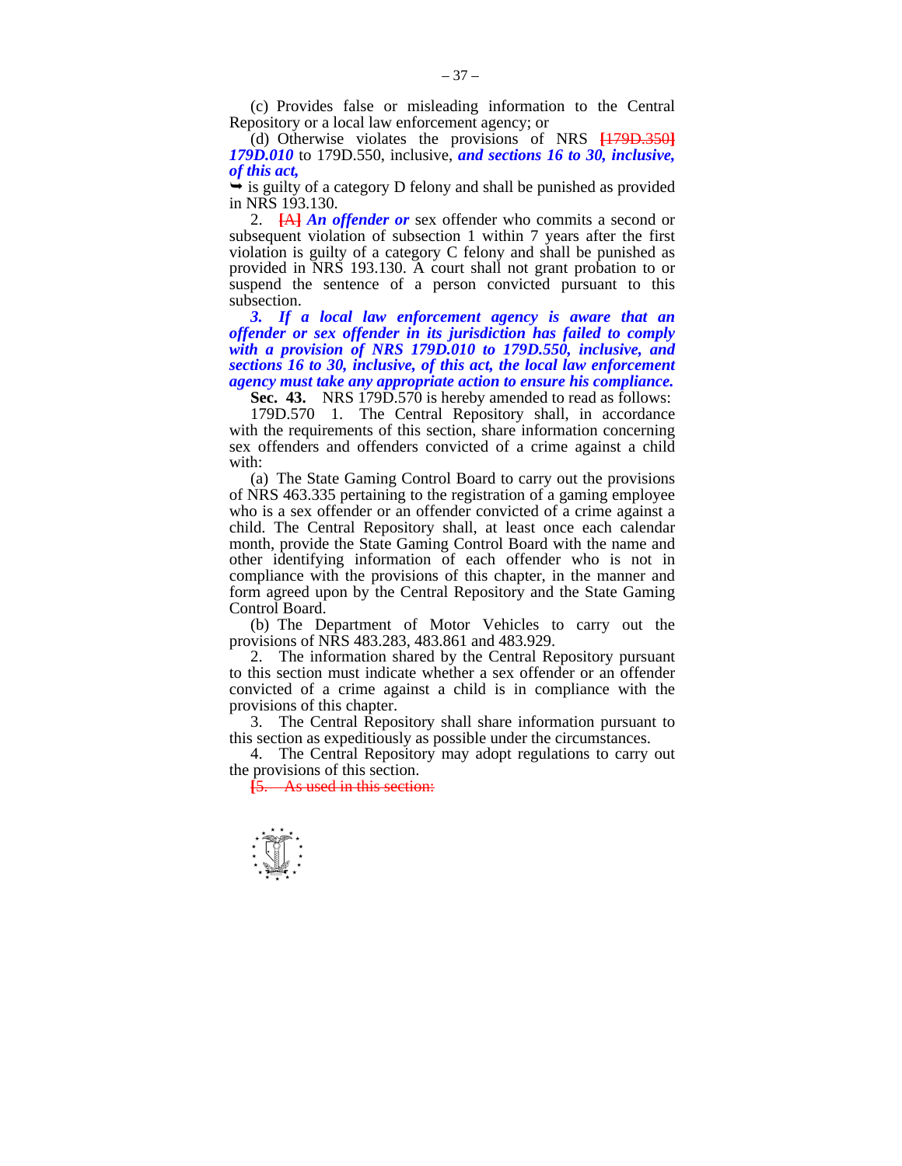(c) Provides false or misleading information to the Central Repository or a local law enforcement agency; or

 (d) Otherwise violates the provisions of NRS **[**179D.350**]** *179D.010* to 179D.550, inclusive, *and sections 16 to 30, inclusive, of this act,* 

 $\rightarrow$  is guilty of a category D felony and shall be punished as provided in NRS 193.130.

 2. **[**A**]** *An offender or* sex offender who commits a second or subsequent violation of subsection 1 within 7 years after the first violation is guilty of a category C felony and shall be punished as provided in NRS 193.130. A court shall not grant probation to or suspend the sentence of a person convicted pursuant to this subsection.

 *3. If a local law enforcement agency is aware that an offender or sex offender in its jurisdiction has failed to comply with a provision of NRS 179D.010 to 179D.550, inclusive, and sections 16 to 30, inclusive, of this act, the local law enforcement agency must take any appropriate action to ensure his compliance.* 

**Sec. 43.** NRS 179D.570 is hereby amended to read as follows:

 179D.570 1. The Central Repository shall, in accordance with the requirements of this section, share information concerning sex offenders and offenders convicted of a crime against a child with:

 (a) The State Gaming Control Board to carry out the provisions of NRS 463.335 pertaining to the registration of a gaming employee who is a sex offender or an offender convicted of a crime against a child. The Central Repository shall, at least once each calendar month, provide the State Gaming Control Board with the name and other identifying information of each offender who is not in compliance with the provisions of this chapter, in the manner and form agreed upon by the Central Repository and the State Gaming Control Board.

 (b) The Department of Motor Vehicles to carry out the provisions of NRS 483.283, 483.861 and 483.929.

 2. The information shared by the Central Repository pursuant to this section must indicate whether a sex offender or an offender convicted of a crime against a child is in compliance with the provisions of this chapter.

 3. The Central Repository shall share information pursuant to this section as expeditiously as possible under the circumstances.

 4. The Central Repository may adopt regulations to carry out the provisions of this section.

**[**5. As used in this section:

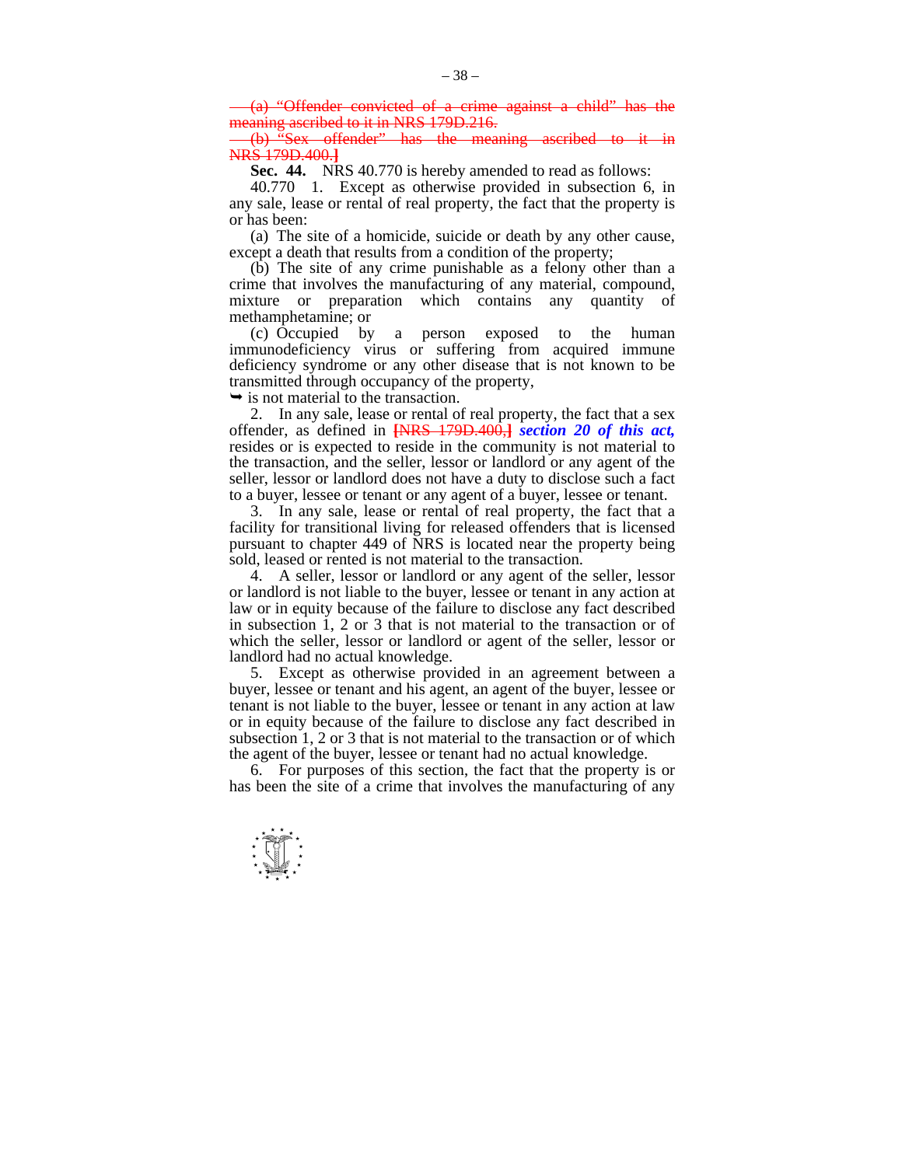(a) "Offender convicted of a crime against a child" meaning ascribed to it in NRS 179D.216.

(b)  $\frac{1}{2}$ Sex offender" has the meaning ascribed to NRS 179D.400.**]**

 **Sec. 44.** NRS 40.770 is hereby amended to read as follows:

 40.770 1. Except as otherwise provided in subsection 6, in any sale, lease or rental of real property, the fact that the property is or has been:

 (a) The site of a homicide, suicide or death by any other cause, except a death that results from a condition of the property;

 (b) The site of any crime punishable as a felony other than a crime that involves the manufacturing of any material, compound, mixture or preparation which contains any quantity of methamphetamine; or

 (c) Occupied by a person exposed to the human immunodeficiency virus or suffering from acquired immune deficiency syndrome or any other disease that is not known to be transmitted through occupancy of the property,

 $\rightarrow$  is not material to the transaction.

 2. In any sale, lease or rental of real property, the fact that a sex offender, as defined in **[**NRS 179D.400,**]** *section 20 of this act,* resides or is expected to reside in the community is not material to the transaction, and the seller, lessor or landlord or any agent of the seller, lessor or landlord does not have a duty to disclose such a fact to a buyer, lessee or tenant or any agent of a buyer, lessee or tenant.

 3. In any sale, lease or rental of real property, the fact that a facility for transitional living for released offenders that is licensed pursuant to chapter 449 of NRS is located near the property being sold, leased or rented is not material to the transaction.

 4. A seller, lessor or landlord or any agent of the seller, lessor or landlord is not liable to the buyer, lessee or tenant in any action at law or in equity because of the failure to disclose any fact described in subsection 1, 2 or 3 that is not material to the transaction or of which the seller, lessor or landlord or agent of the seller, lessor or landlord had no actual knowledge.

 5. Except as otherwise provided in an agreement between a buyer, lessee or tenant and his agent, an agent of the buyer, lessee or tenant is not liable to the buyer, lessee or tenant in any action at law or in equity because of the failure to disclose any fact described in subsection 1, 2 or 3 that is not material to the transaction or of which the agent of the buyer, lessee or tenant had no actual knowledge.

 6. For purposes of this section, the fact that the property is or has been the site of a crime that involves the manufacturing of any

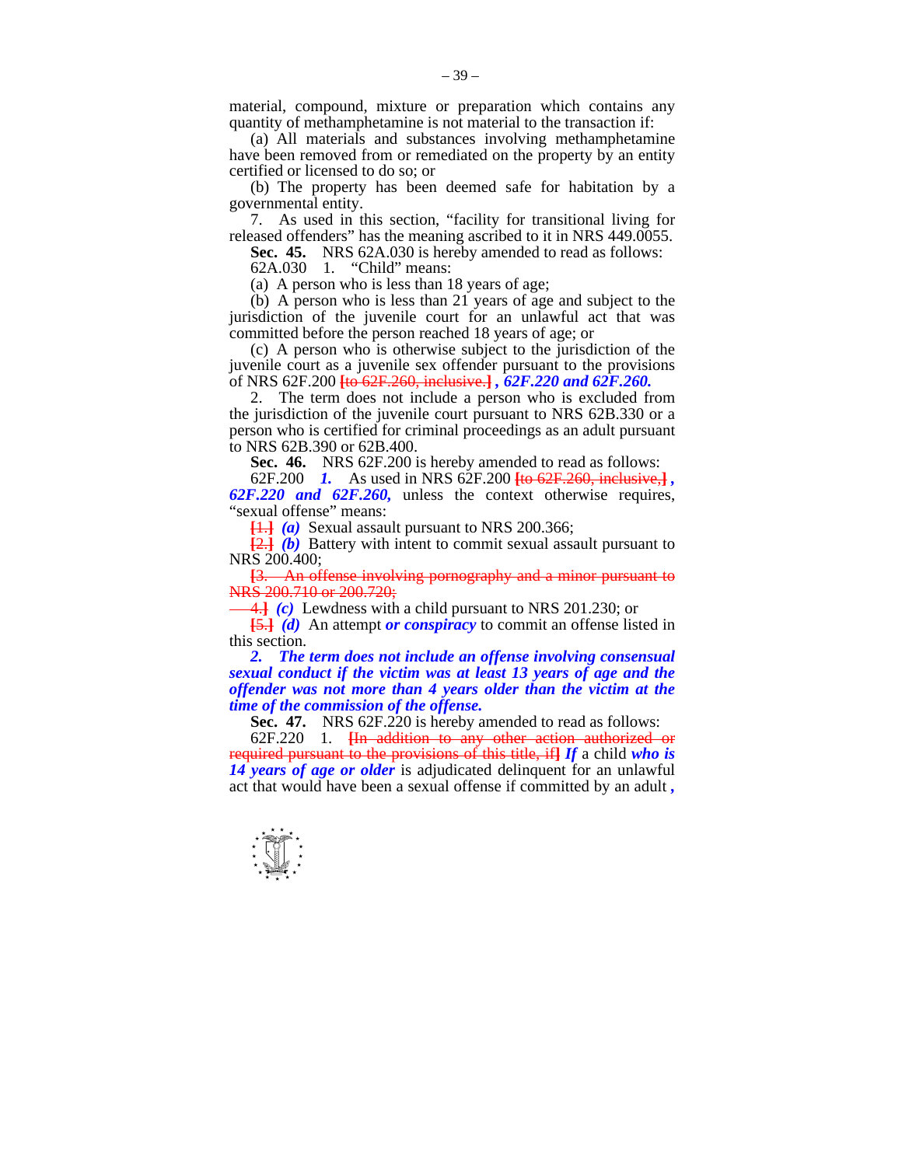material, compound, mixture or preparation which contains any quantity of methamphetamine is not material to the transaction if:

 (a) All materials and substances involving methamphetamine have been removed from or remediated on the property by an entity certified or licensed to do so; or

 (b) The property has been deemed safe for habitation by a governmental entity.

 7. As used in this section, "facility for transitional living for released offenders" has the meaning ascribed to it in NRS 449.0055.

**Sec. 45.** NRS 62A.030 is hereby amended to read as follows:

62A.030 1. "Child" means:

(a) A person who is less than 18 years of age;

 (b) A person who is less than 21 years of age and subject to the jurisdiction of the juvenile court for an unlawful act that was committed before the person reached 18 years of age; or

 (c) A person who is otherwise subject to the jurisdiction of the juvenile court as a juvenile sex offender pursuant to the provisions of NRS 62F.200 **[**to 62F.260, inclusive.**]** *, 62F.220 and 62F.260.* 

 2. The term does not include a person who is excluded from the jurisdiction of the juvenile court pursuant to NRS 62B.330 or a person who is certified for criminal proceedings as an adult pursuant to NRS 62B.390 or 62B.400.

 **Sec. 46.** NRS 62F.200 is hereby amended to read as follows:

 62F.200 *1.* As used in NRS 62F.200 **[**to 62F.260, inclusive,**]** *, 62F.220 and 62F.260,* unless the context otherwise requires, "sexual offense" means:

**[**1.**]** *(a)* Sexual assault pursuant to NRS 200.366;

**[**2.**]** *(b)* Battery with intent to commit sexual assault pursuant to NRS 200.400;

**[**3. An offense involving pornography and a minor pursuant to NRS 200.710 or 200.720;

4.**]** *(c)* Lewdness with a child pursuant to NRS 201.230; or

**[**5.**]** *(d)* An attempt *or conspiracy* to commit an offense listed in this section.

 *2. The term does not include an offense involving consensual sexual conduct if the victim was at least 13 years of age and the offender was not more than 4 years older than the victim at the time of the commission of the offense.* 

**Sec. 47.** NRS 62F.220 is hereby amended to read as follows:

 62F.220 1. **[**In addition to any other action authorized or required pursuant to the provisions of this title, if**]** *If* a child *who is*  14 years of age or older is adjudicated delinquent for an unlawful act that would have been a sexual offense if committed by an adult *,*

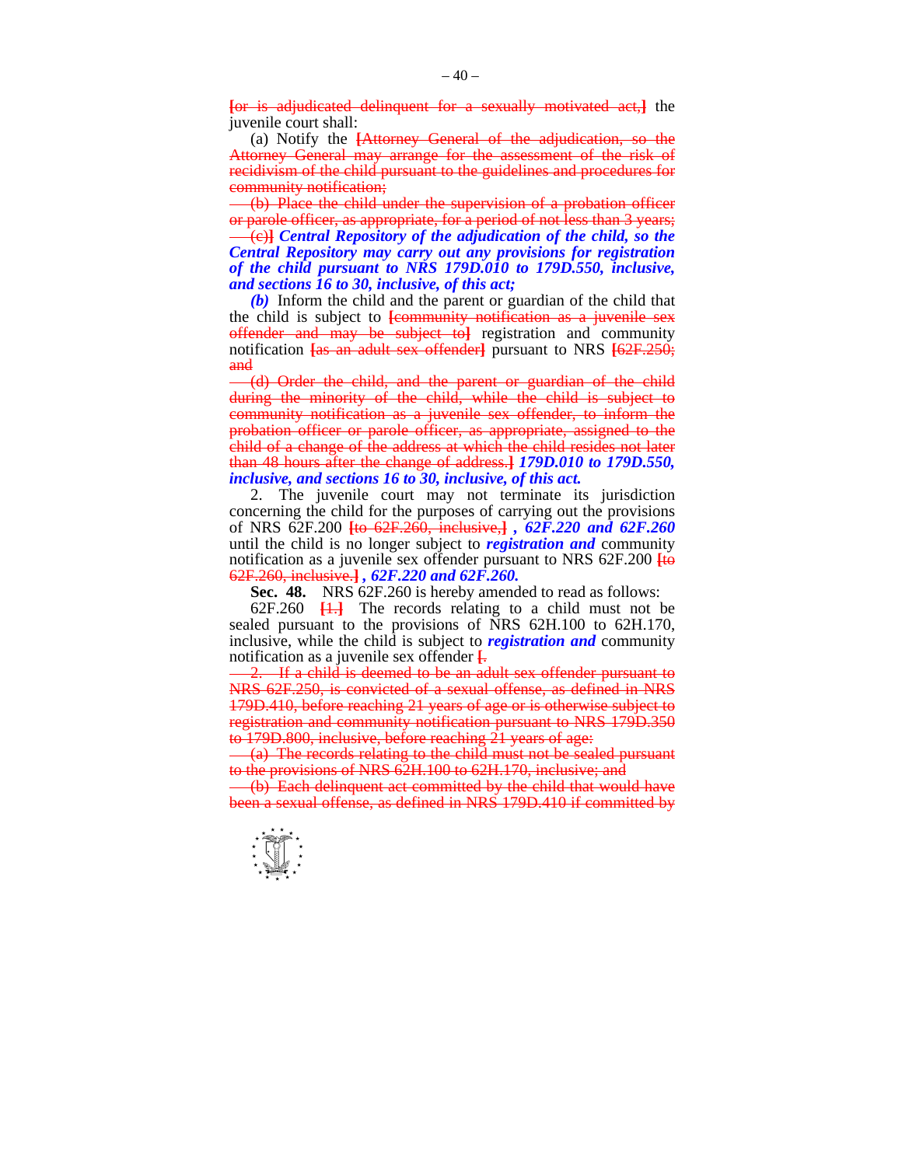**[**or is adjudicated delinquent for a sexually motivated act,**]** the juvenile court shall:

 (a) Notify the **[**Attorney General of the adjudication, so the Attorney General may arrange for the assessment of the risk of recidivism of the child pursuant to the guidelines and procedures for community notification;

(b) Place the child under the supervision of a probation officer or parole officer, as appropriate, for a period of not less than 3 years; (c)**]** *Central Repository of the adjudication of the child, so the Central Repository may carry out any provisions for registration of the child pursuant to NRS 179D.010 to 179D.550, inclusive, and sections 16 to 30, inclusive, of this act;* 

 *(b)* Inform the child and the parent or guardian of the child that the child is subject to **[**community notification as a juvenile sex offender and may be subject to**]** registration and community notification **[**as an adult sex offender**]** pursuant to NRS **[**62F.250; and

(d) Order the child, and the parent or guardian of the child during the minority of the child, while the child is subject to community notification as a juvenile sex offender, to inform the probation officer or parole officer, as appropriate, assigned to the child of a change of the address at which the child resides not later than 48 hours after the change of address.**]** *179D.010 to 179D.550, inclusive, and sections 16 to 30, inclusive, of this act.* 

 2. The juvenile court may not terminate its jurisdiction concerning the child for the purposes of carrying out the provisions of NRS 62F.200 **[**to 62F.260, inclusive,**]** *, 62F.220 and 62F.260* until the child is no longer subject to *registration and* community notification as a juvenile sex offender pursuant to NRS 62F.200 **[**to 62F.260, inclusive.**]** *, 62F.220 and 62F.260.* 

 **Sec. 48.** NRS 62F.260 is hereby amended to read as follows:

 62F.260 **[**1.**]** The records relating to a child must not be sealed pursuant to the provisions of NRS 62H.100 to 62H.170, inclusive, while the child is subject to *registration and* community notification as a juvenile sex offender **[**. 2. If a child is deemed to be an adult sex offender pursuant to

NRS 62F.250, is convicted of a sexual offense, as defined in NRS 179D.410, before reaching 21 years of age or is otherwise subject to registration and community notification pursuant to NRS 179D.350 to 179D.800, inclusive, before reaching 21 years of age:

(a) The records relating to the child must not be sealed pursuant to the provisions of NRS 62H.100 to 62H.170, inclusive; and

(b) Each delinquent act committed by the child that would have been a sexual offense, as defined in NRS 179D.410 if committed by

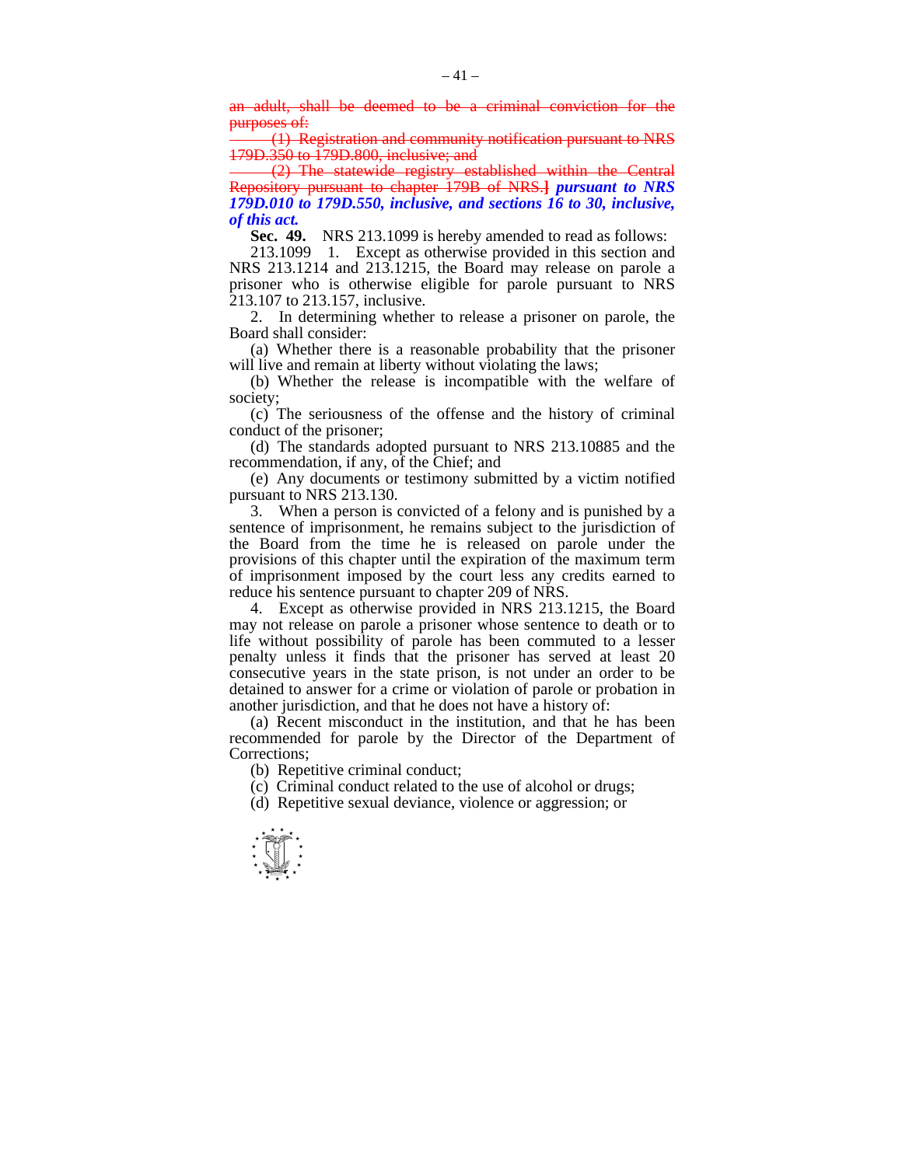an adult, shall be deemed to be a criminal conviction for the purposes of:

(1) Registration and community notification pursuant to NRS 179D.350 to 179D.800, inclusive; and

(2) The statewide registry established within the Central Repository pursuant to chapter 179B of NRS.**]** *pursuant to NRS 179D.010 to 179D.550, inclusive, and sections 16 to 30, inclusive, of this act.* 

**Sec. 49.** NRS 213.1099 is hereby amended to read as follows:

 213.1099 1. Except as otherwise provided in this section and NRS 213.1214 and 213.1215, the Board may release on parole a prisoner who is otherwise eligible for parole pursuant to NRS 213.107 to 213.157, inclusive.

 2. In determining whether to release a prisoner on parole, the Board shall consider:

 (a) Whether there is a reasonable probability that the prisoner will live and remain at liberty without violating the laws;

 (b) Whether the release is incompatible with the welfare of society;

 (c) The seriousness of the offense and the history of criminal conduct of the prisoner;

 (d) The standards adopted pursuant to NRS 213.10885 and the recommendation, if any, of the Chief; and

 (e) Any documents or testimony submitted by a victim notified pursuant to NRS 213.130.

 3. When a person is convicted of a felony and is punished by a sentence of imprisonment, he remains subject to the jurisdiction of the Board from the time he is released on parole under the provisions of this chapter until the expiration of the maximum term of imprisonment imposed by the court less any credits earned to reduce his sentence pursuant to chapter 209 of NRS.

 4. Except as otherwise provided in NRS 213.1215, the Board may not release on parole a prisoner whose sentence to death or to life without possibility of parole has been commuted to a lesser penalty unless it finds that the prisoner has served at least 20 consecutive years in the state prison, is not under an order to be detained to answer for a crime or violation of parole or probation in another jurisdiction, and that he does not have a history of:

 (a) Recent misconduct in the institution, and that he has been recommended for parole by the Director of the Department of Corrections;

(b) Repetitive criminal conduct;

- (c) Criminal conduct related to the use of alcohol or drugs;
- (d) Repetitive sexual deviance, violence or aggression; or

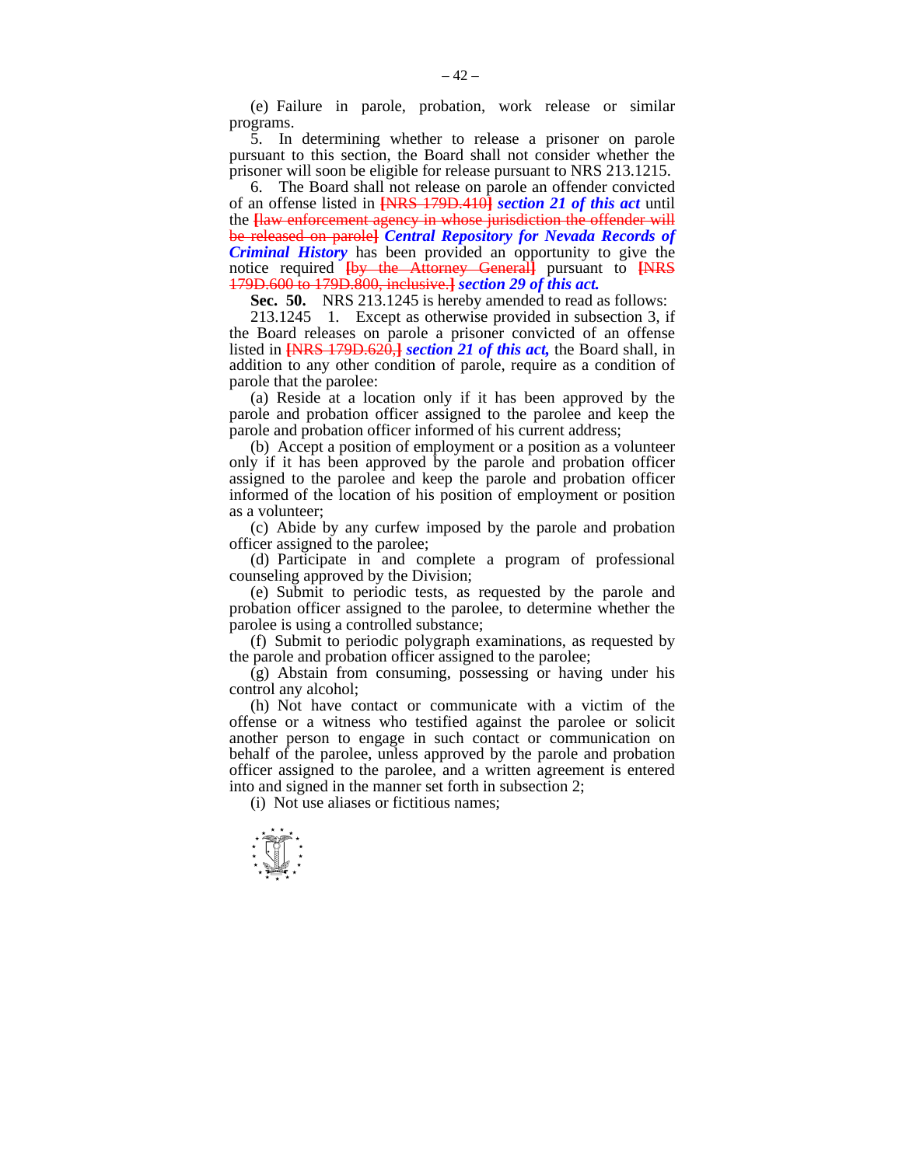(e) Failure in parole, probation, work release or similar programs.

 5. In determining whether to release a prisoner on parole pursuant to this section, the Board shall not consider whether the prisoner will soon be eligible for release pursuant to NRS 213.1215.

The Board shall not release on parole an offender convicted of an offense listed in **[**NRS 179D.410**]** *section 21 of this act* until the **[**law enforcement agency in whose jurisdiction the offender will be released on parole**]** *Central Repository for Nevada Records of Criminal History* has been provided an opportunity to give the notice required **[**by the Attorney General**]** pursuant to **[**NRS 179D.600 to 179D.800, inclusive.**]** *section 29 of this act.* 

 **Sec. 50.** NRS 213.1245 is hereby amended to read as follows:

 213.1245 1. Except as otherwise provided in subsection 3, if the Board releases on parole a prisoner convicted of an offense listed in **[**NRS 179D.620,**]** *section 21 of this act,* the Board shall, in addition to any other condition of parole, require as a condition of parole that the parolee:

 (a) Reside at a location only if it has been approved by the parole and probation officer assigned to the parolee and keep the parole and probation officer informed of his current address;

 (b) Accept a position of employment or a position as a volunteer only if it has been approved by the parole and probation officer assigned to the parolee and keep the parole and probation officer informed of the location of his position of employment or position as a volunteer;

 (c) Abide by any curfew imposed by the parole and probation officer assigned to the parolee;

 (d) Participate in and complete a program of professional counseling approved by the Division;

 (e) Submit to periodic tests, as requested by the parole and probation officer assigned to the parolee, to determine whether the parolee is using a controlled substance;

 (f) Submit to periodic polygraph examinations, as requested by the parole and probation officer assigned to the parolee;

 (g) Abstain from consuming, possessing or having under his control any alcohol;

 (h) Not have contact or communicate with a victim of the offense or a witness who testified against the parolee or solicit another person to engage in such contact or communication on behalf of the parolee, unless approved by the parole and probation officer assigned to the parolee, and a written agreement is entered into and signed in the manner set forth in subsection 2;

(i) Not use aliases or fictitious names;

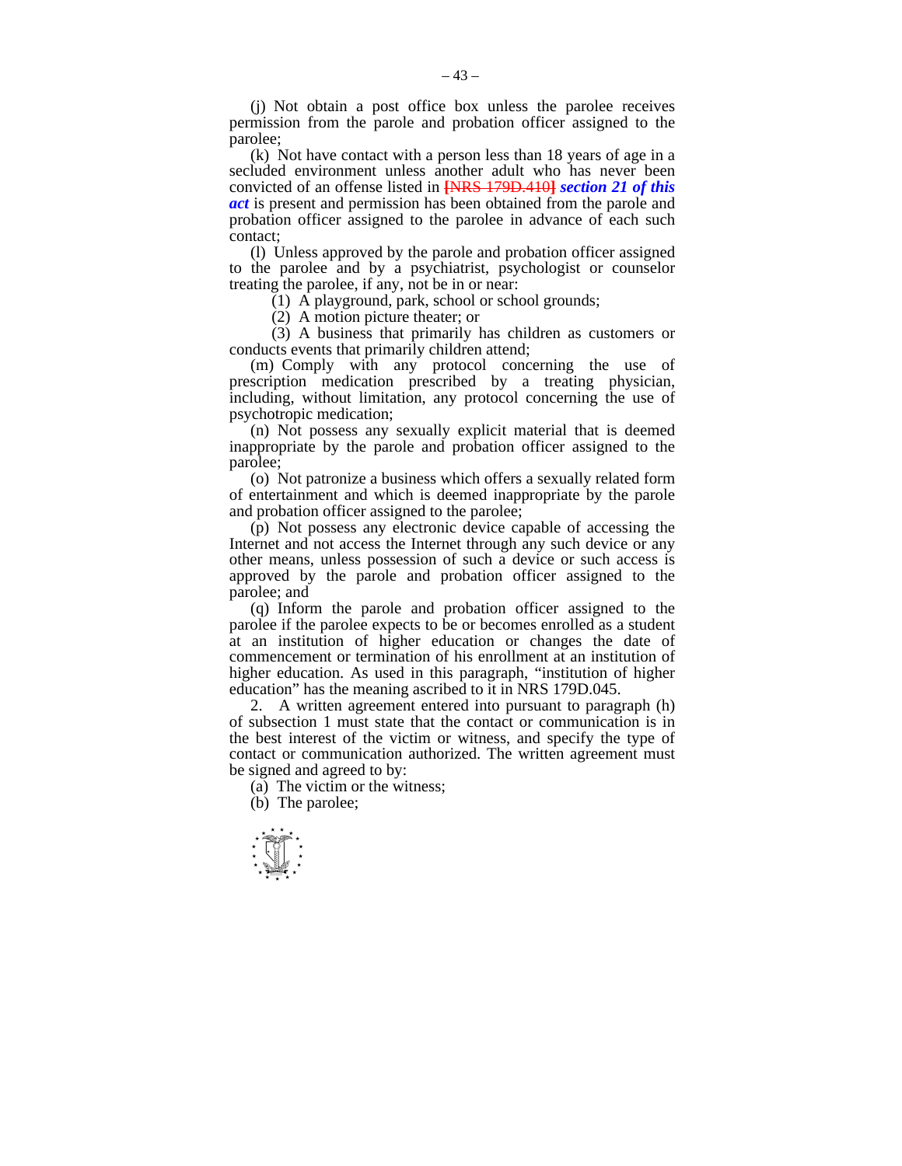(j) Not obtain a post office box unless the parolee receives permission from the parole and probation officer assigned to the parolee;

 (k) Not have contact with a person less than 18 years of age in a secluded environment unless another adult who has never been convicted of an offense listed in **[**NRS 179D.410**]** *section 21 of this act* is present and permission has been obtained from the parole and probation officer assigned to the parolee in advance of each such contact;

 (l) Unless approved by the parole and probation officer assigned to the parolee and by a psychiatrist, psychologist or counselor treating the parolee, if any, not be in or near:

 $(1)$  A playground, park, school or school grounds;

(2) A motion picture theater; or

 (3) A business that primarily has children as customers or conducts events that primarily children attend;

 (m) Comply with any protocol concerning the use of prescription medication prescribed by a treating physician, including, without limitation, any protocol concerning the use of psychotropic medication;

 (n) Not possess any sexually explicit material that is deemed inappropriate by the parole and probation officer assigned to the parolee;

 (o) Not patronize a business which offers a sexually related form of entertainment and which is deemed inappropriate by the parole and probation officer assigned to the parolee;

 (p) Not possess any electronic device capable of accessing the Internet and not access the Internet through any such device or any other means, unless possession of such a device or such access is approved by the parole and probation officer assigned to the parolee; and

 (q) Inform the parole and probation officer assigned to the parolee if the parolee expects to be or becomes enrolled as a student at an institution of higher education or changes the date of commencement or termination of his enrollment at an institution of higher education. As used in this paragraph, "institution of higher education" has the meaning ascribed to it in NRS 179D.045.

 2. A written agreement entered into pursuant to paragraph (h) of subsection 1 must state that the contact or communication is in the best interest of the victim or witness, and specify the type of contact or communication authorized. The written agreement must be signed and agreed to by:

(a) The victim or the witness;

(b) The parolee;

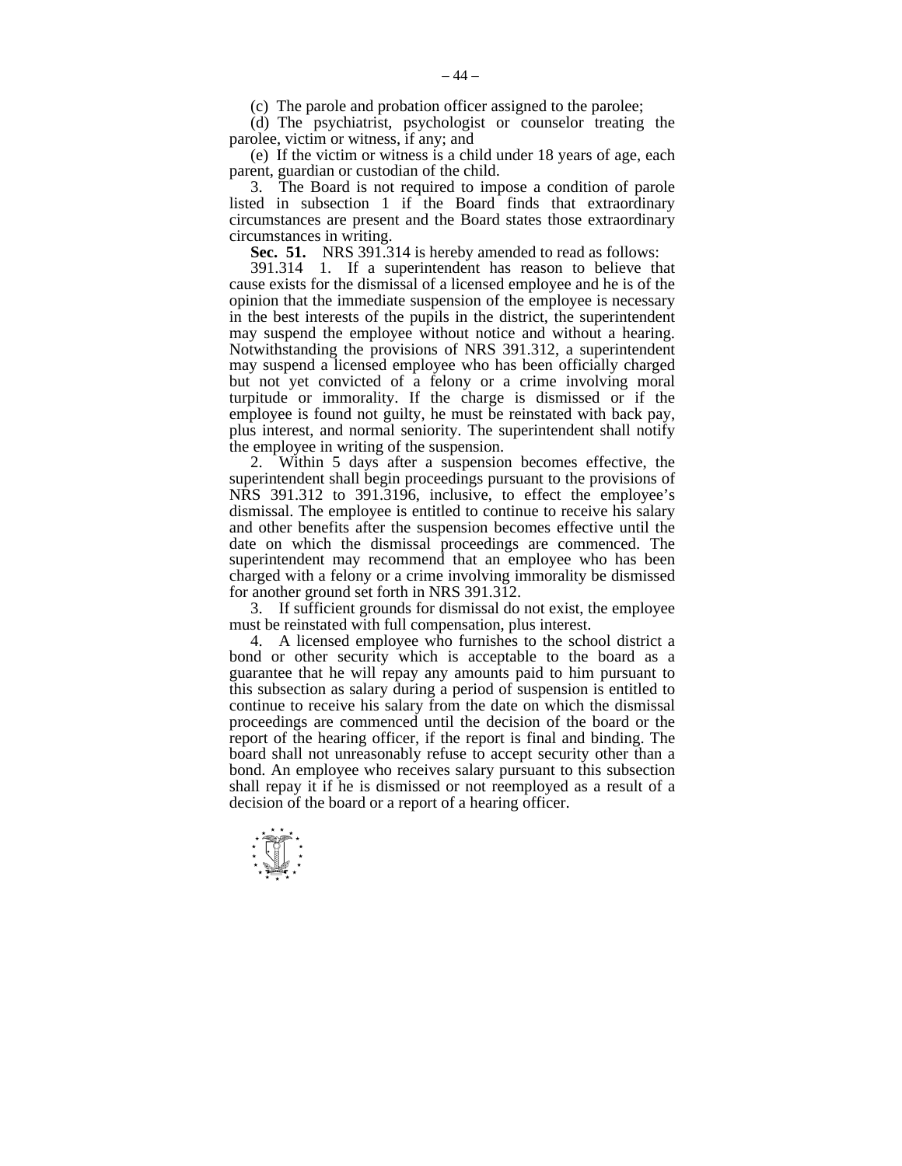(c) The parole and probation officer assigned to the parolee;

 (d) The psychiatrist, psychologist or counselor treating the parolee, victim or witness, if any; and

 (e) If the victim or witness is a child under 18 years of age, each parent, guardian or custodian of the child.

 3. The Board is not required to impose a condition of parole listed in subsection 1 if the Board finds that extraordinary circumstances are present and the Board states those extraordinary circumstances in writing.

**Sec. 51.** NRS 391.314 is hereby amended to read as follows:

 391.314 1. If a superintendent has reason to believe that cause exists for the dismissal of a licensed employee and he is of the opinion that the immediate suspension of the employee is necessary in the best interests of the pupils in the district, the superintendent may suspend the employee without notice and without a hearing. Notwithstanding the provisions of NRS 391.312, a superintendent may suspend a licensed employee who has been officially charged but not yet convicted of a felony or a crime involving moral turpitude or immorality. If the charge is dismissed or if the employee is found not guilty, he must be reinstated with back pay, plus interest, and normal seniority. The superintendent shall notify the employee in writing of the suspension.

 2. Within 5 days after a suspension becomes effective, the superintendent shall begin proceedings pursuant to the provisions of NRS 391.312 to 391.3196, inclusive, to effect the employee's dismissal. The employee is entitled to continue to receive his salary and other benefits after the suspension becomes effective until the date on which the dismissal proceedings are commenced. The superintendent may recommend that an employee who has been charged with a felony or a crime involving immorality be dismissed for another ground set forth in NRS 391.312.

 3. If sufficient grounds for dismissal do not exist, the employee must be reinstated with full compensation, plus interest.

 4. A licensed employee who furnishes to the school district a bond or other security which is acceptable to the board as a guarantee that he will repay any amounts paid to him pursuant to this subsection as salary during a period of suspension is entitled to continue to receive his salary from the date on which the dismissal proceedings are commenced until the decision of the board or the report of the hearing officer, if the report is final and binding. The board shall not unreasonably refuse to accept security other than a bond. An employee who receives salary pursuant to this subsection shall repay it if he is dismissed or not reemployed as a result of a decision of the board or a report of a hearing officer.

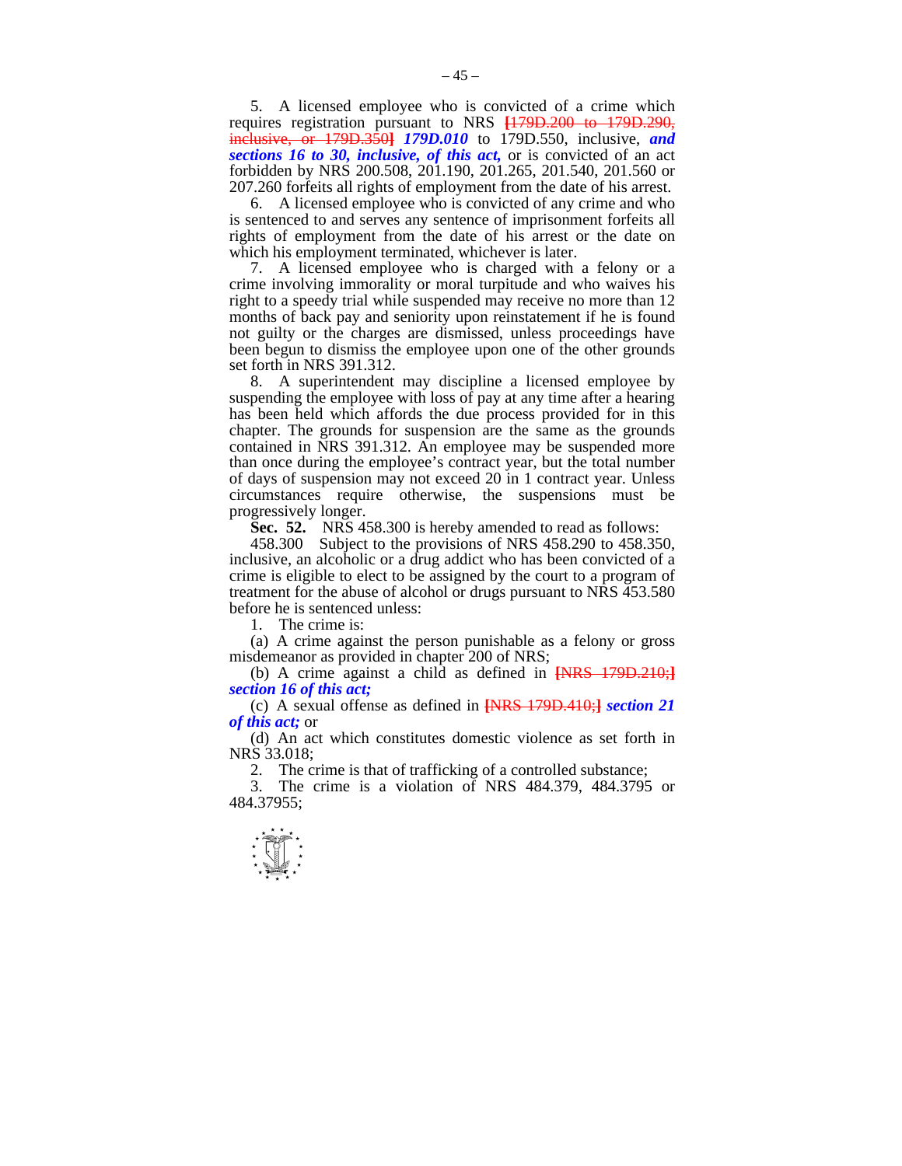5. A licensed employee who is convicted of a crime which requires registration pursuant to NRS **[**179D.200 to 179D.290, inclusive, or 179D.350**]** *179D.010* to 179D.550, inclusive, *and sections 16 to 30, inclusive, of this act,* or is convicted of an act forbidden by NRS 200.508, 201.190, 201.265, 201.540, 201.560 or 207.260 forfeits all rights of employment from the date of his arrest.

 6. A licensed employee who is convicted of any crime and who is sentenced to and serves any sentence of imprisonment forfeits all rights of employment from the date of his arrest or the date on which his employment terminated, whichever is later.

 7. A licensed employee who is charged with a felony or a crime involving immorality or moral turpitude and who waives his right to a speedy trial while suspended may receive no more than 12 months of back pay and seniority upon reinstatement if he is found not guilty or the charges are dismissed, unless proceedings have been begun to dismiss the employee upon one of the other grounds set forth in NRS 391.312.

 8. A superintendent may discipline a licensed employee by suspending the employee with loss of pay at any time after a hearing has been held which affords the due process provided for in this chapter. The grounds for suspension are the same as the grounds contained in NRS 391.312. An employee may be suspended more than once during the employee's contract year, but the total number of days of suspension may not exceed 20 in 1 contract year. Unless circumstances require otherwise, the suspensions must be progressively longer.

**Sec. 52.** NRS 458.300 is hereby amended to read as follows:<br>458.300 Subject to the provisions of NRS 458.290 to 458.35

Subject to the provisions of NRS 458.290 to 458.350, inclusive, an alcoholic or a drug addict who has been convicted of a crime is eligible to elect to be assigned by the court to a program of treatment for the abuse of alcohol or drugs pursuant to NRS 453.580 before he is sentenced unless:

1. The crime is:

 (a) A crime against the person punishable as a felony or gross misdemeanor as provided in chapter 200 of NRS;

 (b) A crime against a child as defined in **[**NRS 179D.210;**]** *section 16 of this act;* 

 (c) A sexual offense as defined in **[**NRS 179D.410;**]** *section 21 of this act;* or

 (d) An act which constitutes domestic violence as set forth in NRS 33.018;

2. The crime is that of trafficking of a controlled substance;

 3. The crime is a violation of NRS 484.379, 484.3795 or 484.37955;

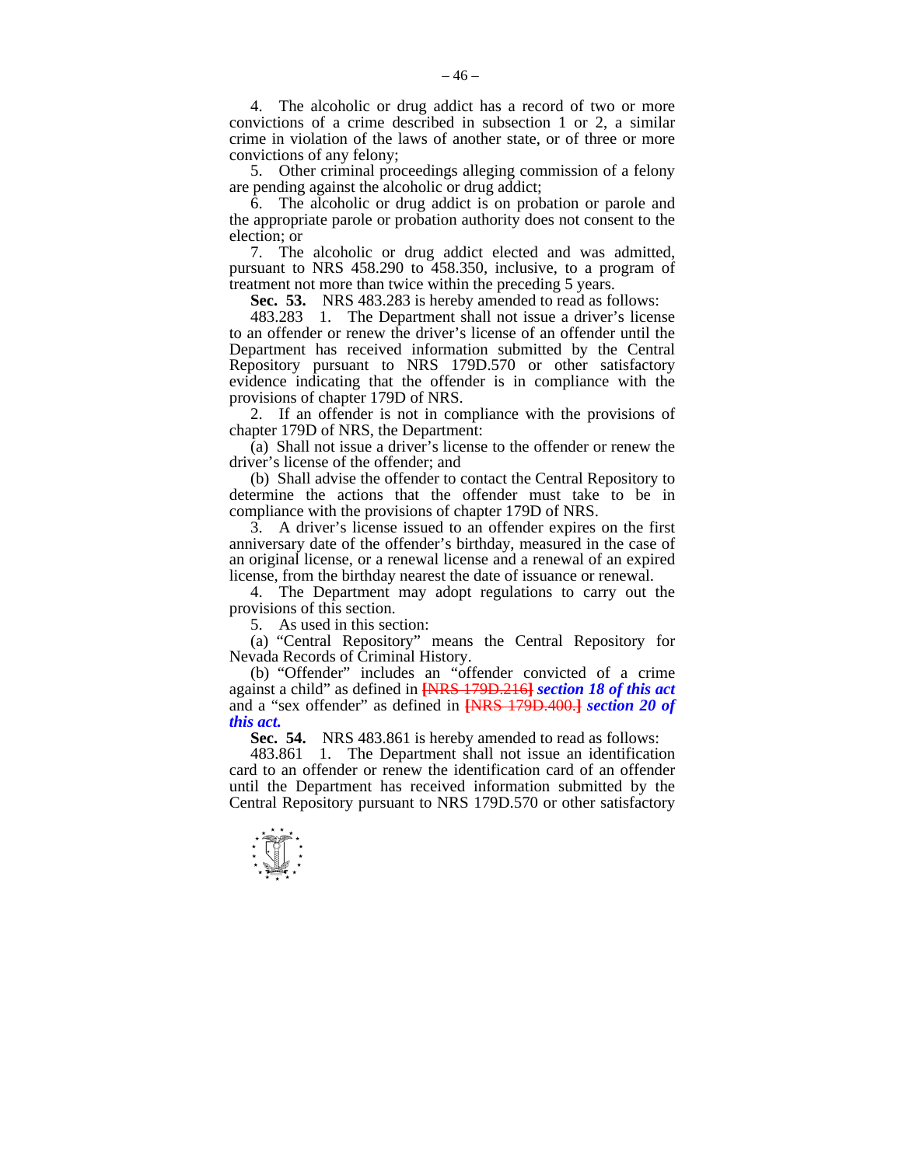4. The alcoholic or drug addict has a record of two or more convictions of a crime described in subsection 1 or 2, a similar crime in violation of the laws of another state, or of three or more convictions of any felony;

 5. Other criminal proceedings alleging commission of a felony are pending against the alcoholic or drug addict;

 6. The alcoholic or drug addict is on probation or parole and the appropriate parole or probation authority does not consent to the election; or

 7. The alcoholic or drug addict elected and was admitted, pursuant to NRS 458.290 to 458.350, inclusive, to a program of treatment not more than twice within the preceding 5 years.

 **Sec. 53.** NRS 483.283 is hereby amended to read as follows:

 483.283 1. The Department shall not issue a driver's license to an offender or renew the driver's license of an offender until the Department has received information submitted by the Central Repository pursuant to NRS 179D.570 or other satisfactory evidence indicating that the offender is in compliance with the provisions of chapter 179D of NRS.

 2. If an offender is not in compliance with the provisions of chapter 179D of NRS, the Department:

 $\lambda$  (a) Shall not issue a driver's license to the offender or renew the driver's license of the offender; and

 (b) Shall advise the offender to contact the Central Repository to determine the actions that the offender must take to be in compliance with the provisions of chapter 179D of NRS.

 3. A driver's license issued to an offender expires on the first anniversary date of the offender's birthday, measured in the case of an original license, or a renewal license and a renewal of an expired license, from the birthday nearest the date of issuance or renewal.

 4. The Department may adopt regulations to carry out the provisions of this section.

5. As used in this section:

 (a) "Central Repository" means the Central Repository for Nevada Records of Criminal History.

 (b) "Offender" includes an "offender convicted of a crime against a child" as defined in **[**NRS 179D.216**]** *section 18 of this act* and a "sex offender" as defined in **[**NRS 179D.400.**]** *section 20 of this act.* 

 **Sec. 54.** NRS 483.861 is hereby amended to read as follows:

 483.861 1. The Department shall not issue an identification card to an offender or renew the identification card of an offender until the Department has received information submitted by the Central Repository pursuant to NRS 179D.570 or other satisfactory

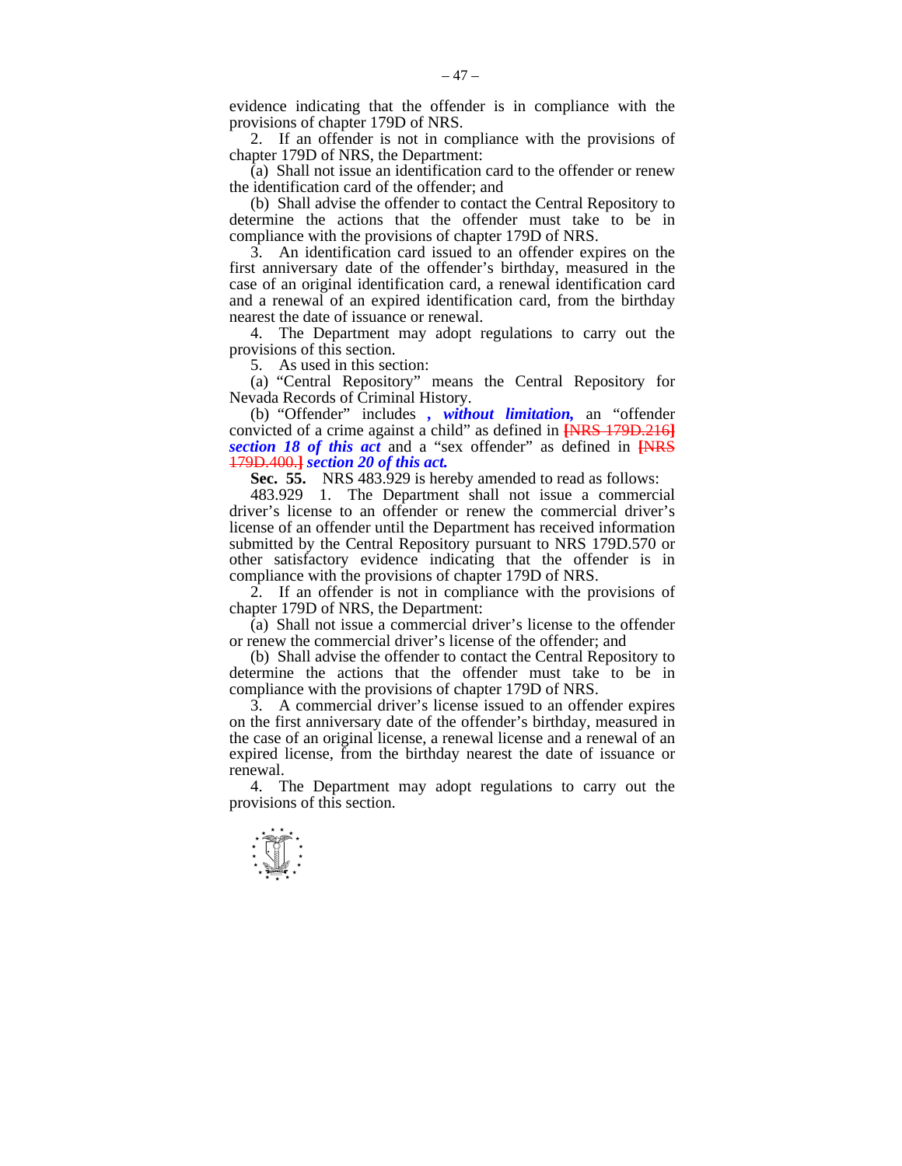evidence indicating that the offender is in compliance with the provisions of chapter 179D of NRS.

 $-47-$ 

 2. If an offender is not in compliance with the provisions of chapter 179D of NRS, the Department:

 $\overline{a}$ ) Shall not issue an identification card to the offender or renew the identification card of the offender; and

 (b) Shall advise the offender to contact the Central Repository to determine the actions that the offender must take to be in compliance with the provisions of chapter 179D of NRS.

 3. An identification card issued to an offender expires on the first anniversary date of the offender's birthday, measured in the case of an original identification card, a renewal identification card and a renewal of an expired identification card, from the birthday nearest the date of issuance or renewal.

 4. The Department may adopt regulations to carry out the provisions of this section.

5. As used in this section:

 (a) "Central Repository" means the Central Repository for Nevada Records of Criminal History.

 (b) "Offender" includes *, without limitation,* an "offender convicted of a crime against a child" as defined in **[**NRS 179D.216**]** *section 18 of this act* and a "sex offender" as defined in **[**NRS 179D.400.**]** *section 20 of this act.* 

 **Sec. 55.** NRS 483.929 is hereby amended to read as follows:

 483.929 1. The Department shall not issue a commercial driver's license to an offender or renew the commercial driver's license of an offender until the Department has received information submitted by the Central Repository pursuant to NRS 179D.570 or other satisfactory evidence indicating that the offender is in compliance with the provisions of chapter 179D of NRS.

 2. If an offender is not in compliance with the provisions of chapter 179D of NRS, the Department:

 (a) Shall not issue a commercial driver's license to the offender or renew the commercial driver's license of the offender; and

 (b) Shall advise the offender to contact the Central Repository to determine the actions that the offender must take to be in compliance with the provisions of chapter 179D of NRS.

 3. A commercial driver's license issued to an offender expires on the first anniversary date of the offender's birthday, measured in the case of an original license, a renewal license and a renewal of an expired license, from the birthday nearest the date of issuance or renewal.

 4. The Department may adopt regulations to carry out the provisions of this section.